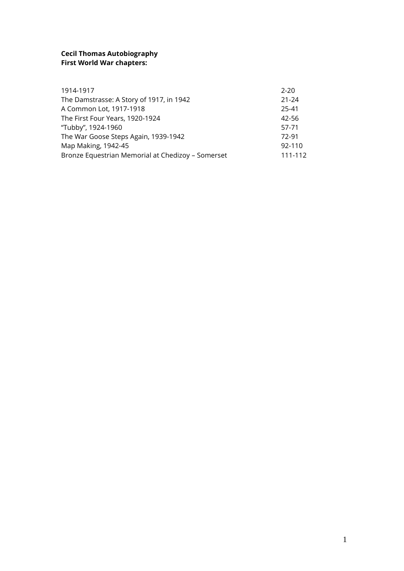# **Cecil Thomas Autobiography First World War chapters:**

| 1914-1917                                         | $2 - 20$  |
|---------------------------------------------------|-----------|
| The Damstrasse: A Story of 1917, in 1942          | $21 - 24$ |
| A Common Lot, 1917-1918                           | 25-41     |
| The First Four Years, 1920-1924                   | 42-56     |
| "Tubby", 1924-1960                                | 57-71     |
| The War Goose Steps Again, 1939-1942              | 72-91     |
| Map Making, 1942-45                               | 92-110    |
| Bronze Equestrian Memorial at Chedizoy - Somerset | 111-112   |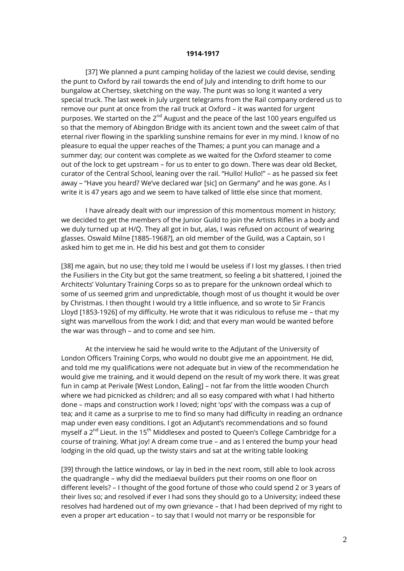#### **1914-1917**

[37] We planned a punt camping holiday of the laziest we could devise, sending the punt to Oxford by rail towards the end of July and intending to drift home to our bungalow at Chertsey, sketching on the way. The punt was so long it wanted a very special truck. The last week in July urgent telegrams from the Rail company ordered us to remove our punt at once from the rail truck at Oxford – it was wanted for urgent purposes. We started on the 2<sup>nd</sup> August and the peace of the last 100 years engulfed us so that the memory of Abingdon Bridge with its ancient town and the sweet calm of that eternal river flowing in the sparkling sunshine remains for ever in my mind. I know of no pleasure to equal the upper reaches of the Thames; a punt you can manage and a summer day; our content was complete as we waited for the Oxford steamer to come out of the lock to get upstream – for us to enter to go down. There was dear old Becket, curator of the Central School, leaning over the rail. "Hullo! Hullo!" – as he passed six feet away – "Have you heard? We've declared war [sic] on Germany" and he was gone. As I write it is 47 years ago and we seem to have talked of little else since that moment.

I have already dealt with our impression of this momentous moment in history; we decided to get the members of the Junior Guild to join the Artists Rifles in a body and we duly turned up at H/Q. They all got in but, alas, I was refused on account of wearing glasses. Oswald Milne [1885-1968?], an old member of the Guild, was a Captain, so I asked him to get me in. He did his best and got them to consider

[38] me again, but no use; they told me I would be useless if I lost my glasses. I then tried the Fusiliers in the City but got the same treatment, so feeling a bit shattered, I joined the Architects' Voluntary Training Corps so as to prepare for the unknown ordeal which to some of us seemed grim and unpredictable, though most of us thought it would be over by Christmas. I then thought I would try a little influence, and so wrote to Sir Francis Lloyd [1853-1926] of my difficulty. He wrote that it was ridiculous to refuse me – that my sight was marvellous from the work I did; and that every man would be wanted before the war was through – and to come and see him.

At the interview he said he would write to the Adjutant of the University of London Officers Training Corps, who would no doubt give me an appointment. He did, and told me my qualifications were not adequate but in view of the recommendation he would give me training, and it would depend on the result of my work there. It was great fun in camp at Perivale [West London, Ealing] – not far from the little wooden Church where we had picnicked as children; and all so easy compared with what I had hitherto done – maps and construction work I loved; night 'ops' with the compass was a cup of tea; and it came as a surprise to me to find so many had difficulty in reading an ordnance map under even easy conditions. I got an Adjutant's recommendations and so found myself a  $2^{nd}$  Lieut. in the 15<sup>th</sup> Middlesex and posted to Queen's College Cambridge for a course of training. What joy! A dream come true – and as I entered the bump your head lodging in the old quad, up the twisty stairs and sat at the writing table looking

[39] through the lattice windows, or lay in bed in the next room, still able to look across the quadrangle – why did the mediaeval builders put their rooms on one floor on different levels? – I thought of the good fortune of those who could spend 2 or 3 years of their lives so; and resolved if ever I had sons they should go to a University; indeed these resolves had hardened out of my own grievance – that I had been deprived of my right to even a proper art education – to say that I would not marry or be responsible for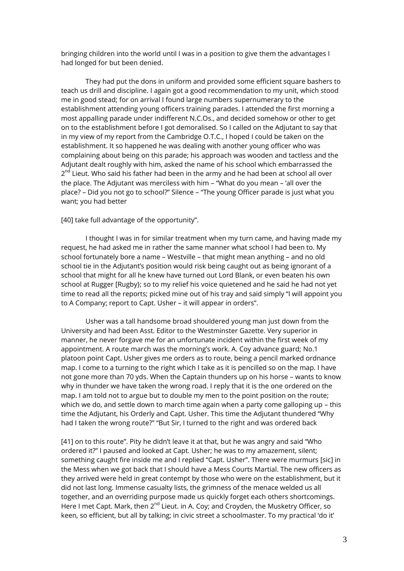bringing children into the world until I was in a position to give them the advantages I had longed for but been denied.

They had put the dons in uniform and provided some efficient square bashers to teach us drill and discipline. I again got a good recommendation to my unit, which stood me in good stead; for on arrival I found large numbers supernumerary to the establishment attending young officers training parades. I attended the first morning a most appalling parade under indifferent N.C.Os., and decided somehow or other to get on to the establishment before I got demoralised. So I called on the Adjutant to say that in my view of my report from the Cambridge O.T.C., I hoped I could be taken on the establishment. It so happened he was dealing with another young officer who was complaining about being on this parade; his approach was wooden and tactless and the Adjutant dealt roughly with him, asked the name of his school which embarrassed the 2<sup>nd</sup> Lieut. Who said his father had been in the army and he had been at school all over the place. The Adjutant was merciless with him – "What do you mean – 'all over the place? – Did you not go to school?" Silence – "The young Officer parade is just what you want; you had better

[40] take full advantage of the opportunity".

I thought I was in for similar treatment when my turn came, and having made my request, he had asked me in rather the same manner what school I had been to. My school fortunately bore a name – Westville – that might mean anything – and no old school tie in the Adjutant's position would risk being caught out as being ignorant of a school that might for all he knew have turned out Lord Blank, or even beaten his own school at Rugger [Rugby}; so to my relief his voice quietened and he said he had not yet time to read all the reports; picked mine out of his tray and said simply "I will appoint you to A Company; report to Capt. Usher – it will appear in orders".

Usher was a tall handsome broad shouldered young man just down from the University and had been Asst. Editor to the Westminster Gazette. Very superior in manner, he never forgave me for an unfortunate incident within the first week of my appointment. A route march was the morning's work. A. Coy advance guard; No.1 platoon point Capt. Usher gives me orders as to route, being a pencil marked ordnance map. I come to a turning to the right which I take as it is pencilled so on the map. I have not gone more than 70 yds. When the Captain thunders up on his horse – wants to know why in thunder we have taken the wrong road. I reply that it is the one ordered on the map. I am told not to argue but to double my men to the point position on the route; which we do, and settle down to march time again when a party come galloping up – this time the Adjutant, his Orderly and Capt. Usher. This time the Adjutant thundered "Why had I taken the wrong route?" "But Sir, I turned to the right and was ordered back

[41] on to this route". Pity he didn't leave it at that, but he was angry and said "Who ordered it?" I paused and looked at Capt. Usher; he was to my amazement, silent; something caught fire inside me and I replied "Capt. Usher". There were murmurs [sic] in the Mess when we got back that I should have a Mess Courts Martial. The new officers as they arrived were held in great contempt by those who were on the establishment, but it did not last long. Immense casualty lists, the grimness of the menace welded us all together, and an overriding purpose made us quickly forget each others shortcomings. Here I met Capt. Mark, then  $2^{nd}$  Lieut. in A. Coy; and Croyden, the Musketry Officer, so keen, so efficient, but all by talking; in civic street a schoolmaster. To my practical 'do it'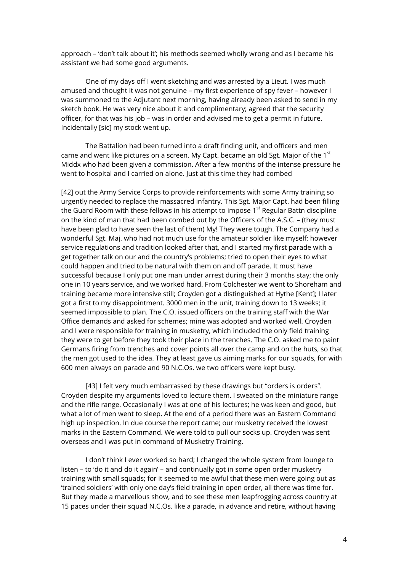approach – 'don't talk about it'; his methods seemed wholly wrong and as I became his assistant we had some good arguments.

One of my days off I went sketching and was arrested by a Lieut. I was much amused and thought it was not genuine – my first experience of spy fever – however I was summoned to the Adjutant next morning, having already been asked to send in my sketch book. He was very nice about it and complimentary; agreed that the security officer, for that was his job – was in order and advised me to get a permit in future. Incidentally [sic] my stock went up.

The Battalion had been turned into a draft finding unit, and officers and men came and went like pictures on a screen. My Capt. became an old Sgt. Major of the  $1<sup>st</sup>$ Middx who had been given a commission. After a few months of the intense pressure he went to hospital and I carried on alone. Just at this time they had combed

[42] out the Army Service Corps to provide reinforcements with some Army training so urgently needed to replace the massacred infantry. This Sgt. Major Capt. had been filling the Guard Room with these fellows in his attempt to impose  $1<sup>st</sup>$  Regular Battn discipline on the kind of man that had been combed out by the Officers of the A.S.C. – (they must have been glad to have seen the last of them) My! They were tough. The Company had a wonderful Sgt. Maj. who had not much use for the amateur soldier like myself; however service regulations and tradition looked after that, and I started my first parade with a get together talk on our and the country's problems; tried to open their eyes to what could happen and tried to be natural with them on and off parade. It must have successful because I only put one man under arrest during their 3 months stay; the only one in 10 years service, and we worked hard. From Colchester we went to Shoreham and training became more intensive still; Croyden got a distinguished at Hythe [Kent]; I later got a first to my disappointment. 3000 men in the unit, training down to 13 weeks; it seemed impossible to plan. The C.O. issued officers on the training staff with the War Office demands and asked for schemes; mine was adopted and worked well. Croyden and I were responsible for training in musketry, which included the only field training they were to get before they took their place in the trenches. The C.O. asked me to paint Germans firing from trenches and cover points all over the camp and on the huts, so that the men got used to the idea. They at least gave us aiming marks for our squads, for with 600 men always on parade and 90 N.C.Os. we two officers were kept busy.

[43] I felt very much embarrassed by these drawings but "orders is orders". Croyden despite my arguments loved to lecture them. I sweated on the miniature range and the rifle range. Occasionally I was at one of his lectures; he was keen and good, but what a lot of men went to sleep. At the end of a period there was an Eastern Command high up inspection. In due course the report came; our musketry received the lowest marks in the Eastern Command. We were told to pull our socks up. Croyden was sent overseas and I was put in command of Musketry Training.

I don't think I ever worked so hard; I changed the whole system from lounge to listen – to 'do it and do it again' – and continually got in some open order musketry training with small squads; for it seemed to me awful that these men were going out as 'trained soldiers' with only one day's field training in open order, all there was time for. But they made a marvellous show, and to see these men leapfrogging across country at 15 paces under their squad N.C.Os. like a parade, in advance and retire, without having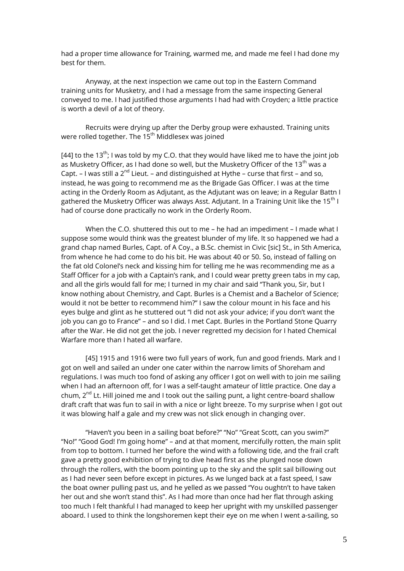had a proper time allowance for Training, warmed me, and made me feel I had done my best for them.

Anyway, at the next inspection we came out top in the Eastern Command training units for Musketry, and I had a message from the same inspecting General conveyed to me. I had justified those arguments I had had with Croyden; a little practice is worth a devil of a lot of theory.

Recruits were drying up after the Derby group were exhausted. Training units were rolled together. The 15<sup>th</sup> Middlesex was joined

[44] to the 13<sup>th</sup>; I was told by my C.O. that they would have liked me to have the joint job as Musketry Officer, as I had done so well, but the Musketry Officer of the 13<sup>th</sup> was a Capt. – I was still a  $2^{nd}$  Lieut. – and distinguished at Hythe – curse that first – and so, instead, he was going to recommend me as the Brigade Gas Officer. I was at the time acting in the Orderly Room as Adjutant, as the Adjutant was on leave; in a Regular Battn I gathered the Musketry Officer was always Asst. Adjutant. In a Training Unit like the 15<sup>th</sup> I had of course done practically no work in the Orderly Room.

When the C.O. shuttered this out to me – he had an impediment – I made what I suppose some would think was the greatest blunder of my life. It so happened we had a grand chap named Burles, Capt. of A Coy., a B.Sc. chemist in Civic [sic] St., in Sth America, from whence he had come to do his bit. He was about 40 or 50. So, instead of falling on the fat old Colonel's neck and kissing him for telling me he was recommending me as a Staff Officer for a job with a Captain's rank, and I could wear pretty green tabs in my cap, and all the girls would fall for me; I turned in my chair and said "Thank you, Sir, but I know nothing about Chemistry, and Capt. Burles is a Chemist and a Bachelor of Science; would it not be better to recommend him?" I saw the colour mount in his face and his eyes bulge and glint as he stuttered out "I did not ask your advice; if you don't want the job you can go to France" – and so I did. I met Capt. Burles in the Portland Stone Quarry after the War. He did not get the job. I never regretted my decision for I hated Chemical Warfare more than I hated all warfare.

[45] 1915 and 1916 were two full years of work, fun and good friends. Mark and I got on well and sailed an under one cater within the narrow limits of Shoreham and regulations. I was much too fond of asking any officer I got on well with to join me sailing when I had an afternoon off, for I was a self-taught amateur of little practice. One day a chum,  $2^{nd}$  Lt. Hill joined me and I took out the sailing punt, a light centre-board shallow draft craft that was fun to sail in with a nice or light breeze. To my surprise when I got out it was blowing half a gale and my crew was not slick enough in changing over.

"Haven't you been in a sailing boat before?" "No" "Great Scott, can you swim?" "No!" "Good God! I'm going home" – and at that moment, mercifully rotten, the main split from top to bottom. I turned her before the wind with a following tide, and the frail craft gave a pretty good exhibition of trying to dive head first as she plunged nose down through the rollers, with the boom pointing up to the sky and the split sail billowing out as I had never seen before except in pictures. As we lunged back at a fast speed, I saw the boat owner pulling past us, and he yelled as we passed "You oughtn't to have taken her out and she won't stand this". As I had more than once had her flat through asking too much I felt thankful I had managed to keep her upright with my unskilled passenger aboard. I used to think the longshoremen kept their eye on me when I went a-sailing, so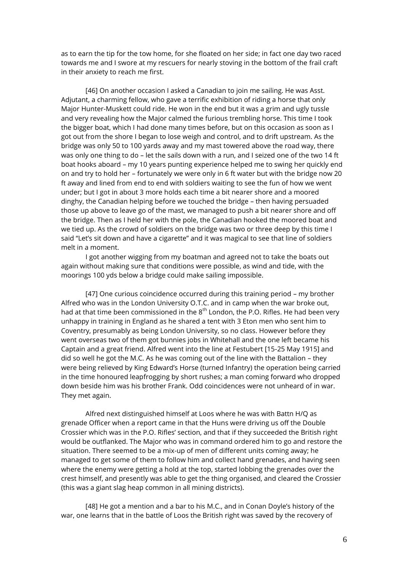as to earn the tip for the tow home, for she floated on her side; in fact one day two raced towards me and I swore at my rescuers for nearly stoving in the bottom of the frail craft in their anxiety to reach me first.

[46] On another occasion I asked a Canadian to join me sailing. He was Asst. Adjutant, a charming fellow, who gave a terrific exhibition of riding a horse that only Major Hunter-Muskett could ride. He won in the end but it was a grim and ugly tussle and very revealing how the Major calmed the furious trembling horse. This time I took the bigger boat, which I had done many times before, but on this occasion as soon as I got out from the shore I began to lose weigh and control, and to drift upstream. As the bridge was only 50 to 100 yards away and my mast towered above the road way, there was only one thing to do – let the sails down with a run, and I seized one of the two 14 ft boat hooks aboard – my 10 years punting experience helped me to swing her quickly end on and try to hold her – fortunately we were only in 6 ft water but with the bridge now 20 ft away and lined from end to end with soldiers waiting to see the fun of how we went under; but I got in about 3 more holds each time a bit nearer shore and a moored dinghy, the Canadian helping before we touched the bridge – then having persuaded those up above to leave go of the mast, we managed to push a bit nearer shore and off the bridge. Then as I held her with the pole, the Canadian hooked the moored boat and we tied up. As the crowd of soldiers on the bridge was two or three deep by this time I said "Let's sit down and have a cigarette" and it was magical to see that line of soldiers melt in a moment.

I got another wigging from my boatman and agreed not to take the boats out again without making sure that conditions were possible, as wind and tide, with the moorings 100 yds below a bridge could make sailing impossible.

[47] One curious coincidence occurred during this training period – my brother Alfred who was in the London University O.T.C. and in camp when the war broke out, had at that time been commissioned in the 8<sup>th</sup> London, the P.O. Rifles. He had been very unhappy in training in England as he shared a tent with 3 Eton men who sent him to Coventry, presumably as being London University, so no class. However before they went overseas two of them got bunnies jobs in Whitehall and the one left became his Captain and a great friend. Alfred went into the line at Festubert [15-25 May 1915] and did so well he got the M.C. As he was coming out of the line with the Battalion – they were being relieved by King Edward's Horse (turned Infantry) the operation being carried in the time honoured leapfrogging by short rushes; a man coming forward who dropped down beside him was his brother Frank. Odd coincidences were not unheard of in war. They met again.

Alfred next distinguished himself at Loos where he was with Battn H/Q as grenade Officer when a report came in that the Huns were driving us off the Double Crossier which was in the P.O. Rifles' section, and that if they succeeded the British right would be outflanked. The Major who was in command ordered him to go and restore the situation. There seemed to be a mix-up of men of different units coming away; he managed to get some of them to follow him and collect hand grenades, and having seen where the enemy were getting a hold at the top, started lobbing the grenades over the crest himself, and presently was able to get the thing organised, and cleared the Crossier (this was a giant slag heap common in all mining districts).

[48] He got a mention and a bar to his M.C., and in Conan Doyle's history of the war, one learns that in the battle of Loos the British right was saved by the recovery of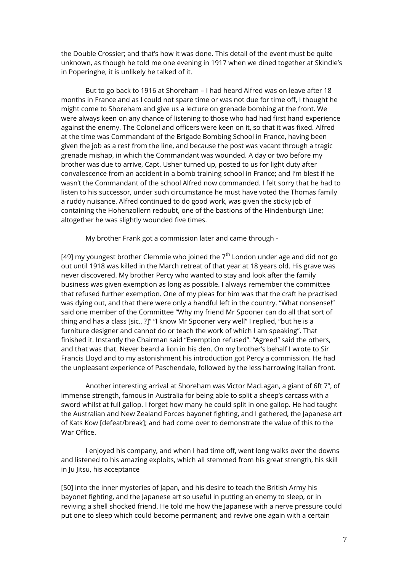the Double Crossier; and that's how it was done. This detail of the event must be quite unknown, as though he told me one evening in 1917 when we dined together at Skindle's in Poperinghe, it is unlikely he talked of it.

But to go back to 1916 at Shoreham – I had heard Alfred was on leave after 18 months in France and as I could not spare time or was not due for time off, I thought he might come to Shoreham and give us a lecture on grenade bombing at the front. We were always keen on any chance of listening to those who had had first hand experience against the enemy. The Colonel and officers were keen on it, so that it was fixed. Alfred at the time was Commandant of the Brigade Bombing School in France, having been given the job as a rest from the line, and because the post was vacant through a tragic grenade mishap, in which the Commandant was wounded. A day or two before my brother was due to arrive, Capt. Usher turned up, posted to us for light duty after convalescence from an accident in a bomb training school in France; and I'm blest if he wasn't the Commandant of the school Alfred now commanded. I felt sorry that he had to listen to his successor, under such circumstance he must have voted the Thomas family a ruddy nuisance. Alfred continued to do good work, was given the sticky job of containing the Hohenzollern redoubt, one of the bastions of the Hindenburgh Line; altogether he was slightly wounded five times.

My brother Frank got a commission later and came through -

[49] my youngest brother Clemmie who joined the  $7<sup>th</sup>$  London under age and did not go out until 1918 was killed in the March retreat of that year at 18 years old. His grave was never discovered. My brother Percy who wanted to stay and look after the family business was given exemption as long as possible. I always remember the committee that refused further exemption. One of my pleas for him was that the craft he practised was dying out, and that there were only a handful left in the country. "What nonsense!" said one member of the Committee "Why my friend Mr Spooner can do all that sort of thing and has a class [sic., ?]" "I know Mr Spooner very well" I replied, "but he is a furniture designer and cannot do or teach the work of which I am speaking". That finished it. Instantly the Chairman said "Exemption refused". "Agreed" said the others, and that was that. Never beard a lion in his den. On my brother's behalf I wrote to Sir Francis Lloyd and to my astonishment his introduction got Percy a commission. He had the unpleasant experience of Paschendale, followed by the less harrowing Italian front.

Another interesting arrival at Shoreham was Victor MacLagan, a giant of 6ft 7", of immense strength, famous in Australia for being able to split a sheep's carcass with a sword whilst at full gallop. I forget how many he could split in one gallop. He had taught the Australian and New Zealand Forces bayonet fighting, and I gathered, the Japanese art of Kats Kow [defeat/break]; and had come over to demonstrate the value of this to the War Office.

I enjoyed his company, and when I had time off, went long walks over the downs and listened to his amazing exploits, which all stemmed from his great strength, his skill in Ju Jitsu, his acceptance

[50] into the inner mysteries of Japan, and his desire to teach the British Army his bayonet fighting, and the Japanese art so useful in putting an enemy to sleep, or in reviving a shell shocked friend. He told me how the Japanese with a nerve pressure could put one to sleep which could become permanent; and revive one again with a certain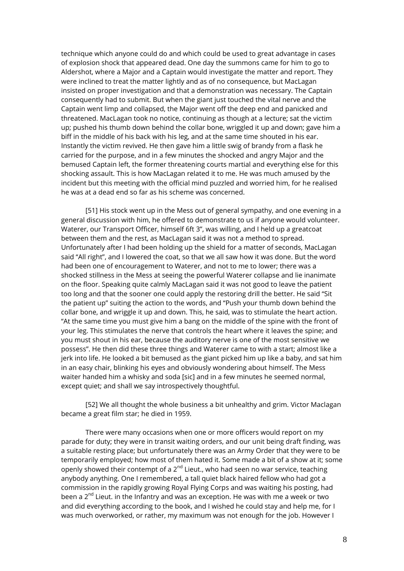technique which anyone could do and which could be used to great advantage in cases of explosion shock that appeared dead. One day the summons came for him to go to Aldershot, where a Major and a Captain would investigate the matter and report. They were inclined to treat the matter lightly and as of no consequence, but MacLagan insisted on proper investigation and that a demonstration was necessary. The Captain consequently had to submit. But when the giant just touched the vital nerve and the Captain went limp and collapsed, the Major went off the deep end and panicked and threatened. MacLagan took no notice, continuing as though at a lecture; sat the victim up; pushed his thumb down behind the collar bone, wriggled it up and down; gave him a biff in the middle of his back with his leg, and at the same time shouted in his ear. Instantly the victim revived. He then gave him a little swig of brandy from a flask he carried for the purpose, and in a few minutes the shocked and angry Major and the bemused Captain left, the former threatening courts martial and everything else for this shocking assault. This is how MacLagan related it to me. He was much amused by the incident but this meeting with the official mind puzzled and worried him, for he realised he was at a dead end so far as his scheme was concerned.

[51] His stock went up in the Mess out of general sympathy, and one evening in a general discussion with him, he offered to demonstrate to us if anyone would volunteer. Waterer, our Transport Officer, himself 6ft 3", was willing, and I held up a greatcoat between them and the rest, as MacLagan said it was not a method to spread. Unfortunately after I had been holding up the shield for a matter of seconds, MacLagan said "All right", and I lowered the coat, so that we all saw how it was done. But the word had been one of encouragement to Waterer, and not to me to lower; there was a shocked stillness in the Mess at seeing the powerful Waterer collapse and lie inanimate on the floor. Speaking quite calmly MacLagan said it was not good to leave the patient too long and that the sooner one could apply the restoring drill the better. He said "Sit the patient up" suiting the action to the words, and "Push your thumb down behind the collar bone, and wriggle it up and down. This, he said, was to stimulate the heart action. "At the same time you must give him a bang on the middle of the spine with the front of your leg. This stimulates the nerve that controls the heart where it leaves the spine; and you must shout in his ear, because the auditory nerve is one of the most sensitive we possess". He then did these three things and Waterer came to with a start; almost like a jerk into life. He looked a bit bemused as the giant picked him up like a baby, and sat him in an easy chair, blinking his eyes and obviously wondering about himself. The Mess waiter handed him a whisky and soda [sic] and in a few minutes he seemed normal, except quiet; and shall we say introspectively thoughtful.

[52] We all thought the whole business a bit unhealthy and grim. Victor Maclagan became a great film star; he died in 1959.

There were many occasions when one or more officers would report on my parade for duty; they were in transit waiting orders, and our unit being draft finding, was a suitable resting place; but unfortunately there was an Army Order that they were to be temporarily employed; how most of them hated it. Some made a bit of a show at it; some openly showed their contempt of a  $2^{nd}$  Lieut., who had seen no war service, teaching anybody anything. One I remembered, a tall quiet black haired fellow who had got a commission in the rapidly growing Royal Flying Corps and was waiting his posting, had been a 2<sup>nd</sup> Lieut. in the Infantry and was an exception. He was with me a week or two and did everything according to the book, and I wished he could stay and help me, for I was much overworked, or rather, my maximum was not enough for the job. However I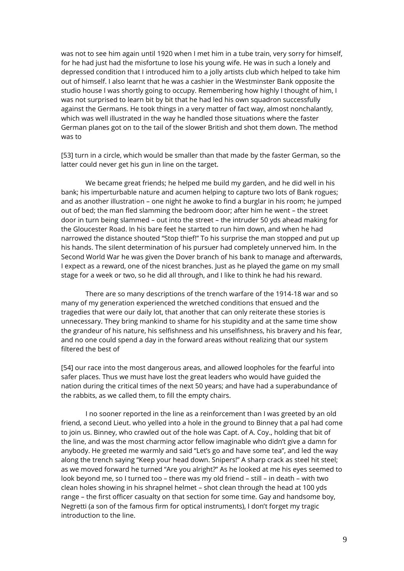was not to see him again until 1920 when I met him in a tube train, very sorry for himself, for he had just had the misfortune to lose his young wife. He was in such a lonely and depressed condition that I introduced him to a jolly artists club which helped to take him out of himself. I also learnt that he was a cashier in the Westminster Bank opposite the studio house I was shortly going to occupy. Remembering how highly I thought of him, I was not surprised to learn bit by bit that he had led his own squadron successfully against the Germans. He took things in a very matter of fact way, almost nonchalantly, which was well illustrated in the way he handled those situations where the faster German planes got on to the tail of the slower British and shot them down. The method was to

[53] turn in a circle, which would be smaller than that made by the faster German, so the latter could never get his gun in line on the target.

We became great friends; he helped me build my garden, and he did well in his bank; his imperturbable nature and acumen helping to capture two lots of Bank rogues; and as another illustration – one night he awoke to find a burglar in his room; he jumped out of bed; the man fled slamming the bedroom door; after him he went – the street door in turn being slammed – out into the street – the intruder 50 yds ahead making for the Gloucester Road. In his bare feet he started to run him down, and when he had narrowed the distance shouted "Stop thief!" To his surprise the man stopped and put up his hands. The silent determination of his pursuer had completely unnerved him. In the Second World War he was given the Dover branch of his bank to manage and afterwards, I expect as a reward, one of the nicest branches. Just as he played the game on my small stage for a week or two, so he did all through, and I like to think he had his reward.

There are so many descriptions of the trench warfare of the 1914-18 war and so many of my generation experienced the wretched conditions that ensued and the tragedies that were our daily lot, that another that can only reiterate these stories is unnecessary. They bring mankind to shame for his stupidity and at the same time show the grandeur of his nature, his selfishness and his unselfishness, his bravery and his fear, and no one could spend a day in the forward areas without realizing that our system filtered the best of

[54] our race into the most dangerous areas, and allowed loopholes for the fearful into safer places. Thus we must have lost the great leaders who would have guided the nation during the critical times of the next 50 years; and have had a superabundance of the rabbits, as we called them, to fill the empty chairs.

I no sooner reported in the line as a reinforcement than I was greeted by an old friend, a second Lieut. who yelled into a hole in the ground to Binney that a pal had come to join us. Binney, who crawled out of the hole was Capt. of A. Coy., holding that bit of the line, and was the most charming actor fellow imaginable who didn't give a damn for anybody. He greeted me warmly and said "Let's go and have some tea", and led the way along the trench saying "Keep your head down. Snipers!" A sharp crack as steel hit steel; as we moved forward he turned "Are you alright?" As he looked at me his eyes seemed to look beyond me, so I turned too – there was my old friend – still – in death – with two clean holes showing in his shrapnel helmet – shot clean through the head at 100 yds range – the first officer casualty on that section for some time. Gay and handsome boy, Negretti (a son of the famous firm for optical instruments), I don't forget my tragic introduction to the line.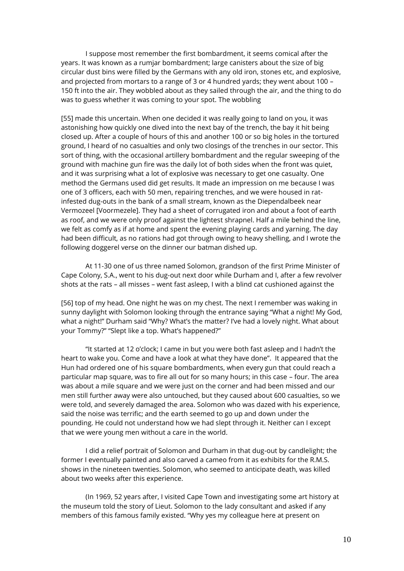I suppose most remember the first bombardment, it seems comical after the years. It was known as a rumjar bombardment; large canisters about the size of big circular dust bins were filled by the Germans with any old iron, stones etc, and explosive, and projected from mortars to a range of 3 or 4 hundred yards; they went about 100 – 150 ft into the air. They wobbled about as they sailed through the air, and the thing to do was to guess whether it was coming to your spot. The wobbling

[55] made this uncertain. When one decided it was really going to land on you, it was astonishing how quickly one dived into the next bay of the trench, the bay it hit being closed up. After a couple of hours of this and another 100 or so big holes in the tortured ground, I heard of no casualties and only two closings of the trenches in our sector. This sort of thing, with the occasional artillery bombardment and the regular sweeping of the ground with machine gun fire was the daily lot of both sides when the front was quiet, and it was surprising what a lot of explosive was necessary to get one casualty. One method the Germans used did get results. It made an impression on me because I was one of 3 officers, each with 50 men, repairing trenches, and we were housed in ratinfested dug-outs in the bank of a small stream, known as the Diependalbeek near Vermozeel [Voormezele]. They had a sheet of corrugated iron and about a foot of earth as roof, and we were only proof against the lightest shrapnel. Half a mile behind the line, we felt as comfy as if at home and spent the evening playing cards and yarning. The day had been difficult, as no rations had got through owing to heavy shelling, and I wrote the following doggerel verse on the dinner our batman dished up.

At 11-30 one of us three named Solomon, grandson of the first Prime Minister of Cape Colony, S.A., went to his dug-out next door while Durham and I, after a few revolver shots at the rats – all misses – went fast asleep, I with a blind cat cushioned against the

[56] top of my head. One night he was on my chest. The next I remember was waking in sunny daylight with Solomon looking through the entrance saying "What a night! My God, what a night!" Durham said "Why? What's the matter? I've had a lovely night. What about your Tommy?" "Slept like a top. What's happened?"

"It started at 12 o'clock; I came in but you were both fast asleep and I hadn't the heart to wake you. Come and have a look at what they have done". It appeared that the Hun had ordered one of his square bombardments, when every gun that could reach a particular map square, was to fire all out for so many hours; in this case – four. The area was about a mile square and we were just on the corner and had been missed and our men still further away were also untouched, but they caused about 600 casualties, so we were told, and severely damaged the area. Solomon who was dazed with his experience, said the noise was terrific; and the earth seemed to go up and down under the pounding. He could not understand how we had slept through it. Neither can I except that we were young men without a care in the world.

I did a relief portrait of Solomon and Durham in that dug-out by candlelight; the former I eventually painted and also carved a cameo from it as exhibits for the R.M.S. shows in the nineteen twenties. Solomon, who seemed to anticipate death, was killed about two weeks after this experience.

(In 1969, 52 years after, I visited Cape Town and investigating some art history at the museum told the story of Lieut. Solomon to the lady consultant and asked if any members of this famous family existed. "Why yes my colleague here at present on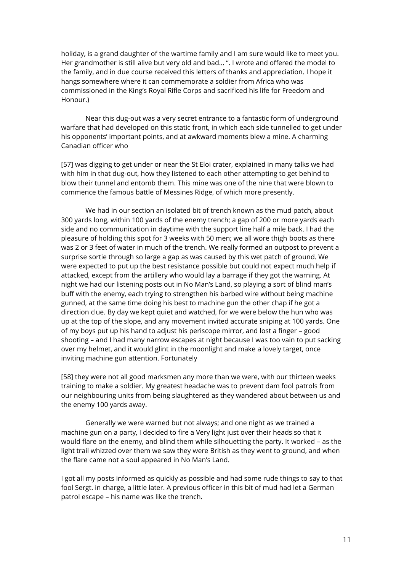holiday, is a grand daughter of the wartime family and I am sure would like to meet you. Her grandmother is still alive but very old and bad… ". I wrote and offered the model to the family, and in due course received this letters of thanks and appreciation. I hope it hangs somewhere where it can commemorate a soldier from Africa who was commissioned in the King's Royal Rifle Corps and sacrificed his life for Freedom and Honour.)

Near this dug-out was a very secret entrance to a fantastic form of underground warfare that had developed on this static front, in which each side tunnelled to get under his opponents' important points, and at awkward moments blew a mine. A charming Canadian officer who

[57] was digging to get under or near the St Eloi crater, explained in many talks we had with him in that dug-out, how they listened to each other attempting to get behind to blow their tunnel and entomb them. This mine was one of the nine that were blown to commence the famous battle of Messines Ridge, of which more presently.

We had in our section an isolated bit of trench known as the mud patch, about 300 yards long, within 100 yards of the enemy trench; a gap of 200 or more yards each side and no communication in daytime with the support line half a mile back. I had the pleasure of holding this spot for 3 weeks with 50 men; we all wore thigh boots as there was 2 or 3 feet of water in much of the trench. We really formed an outpost to prevent a surprise sortie through so large a gap as was caused by this wet patch of ground. We were expected to put up the best resistance possible but could not expect much help if attacked, except from the artillery who would lay a barrage if they got the warning. At night we had our listening posts out in No Man's Land, so playing a sort of blind man's buff with the enemy, each trying to strengthen his barbed wire without being machine gunned, at the same time doing his best to machine gun the other chap if he got a direction clue. By day we kept quiet and watched, for we were below the hun who was up at the top of the slope, and any movement invited accurate sniping at 100 yards. One of my boys put up his hand to adjust his periscope mirror, and lost a finger – good shooting – and I had many narrow escapes at night because I was too vain to put sacking over my helmet, and it would glint in the moonlight and make a lovely target, once inviting machine gun attention. Fortunately

[58] they were not all good marksmen any more than we were, with our thirteen weeks training to make a soldier. My greatest headache was to prevent dam fool patrols from our neighbouring units from being slaughtered as they wandered about between us and the enemy 100 yards away.

Generally we were warned but not always; and one night as we trained a machine gun on a party, I decided to fire a Very light just over their heads so that it would flare on the enemy, and blind them while silhouetting the party. It worked – as the light trail whizzed over them we saw they were British as they went to ground, and when the flare came not a soul appeared in No Man's Land.

I got all my posts informed as quickly as possible and had some rude things to say to that fool Sergt. in charge, a little later. A previous officer in this bit of mud had let a German patrol escape – his name was like the trench.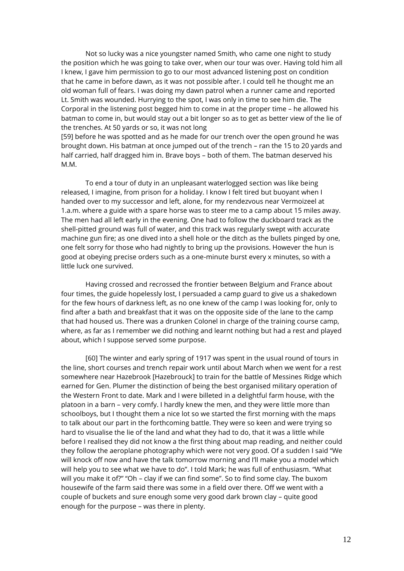Not so lucky was a nice youngster named Smith, who came one night to study the position which he was going to take over, when our tour was over. Having told him all I knew, I gave him permission to go to our most advanced listening post on condition that he came in before dawn, as it was not possible after. I could tell he thought me an old woman full of fears. I was doing my dawn patrol when a runner came and reported Lt. Smith was wounded. Hurrying to the spot, I was only in time to see him die. The Corporal in the listening post begged him to come in at the proper time – he allowed his batman to come in, but would stay out a bit longer so as to get as better view of the lie of the trenches. At 50 yards or so, it was not long

[59] before he was spotted and as he made for our trench over the open ground he was brought down. His batman at once jumped out of the trench – ran the 15 to 20 yards and half carried, half dragged him in. Brave boys – both of them. The batman deserved his M.M.

To end a tour of duty in an unpleasant waterlogged section was like being released, I imagine, from prison for a holiday. I know I felt tired but buoyant when I handed over to my successor and left, alone, for my rendezvous near Vermoizeel at 1.a.m. where a guide with a spare horse was to steer me to a camp about 15 miles away. The men had all left early in the evening. One had to follow the duckboard track as the shell-pitted ground was full of water, and this track was regularly swept with accurate machine gun fire; as one dived into a shell hole or the ditch as the bullets pinged by one, one felt sorry for those who had nightly to bring up the provisions. However the hun is good at obeying precise orders such as a one-minute burst every x minutes, so with a little luck one survived.

Having crossed and recrossed the frontier between Belgium and France about four times, the guide hopelessly lost, I persuaded a camp guard to give us a shakedown for the few hours of darkness left, as no one knew of the camp I was looking for, only to find after a bath and breakfast that it was on the opposite side of the lane to the camp that had housed us. There was a drunken Colonel in charge of the training course camp, where, as far as I remember we did nothing and learnt nothing but had a rest and played about, which I suppose served some purpose.

[60] The winter and early spring of 1917 was spent in the usual round of tours in the line, short courses and trench repair work until about March when we went for a rest somewhere near Hazebrook [Hazebrouck] to train for the battle of Messines Ridge which earned for Gen. Plumer the distinction of being the best organised military operation of the Western Front to date. Mark and I were billeted in a delightful farm house, with the platoon in a barn – very comfy. I hardly knew the men, and they were little more than schoolboys, but I thought them a nice lot so we started the first morning with the maps to talk about our part in the forthcoming battle. They were so keen and were trying so hard to visualise the lie of the land and what they had to do, that it was a little while before I realised they did not know a the first thing about map reading, and neither could they follow the aeroplane photography which were not very good. Of a sudden I said "We will knock off now and have the talk tomorrow morning and I'll make you a model which will help you to see what we have to do". I told Mark; he was full of enthusiasm. "What will you make it of?" "Oh – clay if we can find some". So to find some clay. The buxom housewife of the farm said there was some in a field over there. Off we went with a couple of buckets and sure enough some very good dark brown clay – quite good enough for the purpose – was there in plenty.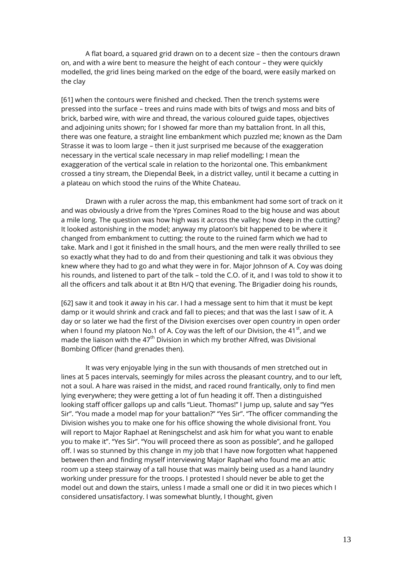A flat board, a squared grid drawn on to a decent size – then the contours drawn on, and with a wire bent to measure the height of each contour – they were quickly modelled, the grid lines being marked on the edge of the board, were easily marked on the clay

[61] when the contours were finished and checked. Then the trench systems were pressed into the surface – trees and ruins made with bits of twigs and moss and bits of brick, barbed wire, with wire and thread, the various coloured guide tapes, objectives and adjoining units shown; for I showed far more than my battalion front. In all this, there was one feature, a straight line embankment which puzzled me; known as the Dam Strasse it was to loom large – then it just surprised me because of the exaggeration necessary in the vertical scale necessary in map relief modelling; I mean the exaggeration of the vertical scale in relation to the horizontal one. This embankment crossed a tiny stream, the Diependal Beek, in a district valley, until it became a cutting in a plateau on which stood the ruins of the White Chateau.

Drawn with a ruler across the map, this embankment had some sort of track on it and was obviously a drive from the Ypres Comines Road to the big house and was about a mile long. The question was how high was it across the valley; how deep in the cutting? It looked astonishing in the model; anyway my platoon's bit happened to be where it changed from embankment to cutting; the route to the ruined farm which we had to take. Mark and I got it finished in the small hours, and the men were really thrilled to see so exactly what they had to do and from their questioning and talk it was obvious they knew where they had to go and what they were in for. Major Johnson of A. Coy was doing his rounds, and listened to part of the talk – told the C.O. of it, and I was told to show it to all the officers and talk about it at Btn H/Q that evening. The Brigadier doing his rounds,

[62] saw it and took it away in his car. I had a message sent to him that it must be kept damp or it would shrink and crack and fall to pieces; and that was the last I saw of it. A day or so later we had the first of the Division exercises over open country in open order when I found my platoon No.1 of A. Coy was the left of our Division, the 41 $^{\rm st}$ , and we made the liaison with the  $47<sup>th</sup>$  Division in which my brother Alfred, was Divisional Bombing Officer (hand grenades then).

It was very enjoyable lying in the sun with thousands of men stretched out in lines at 5 paces intervals, seemingly for miles across the pleasant country, and to our left, not a soul. A hare was raised in the midst, and raced round frantically, only to find men lying everywhere; they were getting a lot of fun heading it off. Then a distinguished looking staff officer gallops up and calls "Lieut. Thomas!" I jump up, salute and say "Yes Sir". "You made a model map for your battalion?" "Yes Sir". "The officer commanding the Division wishes you to make one for his office showing the whole divisional front. You will report to Major Raphael at Reningschelst and ask him for what you want to enable you to make it". "Yes Sir". "You will proceed there as soon as possible", and he galloped off. I was so stunned by this change in my job that I have now forgotten what happened between then and finding myself interviewing Major Raphael who found me an attic room up a steep stairway of a tall house that was mainly being used as a hand laundry working under pressure for the troops. I protested I should never be able to get the model out and down the stairs, unless I made a small one or did it in two pieces which I considered unsatisfactory. I was somewhat bluntly, I thought, given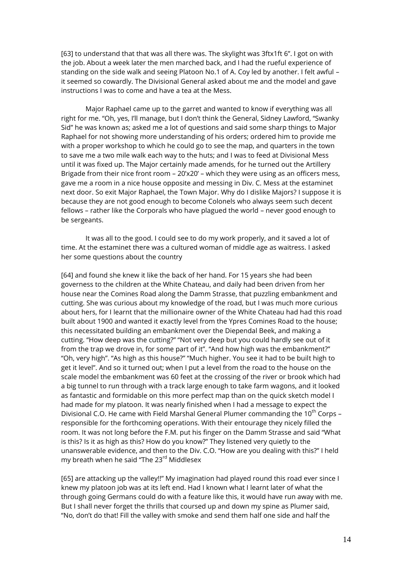[63] to understand that that was all there was. The skylight was 3ftx1ft 6". I got on with the job. About a week later the men marched back, and I had the rueful experience of standing on the side walk and seeing Platoon No.1 of A. Coy led by another. I felt awful – it seemed so cowardly. The Divisional General asked about me and the model and gave instructions I was to come and have a tea at the Mess.

Major Raphael came up to the garret and wanted to know if everything was all right for me. "Oh, yes, I'll manage, but I don't think the General, Sidney Lawford, "Swanky Sid" he was known as; asked me a lot of questions and said some sharp things to Major Raphael for not showing more understanding of his orders; ordered him to provide me with a proper workshop to which he could go to see the map, and quarters in the town to save me a two mile walk each way to the huts; and I was to feed at Divisional Mess until it was fixed up. The Major certainly made amends, for he turned out the Artillery Brigade from their nice front room – 20'x20' – which they were using as an officers mess, gave me a room in a nice house opposite and messing in Div. C. Mess at the estaminet next door. So exit Major Raphael, the Town Major. Why do I dislike Majors? I suppose it is because they are not good enough to become Colonels who always seem such decent fellows – rather like the Corporals who have plagued the world – never good enough to be sergeants.

It was all to the good. I could see to do my work properly, and it saved a lot of time. At the estaminet there was a cultured woman of middle age as waitress. I asked her some questions about the country

[64] and found she knew it like the back of her hand. For 15 years she had been governess to the children at the White Chateau, and daily had been driven from her house near the Comines Road along the Damm Strasse, that puzzling embankment and cutting. She was curious about my knowledge of the road, but I was much more curious about hers, for I learnt that the millionaire owner of the White Chateau had had this road built about 1900 and wanted it exactly level from the Ypres Comines Road to the house; this necessitated building an embankment over the Diependal Beek, and making a cutting. "How deep was the cutting?" "Not very deep but you could hardly see out of it from the trap we drove in, for some part of it". "And how high was the embankment?" "Oh, very high". "As high as this house?" "Much higher. You see it had to be built high to get it level". And so it turned out; when I put a level from the road to the house on the scale model the embankment was 60 feet at the crossing of the river or brook which had a big tunnel to run through with a track large enough to take farm wagons, and it looked as fantastic and formidable on this more perfect map than on the quick sketch model I had made for my platoon. It was nearly finished when I had a message to expect the Divisional C.O. He came with Field Marshal General Plumer commanding the 10<sup>th</sup> Corps – responsible for the forthcoming operations. With their entourage they nicely filled the room. It was not long before the F.M. put his finger on the Damm Strasse and said "What is this? Is it as high as this? How do you know?" They listened very quietly to the unanswerable evidence, and then to the Div. C.O. "How are you dealing with this?" I held my breath when he said "The 23<sup>rd</sup> Middlesex

[65] are attacking up the valley!!" My imagination had played round this road ever since I knew my platoon job was at its left end. Had I known what I learnt later of what the through going Germans could do with a feature like this, it would have run away with me. But I shall never forget the thrills that coursed up and down my spine as Plumer said, "No, don't do that! Fill the valley with smoke and send them half one side and half the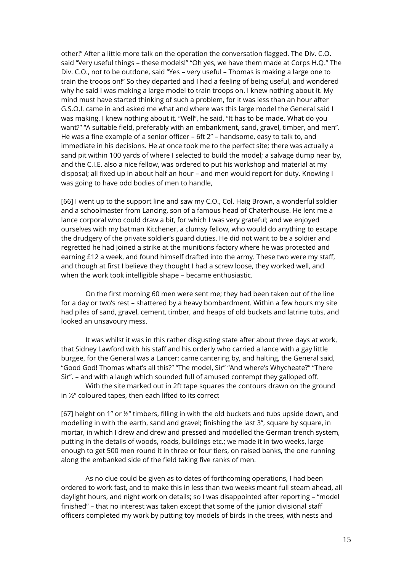other!" After a little more talk on the operation the conversation flagged. The Div. C.O. said "Very useful things – these models!" "Oh yes, we have them made at Corps H.Q." The Div. C.O., not to be outdone, said "Yes – very useful – Thomas is making a large one to train the troops on!" So they departed and I had a feeling of being useful, and wondered why he said I was making a large model to train troops on. I knew nothing about it. My mind must have started thinking of such a problem, for it was less than an hour after G.S.O.I. came in and asked me what and where was this large model the General said I was making. I knew nothing about it. "Well", he said, "It has to be made. What do you want?" "A suitable field, preferably with an embankment, sand, gravel, timber, and men". He was a fine example of a senior officer – 6ft 2" – handsome, easy to talk to, and immediate in his decisions. He at once took me to the perfect site; there was actually a sand pit within 100 yards of where I selected to build the model; a salvage dump near by, and the C.I.E. also a nice fellow, was ordered to put his workshop and material at my disposal; all fixed up in about half an hour – and men would report for duty. Knowing I was going to have odd bodies of men to handle,

[66] I went up to the support line and saw my C.O., Col. Haig Brown, a wonderful soldier and a schoolmaster from Lancing, son of a famous head of Chaterhouse. He lent me a lance corporal who could draw a bit, for which I was very grateful; and we enjoyed ourselves with my batman Kitchener, a clumsy fellow, who would do anything to escape the drudgery of the private soldier's guard duties. He did not want to be a soldier and regretted he had joined a strike at the munitions factory where he was protected and earning £12 a week, and found himself drafted into the army. These two were my staff, and though at first I believe they thought I had a screw loose, they worked well, and when the work took intelligible shape – became enthusiastic.

On the first morning 60 men were sent me; they had been taken out of the line for a day or two's rest – shattered by a heavy bombardment. Within a few hours my site had piles of sand, gravel, cement, timber, and heaps of old buckets and latrine tubs, and looked an unsavoury mess.

It was whilst it was in this rather disgusting state after about three days at work, that Sidney Lawford with his staff and his orderly who carried a lance with a gay little burgee, for the General was a Lancer; came cantering by, and halting, the General said, "Good God! Thomas what's all this?" "The model, Sir" "And where's Whycheate?" "There Sir". – and with a laugh which sounded full of amused contempt they galloped off.

With the site marked out in 2ft tape squares the contours drawn on the ground in ½" coloured tapes, then each lifted to its correct

[67] height on 1" or ½" timbers, filling in with the old buckets and tubs upside down, and modelling in with the earth, sand and gravel; finishing the last 3", square by square, in mortar, in which I drew and drew and pressed and modelled the German trench system, putting in the details of woods, roads, buildings etc.; we made it in two weeks, large enough to get 500 men round it in three or four tiers, on raised banks, the one running along the embanked side of the field taking five ranks of men.

As no clue could be given as to dates of forthcoming operations, I had been ordered to work fast, and to make this in less than two weeks meant full steam ahead, all daylight hours, and night work on details; so I was disappointed after reporting – "model finished" – that no interest was taken except that some of the junior divisional staff officers completed my work by putting toy models of birds in the trees, with nests and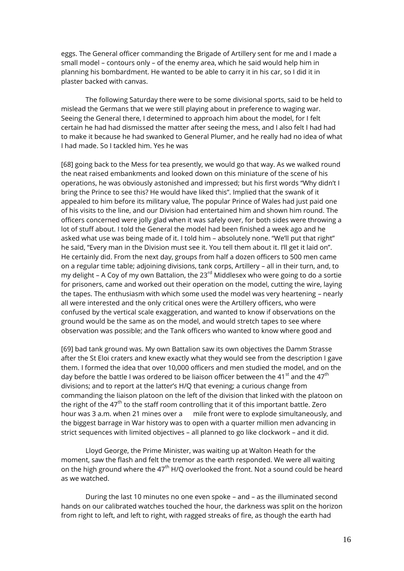eggs. The General officer commanding the Brigade of Artillery sent for me and I made a small model – contours only – of the enemy area, which he said would help him in planning his bombardment. He wanted to be able to carry it in his car, so I did it in plaster backed with canvas.

The following Saturday there were to be some divisional sports, said to be held to mislead the Germans that we were still playing about in preference to waging war. Seeing the General there, I determined to approach him about the model, for I felt certain he had had dismissed the matter after seeing the mess, and I also felt I had had to make it because he had swanked to General Plumer, and he really had no idea of what I had made. So I tackled him. Yes he was

[68] going back to the Mess for tea presently, we would go that way. As we walked round the neat raised embankments and looked down on this miniature of the scene of his operations, he was obviously astonished and impressed; but his first words "Why didn't I bring the Prince to see this? He would have liked this". Implied that the swank of it appealed to him before its military value, The popular Prince of Wales had just paid one of his visits to the line, and our Division had entertained him and shown him round. The officers concerned were jolly glad when it was safely over, for both sides were throwing a lot of stuff about. I told the General the model had been finished a week ago and he asked what use was being made of it. I told him – absolutely none. "We'll put that right" he said, "Every man in the Division must see it. You tell them about it. I'll get it laid on". He certainly did. From the next day, groups from half a dozen officers to 500 men came on a regular time table; adjoining divisions, tank corps, Artillery – all in their turn, and, to my delight – A Coy of my own Battalion, the  $23^{rd}$  Middlesex who were going to do a sortie for prisoners, came and worked out their operation on the model, cutting the wire, laying the tapes. The enthusiasm with which some used the model was very heartening – nearly all were interested and the only critical ones were the Artillery officers, who were confused by the vertical scale exaggeration, and wanted to know if observations on the ground would be the same as on the model, and would stretch tapes to see where observation was possible; and the Tank officers who wanted to know where good and

[69] bad tank ground was. My own Battalion saw its own objectives the Damm Strasse after the St Eloi craters and knew exactly what they would see from the description I gave them. I formed the idea that over 10,000 officers and men studied the model, and on the day before the battle I was ordered to be liaison officer between the 41<sup>st</sup> and the 47<sup>th</sup> divisions; and to report at the latter's H/Q that evening; a curious change from commanding the liaison platoon on the left of the division that linked with the platoon on the right of the  $47<sup>th</sup>$  to the staff room controlling that it of this important battle. Zero hour was 3 a.m. when 21 mines over a mile front were to explode simultaneously, and the biggest barrage in War history was to open with a quarter million men advancing in strict sequences with limited objectives – all planned to go like clockwork – and it did.

Lloyd George, the Prime Minister, was waiting up at Walton Heath for the moment, saw the flash and felt the tremor as the earth responded. We were all waiting on the high ground where the  $47<sup>th</sup> H/Q$  overlooked the front. Not a sound could be heard as we watched.

During the last 10 minutes no one even spoke – and – as the illuminated second hands on our calibrated watches touched the hour, the darkness was split on the horizon from right to left, and left to right, with ragged streaks of fire, as though the earth had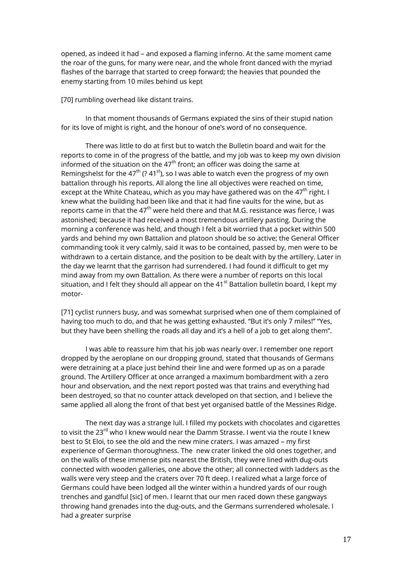opened, as indeed it had – and exposed a flaming inferno. At the same moment came the roar of the guns, for many were near, and the whole front danced with the myriad flashes of the barrage that started to creep forward; the heavies that pounded the enemy starting from 10 miles behind us kept

[70] rumbling overhead like distant trains.

In that moment thousands of Germans expiated the sins of their stupid nation for its love of might is right, and the honour of one's word of no consequence.

There was little to do at first but to watch the Bulletin board and wait for the reports to come in of the progress of the battle, and my job was to keep my own division informed of the situation on the  $47<sup>th</sup>$  front; an officer was doing the same at Remingshelst for the 47<sup>th</sup> (? 41<sup>st</sup>), so I was able to watch even the progress of my own battalion through his reports. All along the line all objectives were reached on time, except at the White Chateau, which as you may have gathered was on the  $47<sup>th</sup>$  right. I knew what the building had been like and that it had fine vaults for the wine, but as reports came in that the  $47<sup>th</sup>$  were held there and that M.G. resistance was fierce, I was astonished; because it had received a most tremendous artillery pasting. During the morning a conference was held, and though I felt a bit worried that a pocket within 500 yards and behind my own Battalion and platoon should be so active; the General Officer commanding took it very calmly, said it was to be contained, passed by, men were to be withdrawn to a certain distance, and the position to be dealt with by the artillery. Later in the day we learnt that the garrison had surrendered. I had found it difficult to get my mind away from my own Battalion. As there were a number of reports on this local situation, and I felt they should all appear on the 41 $^{\text{st}}$  Battalion bulletin board, I kept my motor-

[71] cyclist runners busy, and was somewhat surprised when one of them complained of having too much to do, and that he was getting exhausted. "But it's only 7 miles!" "Yes, but they have been shelling the roads all day and it's a hell of a job to get along them".

I was able to reassure him that his job was nearly over. I remember one report dropped by the aeroplane on our dropping ground, stated that thousands of Germans were detraining at a place just behind their line and were formed up as on a parade ground. The Artillery Officer at once arranged a maximum bombardment with a zero hour and observation, and the next report posted was that trains and everything had been destroyed, so that no counter attack developed on that section, and I believe the same applied all along the front of that best yet organised battle of the Messines Ridge.

The next day was a strange lull. I filled my pockets with chocolates and cigarettes to visit the 23<sup>rd</sup> who I knew would near the Damm Strasse. I went via the route I knew best to St Eloi, to see the old and the new mine craters. I was amazed – my first experience of German thoroughness. The new crater linked the old ones together, and on the walls of these immense pits nearest the British, they were lined with dug-outs connected with wooden galleries, one above the other; all connected with ladders as the walls were very steep and the craters over 70 ft deep. I realized what a large force of Germans could have been lodged all the winter within a hundred yards of our rough trenches and gandful [sic] of men. I learnt that our men raced down these gangways throwing hand grenades into the dug-outs, and the Germans surrendered wholesale. I had a greater surprise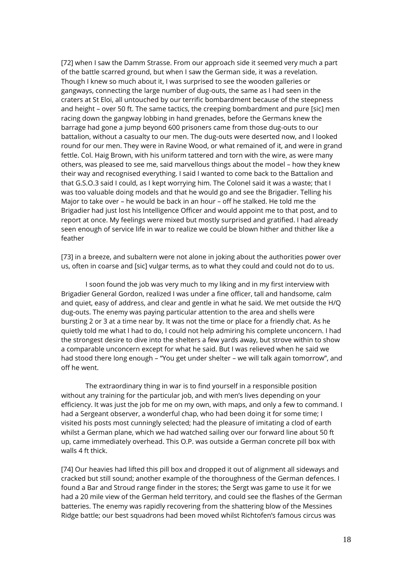[72] when I saw the Damm Strasse. From our approach side it seemed very much a part of the battle scarred ground, but when I saw the German side, it was a revelation. Though I knew so much about it, I was surprised to see the wooden galleries or gangways, connecting the large number of dug-outs, the same as I had seen in the craters at St Eloi, all untouched by our terrific bombardment because of the steepness and height – over 50 ft. The same tactics, the creeping bombardment and pure [sic] men racing down the gangway lobbing in hand grenades, before the Germans knew the barrage had gone a jump beyond 600 prisoners came from those dug-outs to our battalion, without a casualty to our men. The dug-outs were deserted now, and I looked round for our men. They were in Ravine Wood, or what remained of it, and were in grand fettle. Col. Haig Brown, with his uniform tattered and torn with the wire, as were many others, was pleased to see me, said marvellous things about the model – how they knew their way and recognised everything. I said I wanted to come back to the Battalion and that G.S.O.3 said I could, as I kept worrying him. The Colonel said it was a waste; that I was too valuable doing models and that he would go and see the Brigadier. Telling his Major to take over – he would be back in an hour – off he stalked. He told me the Brigadier had just lost his Intelligence Officer and would appoint me to that post, and to report at once. My feelings were mixed but mostly surprised and gratified. I had already seen enough of service life in war to realize we could be blown hither and thither like a feather

[73] in a breeze, and subaltern were not alone in joking about the authorities power over us, often in coarse and [sic] vulgar terms, as to what they could and could not do to us.

I soon found the job was very much to my liking and in my first interview with Brigadier General Gordon, realized I was under a fine officer, tall and handsome, calm and quiet, easy of address, and clear and gentle in what he said. We met outside the H/Q dug-outs. The enemy was paying particular attention to the area and shells were bursting 2 or 3 at a time near by. It was not the time or place for a friendly chat. As he quietly told me what I had to do, I could not help admiring his complete unconcern. I had the strongest desire to dive into the shelters a few yards away, but strove within to show a comparable unconcern except for what he said. But I was relieved when he said we had stood there long enough – "You get under shelter – we will talk again tomorrow", and off he went.

The extraordinary thing in war is to find yourself in a responsible position without any training for the particular job, and with men's lives depending on your efficiency. It was just the job for me on my own, with maps, and only a few to command. I had a Sergeant observer, a wonderful chap, who had been doing it for some time; I visited his posts most cunningly selected; had the pleasure of imitating a clod of earth whilst a German plane, which we had watched sailing over our forward line about 50 ft up, came immediately overhead. This O.P. was outside a German concrete pill box with walls 4 ft thick.

[74] Our heavies had lifted this pill box and dropped it out of alignment all sideways and cracked but still sound; another example of the thoroughness of the German defences. I found a Bar and Stroud range finder in the stores; the Sergt was game to use it for we had a 20 mile view of the German held territory, and could see the flashes of the German batteries. The enemy was rapidly recovering from the shattering blow of the Messines Ridge battle; our best squadrons had been moved whilst Richtofen's famous circus was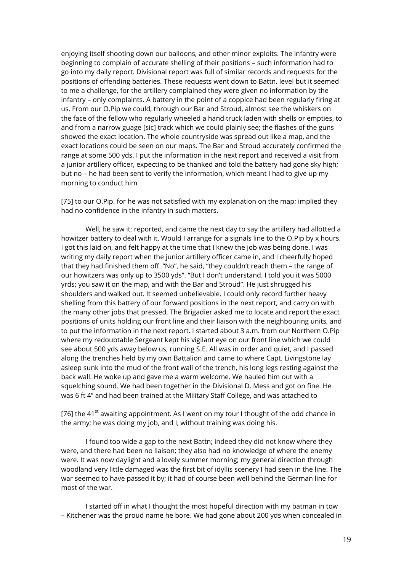enjoying itself shooting down our balloons, and other minor exploits. The infantry were beginning to complain of accurate shelling of their positions – such information had to go into my daily report. Divisional report was full of similar records and requests for the positions of offending batteries. These requests went down to Battn. level but it seemed to me a challenge, for the artillery complained they were given no information by the infantry – only complaints. A battery in the point of a coppice had been regularly firing at us. From our O.Pip we could, through our Bar and Stroud, almost see the whiskers on the face of the fellow who regularly wheeled a hand truck laden with shells or empties, to and from a narrow guage [sic] track which we could plainly see; the flashes of the guns showed the exact location. The whole countryside was spread out like a map, and the exact locations could be seen on our maps. The Bar and Stroud accurately confirmed the range at some 500 yds. I put the information in the next report and received a visit from a junior artillery officer, expecting to be thanked and told the battery had gone sky high; but no – he had been sent to verify the information, which meant I had to give up my morning to conduct him

[75] to our O.Pip. for he was not satisfied with my explanation on the map; implied they had no confidence in the infantry in such matters.

Well, he saw it; reported, and came the next day to say the artillery had allotted a howitzer battery to deal with it. Would I arrange for a signals line to the O.Pip by x hours. I got this laid on, and felt happy at the time that I knew the job was being done. I was writing my daily report when the junior artillery officer came in, and I cheerfully hoped that they had finished them off. "No", he said, "they couldn't reach them – the range of our howitzers was only up to 3500 yds". "But I don't understand. I told you it was 5000 yrds; you saw it on the map, and with the Bar and Stroud". He just shrugged his shoulders and walked out. It seemed unbelievable. I could only record further heavy shelling from this battery of our forward positions in the next report, and carry on with the many other jobs that pressed. The Brigadier asked me to locate and report the exact positions of units holding our front line and their liaison with the neighbouring units, and to put the information in the next report. I started about 3 a.m. from our Northern O.Pip where my redoubtable Sergeant kept his vigilant eye on our front line which we could see about 500 yds away below us, running S.E. All was in order and quiet, and I passed along the trenches held by my own Battalion and came to where Capt. Livingstone lay asleep sunk into the mud of the front wall of the trench, his long legs resting against the back wall. He woke up and gave me a warm welcome. We hauled him out with a squelching sound. We had been together in the Divisional D. Mess and got on fine. He was 6 ft 4" and had been trained at the Military Staff College, and was attached to

[76] the 41<sup>st</sup> awaiting appointment. As I went on my tour I thought of the odd chance in the army; he was doing my job, and I, without training was doing his.

I found too wide a gap to the next Battn; indeed they did not know where they were, and there had been no liaison; they also had no knowledge of where the enemy were. It was now daylight and a lovely summer morning; my general direction through woodland very little damaged was the first bit of idyllis scenery I had seen in the line. The war seemed to have passed it by; it had of course been well behind the German line for most of the war.

I started off in what I thought the most hopeful direction with my batman in tow – Kitchener was the proud name he bore. We had gone about 200 yds when concealed in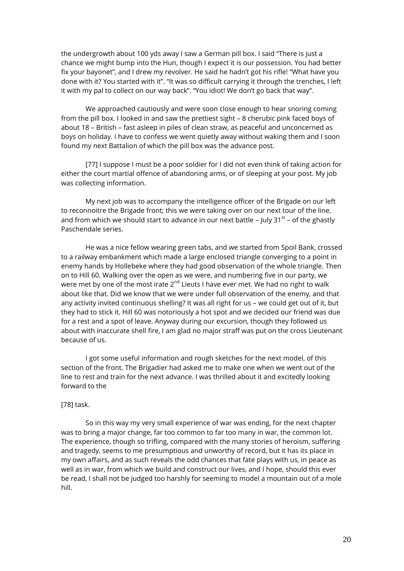the undergrowth about 100 yds away I saw a German pill box. I said "There is just a chance we might bump into the Hun, though I expect it is our possession. You had better fix your bayonet", and I drew my revolver. He said he hadn't got his rifle! "What have you done with it? You started with it". "It was so difficult carrying it through the trenches, I left it with my pal to collect on our way back". "You idiot! We don't go back that way".

We approached cautiously and were soon close enough to hear snoring coming from the pill box. I looked in and saw the prettiest sight – 8 cherubic pink faced boys of about 18 – British – fast asleep in piles of clean straw, as peaceful and unconcerned as boys on holiday. I have to confess we went quietly away without waking them and I soon found my next Battalion of which the pill box was the advance post.

[77] I suppose I must be a poor soldier for I did not even think of taking action for either the court martial offence of abandoning arms, or of sleeping at your post. My job was collecting information.

My next job was to accompany the intelligence officer of the Brigade on our left to reconnoitre the Brigade front; this we were taking over on our next tour of the line, and from which we should start to advance in our next battle – July 31 $^{\rm st}$  – of the ghastly Paschendale series.

He was a nice fellow wearing green tabs, and we started from Spoil Bank, crossed to a railway embankment which made a large enclosed triangle converging to a point in enemy hands by Hollebeke where they had good observation of the whole triangle. Then on to Hill 60. Walking over the open as we were, and numbering five in our party, we were met by one of the most irate  $2^{nd}$  Lieuts I have ever met. We had no right to walk about like that. Did we know that we were under full observation of the enemy, and that any activity invited continuous shelling? It was all right for us – we could get out of it, but they had to stick it. Hill 60 was notoriously a hot spot and we decided our friend was due for a rest and a spot of leave. Anyway during our excursion, though they followed us about with inaccurate shell fire, I am glad no major straff was put on the cross Lieutenant because of us.

I got some useful information and rough sketches for the next model, of this section of the front. The Brigadier had asked me to make one when we went out of the line to rest and train for the next advance. I was thrilled about it and excitedly looking forward to the

## [78] task.

So in this way my very small experience of war was ending, for the next chapter was to bring a major change, far too common to far too many in war, the common lot. The experience, though so trifling, compared with the many stories of heroism, suffering and tragedy, seems to me presumptious and unworthy of record, but it has its place in my own affairs, and as such reveals the odd chances that fate plays with us, in peace as well as in war, from which we build and construct our lives, and I hope, should this ever be read, I shall not be judged too harshly for seeming to model a mountain out of a mole hill.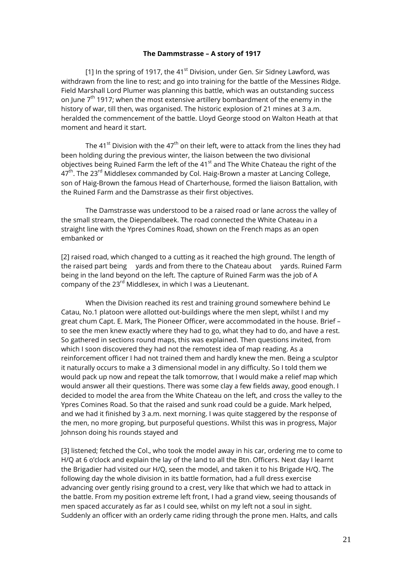#### **The Dammstrasse – A story of 1917**

[1] In the spring of 1917, the 41 $st$  Division, under Gen. Sir Sidney Lawford, was withdrawn from the line to rest; and go into training for the battle of the Messines Ridge. Field Marshall Lord Plumer was planning this battle, which was an outstanding success on June  $7<sup>th</sup>$  1917; when the most extensive artillery bombardment of the enemy in the history of war, till then, was organised. The historic explosion of 21 mines at 3 a.m. heralded the commencement of the battle. Lloyd George stood on Walton Heath at that moment and heard it start.

The 41<sup>st</sup> Division with the 47<sup>th</sup> on their left, were to attack from the lines they had been holding during the previous winter, the liaison between the two divisional objectives being Ruined Farm the left of the  $41<sup>st</sup>$  and The White Chateau the right of the  $47<sup>th</sup>$ . The 23<sup>rd</sup> Middlesex commanded by Col. Haig-Brown a master at Lancing College, son of Haig-Brown the famous Head of Charterhouse, formed the liaison Battalion, with the Ruined Farm and the Damstrasse as their first objectives.

The Damstrasse was understood to be a raised road or lane across the valley of the small stream, the Diependalbeek. The road connected the White Chateau in a straight line with the Ypres Comines Road, shown on the French maps as an open embanked or

[2] raised road, which changed to a cutting as it reached the high ground. The length of the raised part being yards and from there to the Chateau about yards. Ruined Farm being in the land beyond on the left. The capture of Ruined Farm was the job of A company of the  $23^{\text{rd}}$  Middlesex, in which I was a Lieutenant.

When the Division reached its rest and training ground somewhere behind Le Catau, No.1 platoon were allotted out-buildings where the men slept, whilst I and my great chum Capt. E. Mark, The Pioneer Officer, were accommodated in the house. Brief – to see the men knew exactly where they had to go, what they had to do, and have a rest. So gathered in sections round maps, this was explained. Then questions invited, from which I soon discovered they had not the remotest idea of map reading. As a reinforcement officer I had not trained them and hardly knew the men. Being a sculptor it naturally occurs to make a 3 dimensional model in any difficulty. So I told them we would pack up now and repeat the talk tomorrow, that I would make a relief map which would answer all their questions. There was some clay a few fields away, good enough. I decided to model the area from the White Chateau on the left, and cross the valley to the Ypres Comines Road. So that the raised and sunk road could be a guide. Mark helped, and we had it finished by 3 a.m. next morning. I was quite staggered by the response of the men, no more groping, but purposeful questions. Whilst this was in progress, Major Johnson doing his rounds stayed and

[3] listened; fetched the Col., who took the model away in his car, ordering me to come to H/Q at 6 o'clock and explain the lay of the land to all the Btn. Officers. Next day I learnt the Brigadier had visited our H/Q, seen the model, and taken it to his Brigade H/Q. The following day the whole division in its battle formation, had a full dress exercise advancing over gently rising ground to a crest, very like that which we had to attack in the battle. From my position extreme left front, I had a grand view, seeing thousands of men spaced accurately as far as I could see, whilst on my left not a soul in sight. Suddenly an officer with an orderly came riding through the prone men. Halts, and calls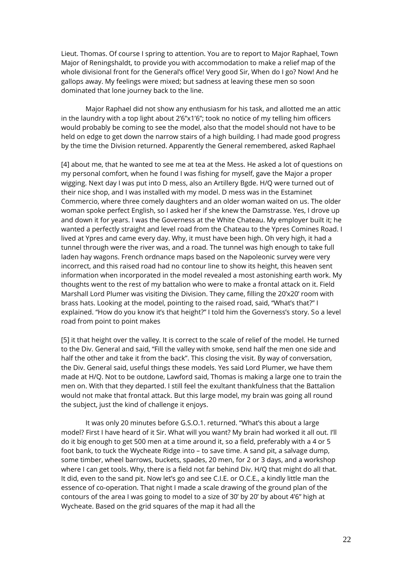Lieut. Thomas. Of course I spring to attention. You are to report to Major Raphael, Town Major of Reningshaldt, to provide you with accommodation to make a relief map of the whole divisional front for the General's office! Very good Sir, When do I go? Now! And he gallops away. My feelings were mixed; but sadness at leaving these men so soon dominated that lone journey back to the line.

Major Raphael did not show any enthusiasm for his task, and allotted me an attic in the laundry with a top light about 2'6"x1'6"; took no notice of my telling him officers would probably be coming to see the model, also that the model should not have to be held on edge to get down the narrow stairs of a high building. I had made good progress by the time the Division returned. Apparently the General remembered, asked Raphael

[4] about me, that he wanted to see me at tea at the Mess. He asked a lot of questions on my personal comfort, when he found I was fishing for myself, gave the Major a proper wigging. Next day I was put into D mess, also an Artillery Bgde. H/Q were turned out of their nice shop, and I was installed with my model. D mess was in the Estaminet Commercio, where three comely daughters and an older woman waited on us. The older woman spoke perfect English, so I asked her if she knew the Damstrasse. Yes, I drove up and down it for years. I was the Governess at the White Chateau. My employer built it; he wanted a perfectly straight and level road from the Chateau to the Ypres Comines Road. I lived at Ypres and came every day. Why, it must have been high. Oh very high, it had a tunnel through were the river was, and a road. The tunnel was high enough to take full laden hay wagons. French ordnance maps based on the Napoleonic survey were very incorrect, and this raised road had no contour line to show its height, this heaven sent information when incorporated in the model revealed a most astonishing earth work. My thoughts went to the rest of my battalion who were to make a frontal attack on it. Field Marshall Lord Plumer was visiting the Division. They came, filling the 20'x20' room with brass hats. Looking at the model, pointing to the raised road, said, "What's that?" I explained. "How do you know it's that height?" I told him the Governess's story. So a level road from point to point makes

[5] it that height over the valley. It is correct to the scale of relief of the model. He turned to the Div. General and said, "Fill the valley with smoke, send half the men one side and half the other and take it from the back". This closing the visit. By way of conversation, the Div. General said, useful things these models. Yes said Lord Plumer, we have them made at H/Q. Not to be outdone, Lawford said, Thomas is making a large one to train the men on. With that they departed. I still feel the exultant thankfulness that the Battalion would not make that frontal attack. But this large model, my brain was going all round the subject, just the kind of challenge it enjoys.

It was only 20 minutes before G.S.O.1. returned. "What's this about a large model? First I have heard of it Sir. What will you want? My brain had worked it all out. I'll do it big enough to get 500 men at a time around it, so a field, preferably with a 4 or 5 foot bank, to tuck the Wycheate Ridge into – to save time. A sand pit, a salvage dump, some timber, wheel barrows, buckets, spades, 20 men, for 2 or 3 days, and a workshop where I can get tools. Why, there is a field not far behind Div. H/Q that might do all that. It did, even to the sand pit. Now let's go and see C.I.E. or O.C.E., a kindly little man the essence of co-operation. That night I made a scale drawing of the ground plan of the contours of the area I was going to model to a size of 30' by 20' by about 4'6" high at Wycheate. Based on the grid squares of the map it had all the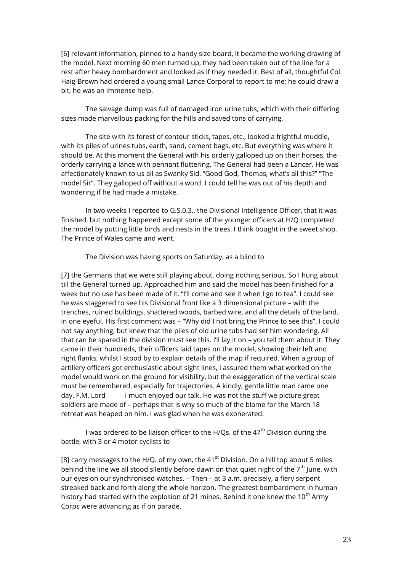[6] relevant information, pinned to a handy size board, it became the working drawing of the model. Next morning 60 men turned up, they had been taken out of the line for a rest after heavy bombardment and looked as if they needed it. Best of all, thoughtful Col. Haig-Brown had ordered a young small Lance Corporal to report to me; he could draw a bit, he was an immense help.

The salvage dump was full of damaged iron urine tubs, which with their differing sizes made marvellous packing for the hills and saved tons of carrying.

The site with its forest of contour sticks, tapes, etc., looked a frightful muddle, with its piles of urines tubs, earth, sand, cement bags, etc. But everything was where it should be. At this moment the General with his orderly galloped up on their horses, the orderly carrying a lance with pennant fluttering. The General had been a Lancer. He was affectionately known to us all as Swanky Sid. "Good God, Thomas, what's all this?" "The model Sir". They galloped off without a word. I could tell he was out of his depth and wondering if he had made a mistake.

In two weeks I reported to G.S.0.3., the Divisional Intelligence Officer, that it was finished, but nothing happened except some of the younger officers at H/Q completed the model by putting little birds and nests in the trees, I think bought in the sweet shop. The Prince of Wales came and went.

The Division was having sports on Saturday, as a blind to

[7] the Germans that we were still playing about, doing nothing serious. So I hung about till the General turned up. Approached him and said the model has been finished for a week but no use has been made of it. "I'll come and see it when I go to tea". I could see he was staggered to see his Divisional front like a 3 dimensional picture – with the trenches, ruined buildings, shattered woods, barbed wire, and all the details of the land, in one eyeful. His first comment was – "Why did I not bring the Prince to see this". I could not say anything, but knew that the piles of old urine tubs had set him wondering. All that can be spared in the division must see this. I'll lay it on – you tell them about it. They came in their hundreds, their officers laid tapes on the model, showing their left and right flanks, whilst I stood by to explain details of the map if required. When a group of artillery officers got enthusiastic about sight lines, I assured them what worked on the model would work on the ground for visibility, but the exaggeration of the vertical scale must be remembered, especially for trajectories. A kindly, gentle little man came one day. F.M. Lord I much enjoyed our talk. He was not the stuff we picture great soldiers are made of – perhaps that is why so much of the blame for the March 18 retreat was heaped on him. I was glad when he was exonerated.

I was ordered to be liaison officer to the H/Qs. of the  $47<sup>th</sup>$  Division during the battle, with 3 or 4 motor cyclists to

[8] carry messages to the H/Q. of my own, the 41 $\mathrm{^{st}}$  Division. On a hill top about 5 miles behind the line we all stood silently before dawn on that quiet night of the  $7<sup>th</sup>$  June, with our eyes on our synchronised watches. – Then – at 3 a.m. precisely, a fiery serpent streaked back and forth along the whole horizon. The greatest bombardment in human history had started with the explosion of 21 mines. Behind it one knew the  $10^{th}$  Army Corps were advancing as if on parade.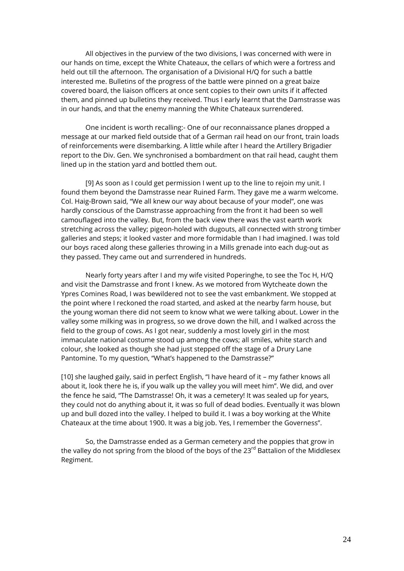All objectives in the purview of the two divisions, I was concerned with were in our hands on time, except the White Chateaux, the cellars of which were a fortress and held out till the afternoon. The organisation of a Divisional H/Q for such a battle interested me. Bulletins of the progress of the battle were pinned on a great baize covered board, the liaison officers at once sent copies to their own units if it affected them, and pinned up bulletins they received. Thus I early learnt that the Damstrasse was in our hands, and that the enemy manning the White Chateaux surrendered.

One incident is worth recalling:- One of our reconnaissance planes dropped a message at our marked field outside that of a German rail head on our front, train loads of reinforcements were disembarking. A little while after I heard the Artillery Brigadier report to the Div. Gen. We synchronised a bombardment on that rail head, caught them lined up in the station yard and bottled them out.

[9] As soon as I could get permission I went up to the line to rejoin my unit. I found them beyond the Damstrasse near Ruined Farm. They gave me a warm welcome. Col. Haig-Brown said, "We all knew our way about because of your model", one was hardly conscious of the Damstrasse approaching from the front it had been so well camouflaged into the valley. But, from the back view there was the vast earth work stretching across the valley; pigeon-holed with dugouts, all connected with strong timber galleries and steps; it looked vaster and more formidable than I had imagined. I was told our boys raced along these galleries throwing in a Mills grenade into each dug-out as they passed. They came out and surrendered in hundreds.

Nearly forty years after I and my wife visited Poperinghe, to see the Toc H, H/Q and visit the Damstrasse and front I knew. As we motored from Wytcheate down the Ypres Comines Road, I was bewildered not to see the vast embankment. We stopped at the point where I reckoned the road started, and asked at the nearby farm house, but the young woman there did not seem to know what we were talking about. Lower in the valley some milking was in progress, so we drove down the hill, and I walked across the field to the group of cows. As I got near, suddenly a most lovely girl in the most immaculate national costume stood up among the cows; all smiles, white starch and colour, she looked as though she had just stepped off the stage of a Drury Lane Pantomine. To my question, "What's happened to the Damstrasse?"

[10] she laughed gaily, said in perfect English, "I have heard of it – my father knows all about it, look there he is, if you walk up the valley you will meet him". We did, and over the fence he said, "The Damstrasse! Oh, it was a cemetery! It was sealed up for years, they could not do anything about it, it was so full of dead bodies. Eventually it was blown up and bull dozed into the valley. I helped to build it. I was a boy working at the White Chateaux at the time about 1900. It was a big job. Yes, I remember the Governess".

So, the Damstrasse ended as a German cemetery and the poppies that grow in the valley do not spring from the blood of the boys of the 23<sup>rd</sup> Battalion of the Middlesex Regiment.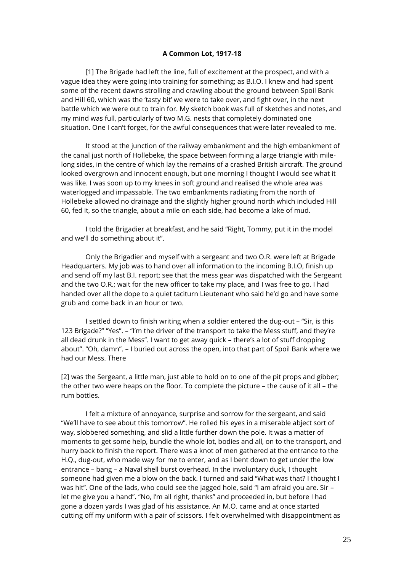### **A Common Lot, 1917-18**

[1] The Brigade had left the line, full of excitement at the prospect, and with a vague idea they were going into training for something; as B.I.O. I knew and had spent some of the recent dawns strolling and crawling about the ground between Spoil Bank and Hill 60, which was the 'tasty bit' we were to take over, and fight over, in the next battle which we were out to train for. My sketch book was full of sketches and notes, and my mind was full, particularly of two M.G. nests that completely dominated one situation. One I can't forget, for the awful consequences that were later revealed to me.

It stood at the junction of the railway embankment and the high embankment of the canal just north of Hollebeke, the space between forming a large triangle with milelong sides, in the centre of which lay the remains of a crashed British aircraft. The ground looked overgrown and innocent enough, but one morning I thought I would see what it was like. I was soon up to my knees in soft ground and realised the whole area was waterlogged and impassable. The two embankments radiating from the north of Hollebeke allowed no drainage and the slightly higher ground north which included Hill 60, fed it, so the triangle, about a mile on each side, had become a lake of mud.

I told the Brigadier at breakfast, and he said "Right, Tommy, put it in the model and we'll do something about it".

Only the Brigadier and myself with a sergeant and two O.R. were left at Brigade Headquarters. My job was to hand over all information to the incoming B.I.O, finish up and send off my last B.I. report; see that the mess gear was dispatched with the Sergeant and the two O.R.; wait for the new officer to take my place, and I was free to go. I had handed over all the dope to a quiet taciturn Lieutenant who said he'd go and have some grub and come back in an hour or two.

I settled down to finish writing when a soldier entered the dug-out – "Sir, is this 123 Brigade?" "Yes". – "I'm the driver of the transport to take the Mess stuff, and they're all dead drunk in the Mess". I want to get away quick – there's a lot of stuff dropping about". "Oh, damn". – I buried out across the open, into that part of Spoil Bank where we had our Mess. There

[2] was the Sergeant, a little man, just able to hold on to one of the pit props and gibber; the other two were heaps on the floor. To complete the picture – the cause of it all – the rum bottles.

I felt a mixture of annoyance, surprise and sorrow for the sergeant, and said "We'll have to see about this tomorrow". He rolled his eyes in a miserable abject sort of way, slobbered something, and slid a little further down the pole. It was a matter of moments to get some help, bundle the whole lot, bodies and all, on to the transport, and hurry back to finish the report. There was a knot of men gathered at the entrance to the H.Q., dug-out, who made way for me to enter, and as I bent down to get under the low entrance – bang – a Naval shell burst overhead. In the involuntary duck, I thought someone had given me a blow on the back. I turned and said "What was that? I thought I was hit". One of the lads, who could see the jagged hole, said "I am afraid you are. Sir – let me give you a hand". "No, I'm all right, thanks" and proceeded in, but before I had gone a dozen yards I was glad of his assistance. An M.O. came and at once started cutting off my uniform with a pair of scissors. I felt overwhelmed with disappointment as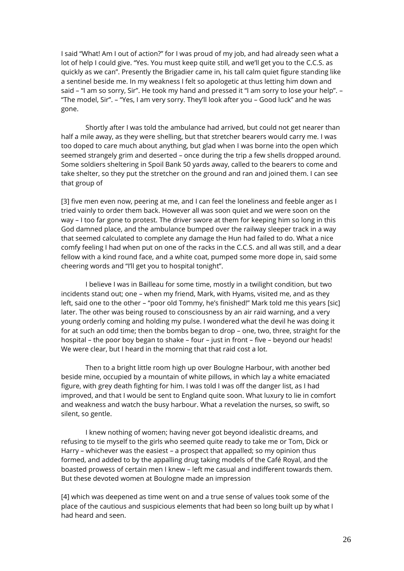I said "What! Am I out of action?" for I was proud of my job, and had already seen what a lot of help I could give. "Yes. You must keep quite still, and we'll get you to the C.C.S. as quickly as we can". Presently the Brigadier came in, his tall calm quiet figure standing like a sentinel beside me. In my weakness I felt so apologetic at thus letting him down and said – "I am so sorry, Sir". He took my hand and pressed it "I am sorry to lose your help". -"The model, Sir". – "Yes, I am very sorry. They'll look after you – Good luck" and he was gone.

Shortly after I was told the ambulance had arrived, but could not get nearer than half a mile away, as they were shelling, but that stretcher bearers would carry me. I was too doped to care much about anything, but glad when I was borne into the open which seemed strangely grim and deserted – once during the trip a few shells dropped around. Some soldiers sheltering in Spoil Bank 50 yards away, called to the bearers to come and take shelter, so they put the stretcher on the ground and ran and joined them. I can see that group of

[3] five men even now, peering at me, and I can feel the loneliness and feeble anger as I tried vainly to order them back. However all was soon quiet and we were soon on the way – I too far gone to protest. The driver swore at them for keeping him so long in this God damned place, and the ambulance bumped over the railway sleeper track in a way that seemed calculated to complete any damage the Hun had failed to do. What a nice comfy feeling I had when put on one of the racks in the C.C.S. and all was still, and a dear fellow with a kind round face, and a white coat, pumped some more dope in, said some cheering words and "I'll get you to hospital tonight".

I believe I was in Bailleau for some time, mostly in a twilight condition, but two incidents stand out; one – when my friend, Mark, with Hyams, visited me, and as they left, said one to the other - "poor old Tommy, he's finished!" Mark told me this years [sic] later. The other was being roused to consciousness by an air raid warning, and a very young orderly coming and holding my pulse. I wondered what the devil he was doing it for at such an odd time; then the bombs began to drop – one, two, three, straight for the hospital – the poor boy began to shake – four – just in front – five – beyond our heads! We were clear, but I heard in the morning that that raid cost a lot.

Then to a bright little room high up over Boulogne Harbour, with another bed beside mine, occupied by a mountain of white pillows, in which lay a white emaciated figure, with grey death fighting for him. I was told I was off the danger list, as I had improved, and that I would be sent to England quite soon. What luxury to lie in comfort and weakness and watch the busy harbour. What a revelation the nurses, so swift, so silent, so gentle.

I knew nothing of women; having never got beyond idealistic dreams, and refusing to tie myself to the girls who seemed quite ready to take me or Tom, Dick or Harry – whichever was the easiest – a prospect that appalled; so my opinion thus formed, and added to by the appalling drug taking models of the Café Royal, and the boasted prowess of certain men I knew – left me casual and indifferent towards them. But these devoted women at Boulogne made an impression

[4] which was deepened as time went on and a true sense of values took some of the place of the cautious and suspicious elements that had been so long built up by what I had heard and seen.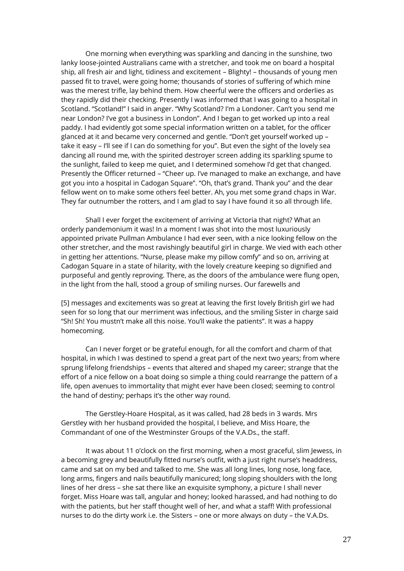One morning when everything was sparkling and dancing in the sunshine, two lanky loose-jointed Australians came with a stretcher, and took me on board a hospital ship, all fresh air and light, tidiness and excitement – Blighty! – thousands of young men passed fit to travel, were going home; thousands of stories of suffering of which mine was the merest trifle, lay behind them. How cheerful were the officers and orderlies as they rapidly did their checking. Presently I was informed that I was going to a hospital in Scotland. "Scotland!" I said in anger. "Why Scotland? I'm a Londoner. Can't you send me near London? I've got a business in London". And I began to get worked up into a real paddy. I had evidently got some special information written on a tablet, for the officer glanced at it and became very concerned and gentle. "Don't get yourself worked up – take it easy – I'll see if I can do something for you". But even the sight of the lovely sea dancing all round me, with the spirited destroyer screen adding its sparkling spume to the sunlight, failed to keep me quiet, and I determined somehow I'd get that changed. Presently the Officer returned – "Cheer up. I've managed to make an exchange, and have got you into a hospital in Cadogan Square". "Oh, that's grand. Thank you" and the dear fellow went on to make some others feel better. Ah, you met some grand chaps in War. They far outnumber the rotters, and I am glad to say I have found it so all through life.

Shall I ever forget the excitement of arriving at Victoria that night? What an orderly pandemonium it was! In a moment I was shot into the most luxuriously appointed private Pullman Ambulance I had ever seen, with a nice looking fellow on the other stretcher, and the most ravishingly beautiful girl in charge. We vied with each other in getting her attentions. "Nurse, please make my pillow comfy" and so on, arriving at Cadogan Square in a state of hilarity, with the lovely creature keeping so dignified and purposeful and gently reproving. There, as the doors of the ambulance were flung open, in the light from the hall, stood a group of smiling nurses. Our farewells and

[5] messages and excitements was so great at leaving the first lovely British girl we had seen for so long that our merriment was infectious, and the smiling Sister in charge said "Sh! Sh! You mustn't make all this noise. You'll wake the patients". It was a happy homecoming.

Can I never forget or be grateful enough, for all the comfort and charm of that hospital, in which I was destined to spend a great part of the next two years; from where sprung lifelong friendships – events that altered and shaped my career; strange that the effort of a nice fellow on a boat doing so simple a thing could rearrange the pattern of a life, open avenues to immortality that might ever have been closed; seeming to control the hand of destiny; perhaps it's the other way round.

The Gerstley-Hoare Hospital, as it was called, had 28 beds in 3 wards. Mrs Gerstley with her husband provided the hospital, I believe, and Miss Hoare, the Commandant of one of the Westminster Groups of the V.A.Ds., the staff.

It was about 11 o'clock on the first morning, when a most graceful, slim Jewess, in a becoming grey and beautifully fitted nurse's outfit, with a just right nurse's headdress, came and sat on my bed and talked to me. She was all long lines, long nose, long face, long arms, fingers and nails beautifully manicured; long sloping shoulders with the long lines of her dress – she sat there like an exquisite symphony, a picture I shall never forget. Miss Hoare was tall, angular and honey; looked harassed, and had nothing to do with the patients, but her staff thought well of her, and what a staff! With professional nurses to do the dirty work i.e. the Sisters – one or more always on duty – the V.A.Ds.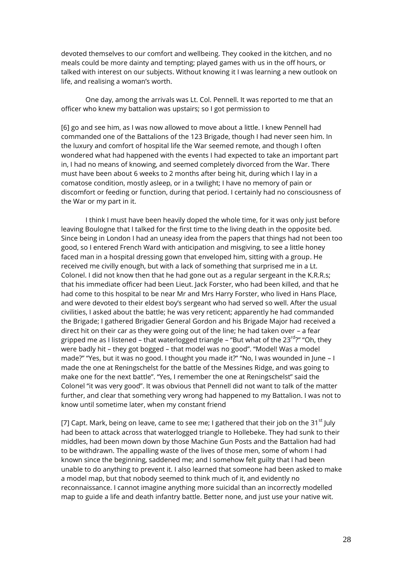devoted themselves to our comfort and wellbeing. They cooked in the kitchen, and no meals could be more dainty and tempting; played games with us in the off hours, or talked with interest on our subjects. Without knowing it I was learning a new outlook on life, and realising a woman's worth.

One day, among the arrivals was Lt. Col. Pennell. It was reported to me that an officer who knew my battalion was upstairs; so I got permission to

[6] go and see him, as I was now allowed to move about a little. I knew Pennell had commanded one of the Battalions of the 123 Brigade, though I had never seen him. In the luxury and comfort of hospital life the War seemed remote, and though I often wondered what had happened with the events I had expected to take an important part in, I had no means of knowing, and seemed completely divorced from the War. There must have been about 6 weeks to 2 months after being hit, during which I lay in a comatose condition, mostly asleep, or in a twilight; I have no memory of pain or discomfort or feeding or function, during that period. I certainly had no consciousness of the War or my part in it.

I think I must have been heavily doped the whole time, for it was only just before leaving Boulogne that I talked for the first time to the living death in the opposite bed. Since being in London I had an uneasy idea from the papers that things had not been too good, so I entered French Ward with anticipation and misgiving, to see a little honey faced man in a hospital dressing gown that enveloped him, sitting with a group. He received me civilly enough, but with a lack of something that surprised me in a Lt. Colonel. I did not know then that he had gone out as a regular sergeant in the K.R.R.s; that his immediate officer had been Lieut. Jack Forster, who had been killed, and that he had come to this hospital to be near Mr and Mrs Harry Forster, who lived in Hans Place, and were devoted to their eldest boy's sergeant who had served so well. After the usual civilities, I asked about the battle; he was very reticent; apparently he had commanded the Brigade; I gathered Brigadier General Gordon and his Brigade Major had received a direct hit on their car as they were going out of the line; he had taken over – a fear gripped me as I listened – that waterlogged triangle – "But what of the  $23^{\text{rd}}$ ?" "Oh, they were badly hit – they got bogged – that model was no good". "Model! Was a model made?" "Yes, but it was no good. I thought you made it?" "No, I was wounded in June – I made the one at Reningschelst for the battle of the Messines Ridge, and was going to make one for the next battle". "Yes, I remember the one at Reningschelst" said the Colonel "it was very good". It was obvious that Pennell did not want to talk of the matter further, and clear that something very wrong had happened to my Battalion. I was not to know until sometime later, when my constant friend

[7] Capt. Mark, being on leave, came to see me; I gathered that their job on the 31 $^{\rm st}$  July had been to attack across that waterlogged triangle to Hollebeke. They had sunk to their middles, had been mown down by those Machine Gun Posts and the Battalion had had to be withdrawn. The appalling waste of the lives of those men, some of whom I had known since the beginning, saddened me; and I somehow felt guilty that I had been unable to do anything to prevent it. I also learned that someone had been asked to make a model map, but that nobody seemed to think much of it, and evidently no reconnaissance. I cannot imagine anything more suicidal than an incorrectly modelled map to guide a life and death infantry battle. Better none, and just use your native wit.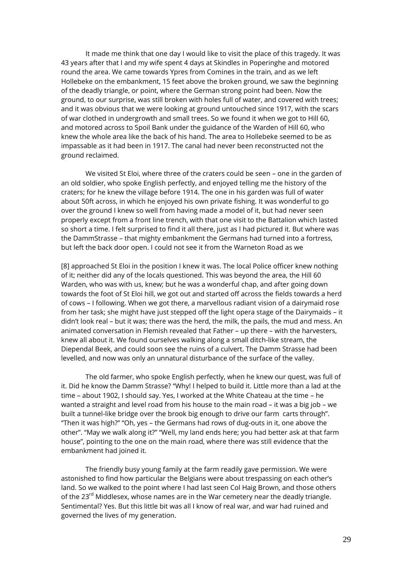It made me think that one day I would like to visit the place of this tragedy. It was 43 years after that I and my wife spent 4 days at Skindles in Poperinghe and motored round the area. We came towards Ypres from Comines in the train, and as we left Hollebeke on the embankment, 15 feet above the broken ground, we saw the beginning of the deadly triangle, or point, where the German strong point had been. Now the ground, to our surprise, was still broken with holes full of water, and covered with trees; and it was obvious that we were looking at ground untouched since 1917, with the scars of war clothed in undergrowth and small trees. So we found it when we got to Hill 60, and motored across to Spoil Bank under the guidance of the Warden of Hill 60, who knew the whole area like the back of his hand. The area to Hollebeke seemed to be as impassable as it had been in 1917. The canal had never been reconstructed not the ground reclaimed.

We visited St Eloi, where three of the craters could be seen – one in the garden of an old soldier, who spoke English perfectly, and enjoyed telling me the history of the craters; for he knew the village before 1914. The one in his garden was full of water about 50ft across, in which he enjoyed his own private fishing. It was wonderful to go over the ground I knew so well from having made a model of it, but had never seen properly except from a front line trench, with that one visit to the Battalion which lasted so short a time. I felt surprised to find it all there, just as I had pictured it. But where was the DammStrasse – that mighty embankment the Germans had turned into a fortress, but left the back door open. I could not see it from the Warneton Road as we

[8] approached St Eloi in the position I knew it was. The local Police officer knew nothing of it; neither did any of the locals questioned. This was beyond the area, the Hill 60 Warden, who was with us, knew; but he was a wonderful chap, and after going down towards the foot of St Eloi hill, we got out and started off across the fields towards a herd of cows – I following. When we got there, a marvellous radiant vision of a dairymaid rose from her task; she might have just stepped off the light opera stage of the Dairymaids – it didn't look real – but it was; there was the herd, the milk, the pails, the mud and mess. An animated conversation in Flemish revealed that Father – up there – with the harvesters, knew all about it. We found ourselves walking along a small ditch-like stream, the Diependal Beek, and could soon see the ruins of a culvert. The Damm Strasse had been levelled, and now was only an unnatural disturbance of the surface of the valley.

The old farmer, who spoke English perfectly, when he knew our quest, was full of it. Did he know the Damm Strasse? "Why! I helped to build it. Little more than a lad at the time – about 1902, I should say. Yes, I worked at the White Chateau at the time – he wanted a straight and level road from his house to the main road – it was a big job – we built a tunnel-like bridge over the brook big enough to drive our farm carts through". "Then it was high?" "Oh, yes – the Germans had rows of dug-outs in it, one above the other". "May we walk along it?" "Well, my land ends here; you had better ask at that farm house", pointing to the one on the main road, where there was still evidence that the embankment had joined it.

The friendly busy young family at the farm readily gave permission. We were astonished to find how particular the Belgians were about trespassing on each other's land. So we walked to the point where I had last seen Col Haig Brown, and those others of the 23<sup>rd</sup> Middlesex, whose names are in the War cemetery near the deadly triangle. Sentimental? Yes. But this little bit was all I know of real war, and war had ruined and governed the lives of my generation.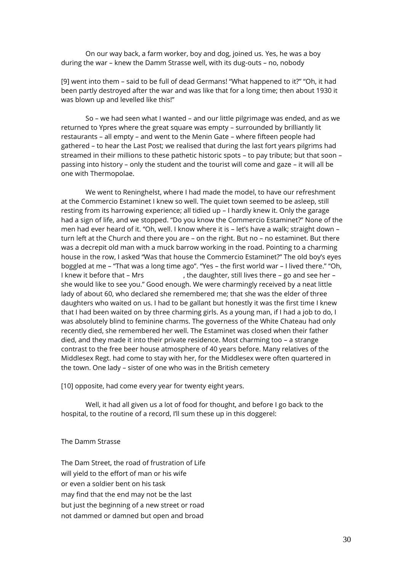On our way back, a farm worker, boy and dog, joined us. Yes, he was a boy during the war – knew the Damm Strasse well, with its dug-outs – no, nobody

[9] went into them – said to be full of dead Germans! "What happened to it?" "Oh, it had been partly destroyed after the war and was like that for a long time; then about 1930 it was blown up and levelled like this!"

So – we had seen what I wanted – and our little pilgrimage was ended, and as we returned to Ypres where the great square was empty – surrounded by brilliantly lit restaurants – all empty – and went to the Menin Gate – where fifteen people had gathered – to hear the Last Post; we realised that during the last fort years pilgrims had streamed in their millions to these pathetic historic spots – to pay tribute; but that soon – passing into history – only the student and the tourist will come and gaze – it will all be one with Thermopolae.

We went to Reninghelst, where I had made the model, to have our refreshment at the Commercio Estaminet I knew so well. The quiet town seemed to be asleep, still resting from its harrowing experience; all tidied up – I hardly knew it. Only the garage had a sign of life, and we stopped. "Do you know the Commercio Estaminet?" None of the men had ever heard of it. "Oh, well. I know where it is – let's have a walk; straight down – turn left at the Church and there you are – on the right. But no – no estaminet. But there was a decrepit old man with a muck barrow working in the road. Pointing to a charming house in the row, I asked "Was that house the Commercio Estaminet?" The old boy's eyes boggled at me – "That was a long time ago". "Yes – the first world war – I lived there." "Oh, I knew it before that – Mrs extending the daughter, still lives there – go and see her – she would like to see you." Good enough. We were charmingly received by a neat little lady of about 60, who declared she remembered me; that she was the elder of three daughters who waited on us. I had to be gallant but honestly it was the first time I knew that I had been waited on by three charming girls. As a young man, if I had a job to do, I was absolutely blind to feminine charms. The governess of the White Chateau had only recently died, she remembered her well. The Estaminet was closed when their father died, and they made it into their private residence. Most charming too – a strange contrast to the free beer house atmosphere of 40 years before. Many relatives of the Middlesex Regt. had come to stay with her, for the Middlesex were often quartered in the town. One lady – sister of one who was in the British cemetery

[10] opposite, had come every year for twenty eight years.

Well, it had all given us a lot of food for thought, and before I go back to the hospital, to the routine of a record, I'll sum these up in this doggerel:

The Damm Strasse

The Dam Street, the road of frustration of Life will yield to the effort of man or his wife or even a soldier bent on his task may find that the end may not be the last but just the beginning of a new street or road not dammed or damned but open and broad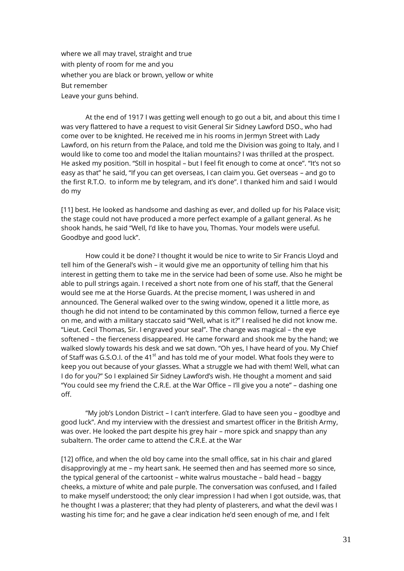where we all may travel, straight and true with plenty of room for me and you whether you are black or brown, yellow or white But remember Leave your guns behind.

At the end of 1917 I was getting well enough to go out a bit, and about this time I was very flattered to have a request to visit General Sir Sidney Lawford DSO., who had come over to be knighted. He received me in his rooms in Jermyn Street with Lady Lawford, on his return from the Palace, and told me the Division was going to Italy, and I would like to come too and model the Italian mountains? I was thrilled at the prospect. He asked my position. "Still in hospital – but I feel fit enough to come at once". "It's not so easy as that" he said, "If you can get overseas, I can claim you. Get overseas – and go to the first R.T.O. to inform me by telegram, and it's done". I thanked him and said I would do my

[11] best. He looked as handsome and dashing as ever, and dolled up for his Palace visit; the stage could not have produced a more perfect example of a gallant general. As he shook hands, he said "Well, I'd like to have you, Thomas. Your models were useful. Goodbye and good luck".

How could it be done? I thought it would be nice to write to Sir Francis Lloyd and tell him of the General's wish – it would give me an opportunity of telling him that his interest in getting them to take me in the service had been of some use. Also he might be able to pull strings again. I received a short note from one of his staff, that the General would see me at the Horse Guards. At the precise moment, I was ushered in and announced. The General walked over to the swing window, opened it a little more, as though he did not intend to be contaminated by this common fellow, turned a fierce eye on me, and with a military staccato said "Well, what is it?" I realised he did not know me. "Lieut. Cecil Thomas, Sir. I engraved your seal". The change was magical – the eye softened – the fierceness disappeared. He came forward and shook me by the hand; we walked slowly towards his desk and we sat down. "Oh yes, I have heard of you. My Chief of Staff was G.S.O.I. of the 41<sup>st</sup> and has told me of your model. What fools they were to keep you out because of your glasses. What a struggle we had with them! Well, what can I do for you?" So I explained Sir Sidney Lawford's wish. He thought a moment and said "You could see my friend the C.R.E. at the War Office – I'll give you a note" – dashing one off.

"My job's London District – I can't interfere. Glad to have seen you – goodbye and good luck". And my interview with the dressiest and smartest officer in the British Army, was over. He looked the part despite his grey hair – more spick and snappy than any subaltern. The order came to attend the C.R.E. at the War

[12] office, and when the old boy came into the small office, sat in his chair and glared disapprovingly at me – my heart sank. He seemed then and has seemed more so since, the typical general of the cartoonist – white walrus moustache – bald head – baggy cheeks, a mixture of white and pale purple. The conversation was confused, and I failed to make myself understood; the only clear impression I had when I got outside, was, that he thought I was a plasterer; that they had plenty of plasterers, and what the devil was I wasting his time for; and he gave a clear indication he'd seen enough of me, and I felt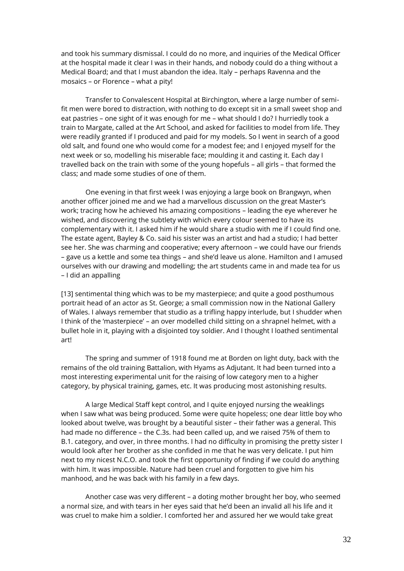and took his summary dismissal. I could do no more, and inquiries of the Medical Officer at the hospital made it clear I was in their hands, and nobody could do a thing without a Medical Board; and that I must abandon the idea. Italy – perhaps Ravenna and the mosaics – or Florence – what a pity!

Transfer to Convalescent Hospital at Birchington, where a large number of semifit men were bored to distraction, with nothing to do except sit in a small sweet shop and eat pastries – one sight of it was enough for me – what should I do? I hurriedly took a train to Margate, called at the Art School, and asked for facilities to model from life. They were readily granted if I produced and paid for my models. So I went in search of a good old salt, and found one who would come for a modest fee; and I enjoyed myself for the next week or so, modelling his miserable face; moulding it and casting it. Each day I travelled back on the train with some of the young hopefuls – all girls – that formed the class; and made some studies of one of them.

One evening in that first week I was enjoying a large book on Brangwyn, when another officer joined me and we had a marvellous discussion on the great Master's work; tracing how he achieved his amazing compositions – leading the eye wherever he wished, and discovering the subtlety with which every colour seemed to have its complementary with it. I asked him if he would share a studio with me if I could find one. The estate agent, Bayley & Co. said his sister was an artist and had a studio; I had better see her. She was charming and cooperative; every afternoon – we could have our friends – gave us a kettle and some tea things – and she'd leave us alone. Hamilton and I amused ourselves with our drawing and modelling; the art students came in and made tea for us – I did an appalling

[13] sentimental thing which was to be my masterpiece; and quite a good posthumous portrait head of an actor as St. George; a small commission now in the National Gallery of Wales. I always remember that studio as a trifling happy interlude, but I shudder when I think of the 'masterpiece' – an over modelled child sitting on a shrapnel helmet, with a bullet hole in it, playing with a disjointed toy soldier. And I thought I loathed sentimental art!

The spring and summer of 1918 found me at Borden on light duty, back with the remains of the old training Battalion, with Hyams as Adjutant. It had been turned into a most interesting experimental unit for the raising of low category men to a higher category, by physical training, games, etc. It was producing most astonishing results.

A large Medical Staff kept control, and I quite enjoyed nursing the weaklings when I saw what was being produced. Some were quite hopeless; one dear little boy who looked about twelve, was brought by a beautiful sister – their father was a general. This had made no difference – the C.3s. had been called up, and we raised 75% of them to B.1. category, and over, in three months. I had no difficulty in promising the pretty sister I would look after her brother as she confided in me that he was very delicate. I put him next to my nicest N.C.O. and took the first opportunity of finding if we could do anything with him. It was impossible. Nature had been cruel and forgotten to give him his manhood, and he was back with his family in a few days.

Another case was very different – a doting mother brought her boy, who seemed a normal size, and with tears in her eyes said that he'd been an invalid all his life and it was cruel to make him a soldier. I comforted her and assured her we would take great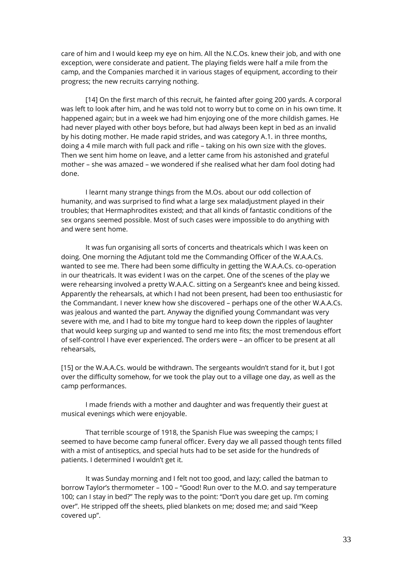care of him and I would keep my eye on him. All the N.C.Os. knew their job, and with one exception, were considerate and patient. The playing fields were half a mile from the camp, and the Companies marched it in various stages of equipment, according to their progress; the new recruits carrying nothing.

[14] On the first march of this recruit, he fainted after going 200 yards. A corporal was left to look after him, and he was told not to worry but to come on in his own time. It happened again; but in a week we had him enjoying one of the more childish games. He had never played with other boys before, but had always been kept in bed as an invalid by his doting mother. He made rapid strides, and was category A.1. in three months, doing a 4 mile march with full pack and rifle – taking on his own size with the gloves. Then we sent him home on leave, and a letter came from his astonished and grateful mother – she was amazed – we wondered if she realised what her dam fool doting had done.

I learnt many strange things from the M.Os. about our odd collection of humanity, and was surprised to find what a large sex maladjustment played in their troubles; that Hermaphrodites existed; and that all kinds of fantastic conditions of the sex organs seemed possible. Most of such cases were impossible to do anything with and were sent home.

It was fun organising all sorts of concerts and theatricals which I was keen on doing. One morning the Adjutant told me the Commanding Officer of the W.A.A.Cs. wanted to see me. There had been some difficulty in getting the W.A.A.Cs. co-operation in our theatricals. It was evident I was on the carpet. One of the scenes of the play we were rehearsing involved a pretty W.A.A.C. sitting on a Sergeant's knee and being kissed. Apparently the rehearsals, at which I had not been present, had been too enthusiastic for the Commandant. I never knew how she discovered – perhaps one of the other W.A.A.Cs. was jealous and wanted the part. Anyway the dignified young Commandant was very severe with me, and I had to bite my tongue hard to keep down the ripples of laughter that would keep surging up and wanted to send me into fits; the most tremendous effort of self-control I have ever experienced. The orders were – an officer to be present at all rehearsals,

[15] or the W.A.A.Cs. would be withdrawn. The sergeants wouldn't stand for it, but I got over the difficulty somehow, for we took the play out to a village one day, as well as the camp performances.

I made friends with a mother and daughter and was frequently their guest at musical evenings which were enjoyable.

That terrible scourge of 1918, the Spanish Flue was sweeping the camps; I seemed to have become camp funeral officer. Every day we all passed though tents filled with a mist of antiseptics, and special huts had to be set aside for the hundreds of patients. I determined I wouldn't get it.

It was Sunday morning and I felt not too good, and lazy; called the batman to borrow Taylor's thermometer – 100 – "Good! Run over to the M.O. and say temperature 100; can I stay in bed?" The reply was to the point: "Don't you dare get up. I'm coming over". He stripped off the sheets, plied blankets on me; dosed me; and said "Keep covered up".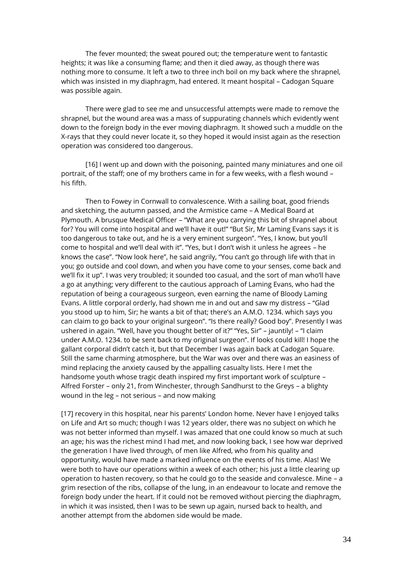The fever mounted; the sweat poured out; the temperature went to fantastic heights; it was like a consuming flame; and then it died away, as though there was nothing more to consume. It left a two to three inch boil on my back where the shrapnel, which was insisted in my diaphragm, had entered. It meant hospital – Cadogan Square was possible again.

There were glad to see me and unsuccessful attempts were made to remove the shrapnel, but the wound area was a mass of suppurating channels which evidently went down to the foreign body in the ever moving diaphragm. It showed such a muddle on the X-rays that they could never locate it, so they hoped it would insist again as the resection operation was considered too dangerous.

[16] I went up and down with the poisoning, painted many miniatures and one oil portrait, of the staff; one of my brothers came in for a few weeks, with a flesh wound – his fifth.

Then to Fowey in Cornwall to convalescence. With a sailing boat, good friends and sketching, the autumn passed, and the Armistice came – A Medical Board at Plymouth. A brusque Medical Officer – "What are you carrying this bit of shrapnel about for? You will come into hospital and we'll have it out!" "But Sir, Mr Laming Evans says it is too dangerous to take out, and he is a very eminent surgeon". "Yes, I know, but you'll come to hospital and we'll deal with it". "Yes, but I don't wish it unless he agrees – he knows the case". "Now look here", he said angrily, "You can't go through life with that in you; go outside and cool down, and when you have come to your senses, come back and we'll fix it up". I was very troubled; it sounded too casual, and the sort of man who'll have a go at anything; very different to the cautious approach of Laming Evans, who had the reputation of being a courageous surgeon, even earning the name of Bloody Laming Evans. A little corporal orderly, had shown me in and out and saw my distress – "Glad you stood up to him, Sir; he wants a bit of that; there's an A.M.O. 1234. which says you can claim to go back to your original surgeon". "Is there really? Good boy". Presently I was ushered in again. "Well, have you thought better of it?" "Yes, Sir" – jauntily! – "I claim under A.M.O. 1234. to be sent back to my original surgeon". If looks could kill! I hope the gallant corporal didn't catch it, but that December I was again back at Cadogan Square. Still the same charming atmosphere, but the War was over and there was an easiness of mind replacing the anxiety caused by the appalling casualty lists. Here I met the handsome youth whose tragic death inspired my first important work of sculpture – Alfred Forster – only 21, from Winchester, through Sandhurst to the Greys – a blighty wound in the leg – not serious – and now making

[17] recovery in this hospital, near his parents' London home. Never have I enjoyed talks on Life and Art so much; though I was 12 years older, there was no subject on which he was not better informed than myself. I was amazed that one could know so much at such an age; his was the richest mind I had met, and now looking back, I see how war deprived the generation I have lived through, of men like Alfred, who from his quality and opportunity, would have made a marked influence on the events of his time. Alas! We were both to have our operations within a week of each other; his just a little clearing up operation to hasten recovery, so that he could go to the seaside and convalesce. Mine – a grim resection of the ribs, collapse of the lung, in an endeavour to locate and remove the foreign body under the heart. If it could not be removed without piercing the diaphragm, in which it was insisted, then I was to be sewn up again, nursed back to health, and another attempt from the abdomen side would be made.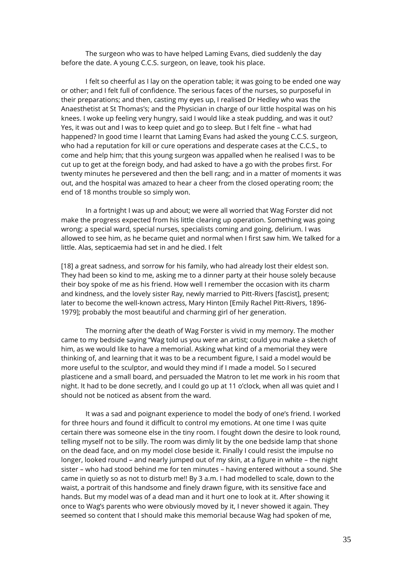The surgeon who was to have helped Laming Evans, died suddenly the day before the date. A young C.C.S. surgeon, on leave, took his place.

I felt so cheerful as I lay on the operation table; it was going to be ended one way or other; and I felt full of confidence. The serious faces of the nurses, so purposeful in their preparations; and then, casting my eyes up, I realised Dr Hedley who was the Anaesthetist at St Thomas's; and the Physician in charge of our little hospital was on his knees. I woke up feeling very hungry, said I would like a steak pudding, and was it out? Yes, it was out and I was to keep quiet and go to sleep. But I felt fine – what had happened? In good time I learnt that Laming Evans had asked the young C.C.S. surgeon, who had a reputation for kill or cure operations and desperate cases at the C.C.S., to come and help him; that this young surgeon was appalled when he realised I was to be cut up to get at the foreign body, and had asked to have a go with the probes first. For twenty minutes he persevered and then the bell rang; and in a matter of moments it was out, and the hospital was amazed to hear a cheer from the closed operating room; the end of 18 months trouble so simply won.

In a fortnight I was up and about; we were all worried that Wag Forster did not make the progress expected from his little clearing up operation. Something was going wrong; a special ward, special nurses, specialists coming and going, delirium. I was allowed to see him, as he became quiet and normal when I first saw him. We talked for a little. Alas, septicaemia had set in and he died. I felt

[18] a great sadness, and sorrow for his family, who had already lost their eldest son. They had been so kind to me, asking me to a dinner party at their house solely because their boy spoke of me as his friend. How well I remember the occasion with its charm and kindness, and the lovely sister Ray, newly married to Pitt-Rivers [fascist], present; later to become the well-known actress, Mary Hinton [Emily Rachel Pitt-Rivers, 1896- 1979]; probably the most beautiful and charming girl of her generation.

The morning after the death of Wag Forster is vivid in my memory. The mother came to my bedside saying "Wag told us you were an artist; could you make a sketch of him, as we would like to have a memorial. Asking what kind of a memorial they were thinking of, and learning that it was to be a recumbent figure, I said a model would be more useful to the sculptor, and would they mind if I made a model. So I secured plasticene and a small board, and persuaded the Matron to let me work in his room that night. It had to be done secretly, and I could go up at 11 o'clock, when all was quiet and I should not be noticed as absent from the ward.

It was a sad and poignant experience to model the body of one's friend. I worked for three hours and found it difficult to control my emotions. At one time I was quite certain there was someone else in the tiny room. I fought down the desire to look round, telling myself not to be silly. The room was dimly lit by the one bedside lamp that shone on the dead face, and on my model close beside it. Finally I could resist the impulse no longer, looked round – and nearly jumped out of my skin, at a figure in white – the night sister – who had stood behind me for ten minutes – having entered without a sound. She came in quietly so as not to disturb me!! By 3 a.m. I had modelled to scale, down to the waist, a portrait of this handsome and finely drawn figure, with its sensitive face and hands. But my model was of a dead man and it hurt one to look at it. After showing it once to Wag's parents who were obviously moved by it, I never showed it again. They seemed so content that I should make this memorial because Wag had spoken of me,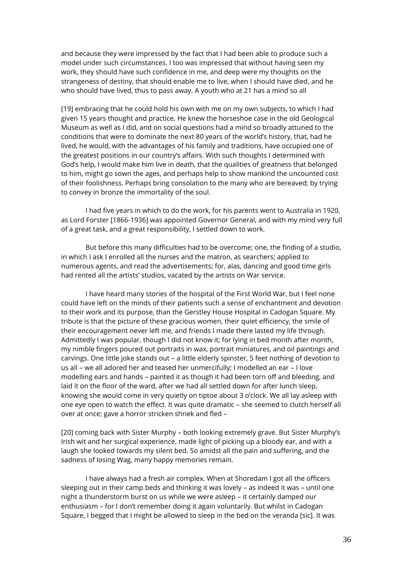and because they were impressed by the fact that I had been able to produce such a model under such circumstances. I too was impressed that without having seen my work, they should have such confidence in me, and deep were my thoughts on the strangeness of destiny, that should enable me to live, when I should have died, and he who should have lived, thus to pass away. A youth who at 21 has a mind so all

[19] embracing that he could hold his own with me on my own subjects, to which I had given 15 years thought and practice. He knew the horseshoe case in the old Geological Museum as well as I did, and on social questions had a mind so broadly attuned to the conditions that were to dominate the next 80 years of the world's history, that, had he lived, he would, with the advantages of his family and traditions, have occupied one of the greatest positions in our country's affairs. With such thoughts I determined with God's help, I would make him live in death, that the qualities of greatness that belonged to him, might go sown the ages, and perhaps help to show mankind the uncounted cost of their foolishness. Perhaps bring consolation to the many who are bereaved; by trying to convey in bronze the immortality of the soul.

I had five years in which to do the work, for his parents went to Australia in 1920, as Lord Forster [1866-1936] was appointed Governor General, and with my mind very full of a great task, and a great responsibility, I settled down to work.

But before this many difficulties had to be overcome; one, the finding of a studio, in which I ask I enrolled all the nurses and the matron, as searchers; applied to numerous agents, and read the advertisements; for, alas, dancing and good time girls had rented all the artists' studios, vacated by the artists on War service.

I have heard many stories of the hospital of the First World War, but I feel none could have left on the minds of their patients such a sense of enchantment and devotion to their work and its purpose, than the Gerstley House Hospital in Cadogan Square. My tribute is that the picture of these gracious women, their quiet efficiency, the smile of their encouragement never left me, and friends I made there lasted my life through. Admittedly I was popular, though I did not know it; for lying in bed month after month, my nimble fingers poured out portraits in wax, portrait miniatures, and oil paintings and carvings. One little joke stands out – a little elderly spinster, 5 feet nothing of devotion to us all – we all adored her and teased her unmercifully; I modelled an ear – I love modelling ears and hands – painted it as though it had been torn off and bleeding, and laid it on the floor of the ward, after we had all settled down for after lunch sleep, knowing she would come in very quietly on tiptoe about 3 o'clock. We all lay asleep with one eye open to watch the effect. It was quite dramatic – she seemed to clutch herself all over at once; gave a horror stricken shriek and fled –

[20] coming back with Sister Murphy – both looking extremely grave. But Sister Murphy's Irish wit and her surgical experience, made light of picking up a bloody ear, and with a laugh she looked towards my silent bed. So amidst all the pain and suffering, and the sadness of losing Wag, many happy memories remain.

I have always had a fresh air complex. When at Shoredam I got all the officers sleeping out in their camp beds and thinking it was lovely – as indeed it was – until one night a thunderstorm burst on us while we were asleep – it certainly damped our enthusiasm – for I don't remember doing it again voluntarily. But whilst in Cadogan Square, I begged that I might be allowed to sleep in the bed on the veranda [sic]. It was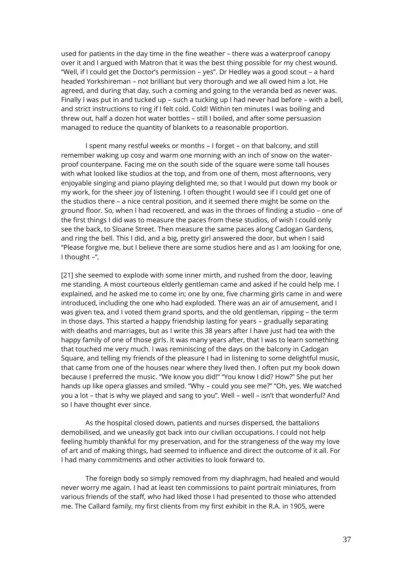used for patients in the day time in the fine weather – there was a waterproof canopy over it and I argued with Matron that it was the best thing possible for my chest wound. "Well, if I could get the Doctor's permission – yes". Dr Hedley was a good scout – a hard headed Yorkshireman – not brilliant but very thorough and we all owed him a lot. He agreed, and during that day, such a coming and going to the veranda bed as never was. Finally I was put in and tucked up – such a tucking up I had never had before – with a bell, and strict instructions to ring if I felt cold. Cold! Within ten minutes I was boiling and threw out, half a dozen hot water bottles – still I boiled, and after some persuasion managed to reduce the quantity of blankets to a reasonable proportion.

I spent many restful weeks or months – I forget – on that balcony, and still remember waking up cosy and warm one morning with an inch of snow on the waterproof counterpane. Facing me on the south side of the square were some tall houses with what looked like studios at the top, and from one of them, most afternoons, very enjoyable singing and piano playing delighted me, so that I would put down my book or my work, for the sheer joy of listening. I often thought I would see if I could get one of the studios there – a nice central position, and it seemed there might be some on the ground floor. So, when I had recovered, and was in the throes of finding a studio – one of the first things I did was to measure the paces from these studios, of wish I could only see the back, to Sloane Street. Then measure the same paces along Cadogan Gardens, and ring the bell. This I did, and a big, pretty girl answered the door, but when I said "Please forgive me, but I believe there are some studios here and as I am looking for one, I thought –",

[21] she seemed to explode with some inner mirth, and rushed from the door, leaving me standing. A most courteous elderly gentleman came and asked if he could help me. I explained, and he asked me to come in; one by one, five charming girls came in and were introduced, including the one who had exploded. There was an air of amusement, and I was given tea, and I voted them grand sports, and the old gentleman, ripping – the term in those days. This started a happy friendship lasting for years – gradually separating with deaths and marriages, but as I write this 38 years after I have just had tea with the happy family of one of those girls. It was many years after, that I was to learn something that touched me very much. I was reminiscing of the days on the balcony in Cadogan Square, and telling my friends of the pleasure I had in listening to some delightful music, that came from one of the houses near where they lived then. I often put my book down because I preferred the music. "We know you did!" "You know I did? How?" She put her hands up like opera glasses and smiled. "Why – could you see me?" "Oh, yes. We watched you a lot – that is why we played and sang to you". Well – well – isn't that wonderful? And so I have thought ever since.

As the hospital closed down, patients and nurses dispersed, the battalions demobilised, and we uneasily got back into our civilian occupations. I could not help feeling humbly thankful for my preservation, and for the strangeness of the way my love of art and of making things, had seemed to influence and direct the outcome of it all. For I had many commitments and other activities to look forward to.

The foreign body so simply removed from my diaphragm, had healed and would never worry me again. I had at least ten commissions to paint portrait miniatures, from various friends of the staff, who had liked those I had presented to those who attended me. The Callard family, my first clients from my first exhibit in the R.A. in 1905, were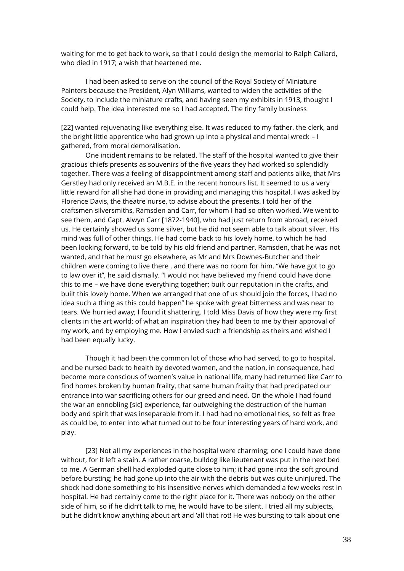waiting for me to get back to work, so that I could design the memorial to Ralph Callard, who died in 1917; a wish that heartened me.

I had been asked to serve on the council of the Royal Society of Miniature Painters because the President, Alyn Williams, wanted to widen the activities of the Society, to include the miniature crafts, and having seen my exhibits in 1913, thought I could help. The idea interested me so I had accepted. The tiny family business

[22] wanted rejuvenating like everything else. It was reduced to my father, the clerk, and the bright little apprentice who had grown up into a physical and mental wreck – I gathered, from moral demoralisation.

One incident remains to be related. The staff of the hospital wanted to give their gracious chiefs presents as souvenirs of the five years they had worked so splendidly together. There was a feeling of disappointment among staff and patients alike, that Mrs Gerstley had only received an M.B.E. in the recent honours list. It seemed to us a very little reward for all she had done in providing and managing this hospital. I was asked by Florence Davis, the theatre nurse, to advise about the presents. I told her of the craftsmen silversmiths, Ramsden and Carr, for whom I had so often worked. We went to see them, and Capt. Alwyn Carr [1872-1940], who had just return from abroad, received us. He certainly showed us some silver, but he did not seem able to talk about silver. His mind was full of other things. He had come back to his lovely home, to which he had been looking forward, to be told by his old friend and partner, Ramsden, that he was not wanted, and that he must go elsewhere, as Mr and Mrs Downes-Butcher and their children were coming to live there , and there was no room for him. "We have got to go to law over it", he said dismally. "I would not have believed my friend could have done this to me – we have done everything together; built our reputation in the crafts, and built this lovely home. When we arranged that one of us should join the forces, I had no idea such a thing as this could happen" he spoke with great bitterness and was near to tears. We hurried away; I found it shattering. I told Miss Davis of how they were my first clients in the art world; of what an inspiration they had been to me by their approval of my work, and by employing me. How I envied such a friendship as theirs and wished I had been equally lucky.

Though it had been the common lot of those who had served, to go to hospital, and be nursed back to health by devoted women, and the nation, in consequence, had become more conscious of women's value in national life, many had returned like Carr to find homes broken by human frailty, that same human frailty that had precipated our entrance into war sacrificing others for our greed and need. On the whole I had found the war an ennobling [sic] experience, far outweighing the destruction of the human body and spirit that was inseparable from it. I had had no emotional ties, so felt as free as could be, to enter into what turned out to be four interesting years of hard work, and play.

[23] Not all my experiences in the hospital were charming; one I could have done without, for it left a stain. A rather coarse, bulldog like lieutenant was put in the next bed to me. A German shell had exploded quite close to him; it had gone into the soft ground before bursting; he had gone up into the air with the debris but was quite uninjured. The shock had done something to his insensitive nerves which demanded a few weeks rest in hospital. He had certainly come to the right place for it. There was nobody on the other side of him, so if he didn't talk to me, he would have to be silent. I tried all my subjects, but he didn't know anything about art and 'all that rot! He was bursting to talk about one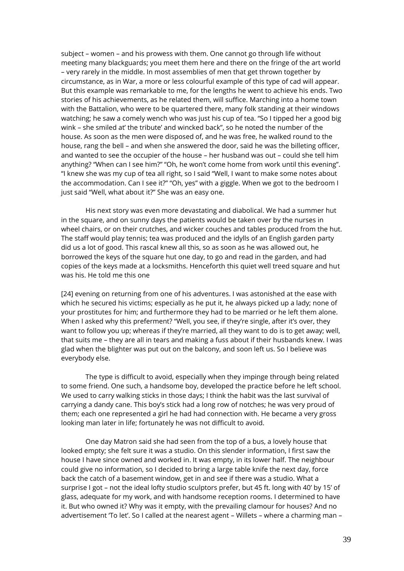subject – women – and his prowess with them. One cannot go through life without meeting many blackguards; you meet them here and there on the fringe of the art world – very rarely in the middle. In most assemblies of men that get thrown together by circumstance, as in War, a more or less colourful example of this type of cad will appear. But this example was remarkable to me, for the lengths he went to achieve his ends. Two stories of his achievements, as he related them, will suffice. Marching into a home town with the Battalion, who were to be quartered there, many folk standing at their windows watching; he saw a comely wench who was just his cup of tea. "So I tipped her a good big wink – she smiled at' the tribute' and wincked back", so he noted the number of the house. As soon as the men were disposed of, and he was free, he walked round to the house, rang the bell – and when she answered the door, said he was the billeting officer, and wanted to see the occupier of the house – her husband was out – could she tell him anything? "When can I see him?" "Oh, he won't come home from work until this evening". "I knew she was my cup of tea all right, so I said "Well, I want to make some notes about the accommodation. Can I see it?" "Oh, yes" with a giggle. When we got to the bedroom I just said "Well, what about it?" She was an easy one.

His next story was even more devastating and diabolical. We had a summer hut in the square, and on sunny days the patients would be taken over by the nurses in wheel chairs, or on their crutches, and wicker couches and tables produced from the hut. The staff would play tennis; tea was produced and the idylls of an English garden party did us a lot of good. This rascal knew all this, so as soon as he was allowed out, he borrowed the keys of the square hut one day, to go and read in the garden, and had copies of the keys made at a locksmiths. Henceforth this quiet well treed square and hut was his. He told me this one

[24] evening on returning from one of his adventures. I was astonished at the ease with which he secured his victims; especially as he put it, he always picked up a lady; none of your prostitutes for him; and furthermore they had to be married or he left them alone. When I asked why this preferment? "Well, you see, if they're single, after it's over, they want to follow you up; whereas if they're married, all they want to do is to get away; well, that suits me – they are all in tears and making a fuss about if their husbands knew. I was glad when the blighter was put out on the balcony, and soon left us. So I believe was everybody else.

The type is difficult to avoid, especially when they impinge through being related to some friend. One such, a handsome boy, developed the practice before he left school. We used to carry walking sticks in those days; I think the habit was the last survival of carrying a dandy cane. This boy's stick had a long row of notches; he was very proud of them; each one represented a girl he had had connection with. He became a very gross looking man later in life; fortunately he was not difficult to avoid.

One day Matron said she had seen from the top of a bus, a lovely house that looked empty; she felt sure it was a studio. On this slender information, I first saw the house I have since owned and worked in. It was empty, in its lower half. The neighbour could give no information, so I decided to bring a large table knife the next day, force back the catch of a basement window, get in and see if there was a studio. What a surprise I got – not the ideal lofty studio sculptors prefer, but 45 ft. long with 40' by 15' of glass, adequate for my work, and with handsome reception rooms. I determined to have it. But who owned it? Why was it empty, with the prevailing clamour for houses? And no advertisement 'To let'. So I called at the nearest agent – Willets – where a charming man –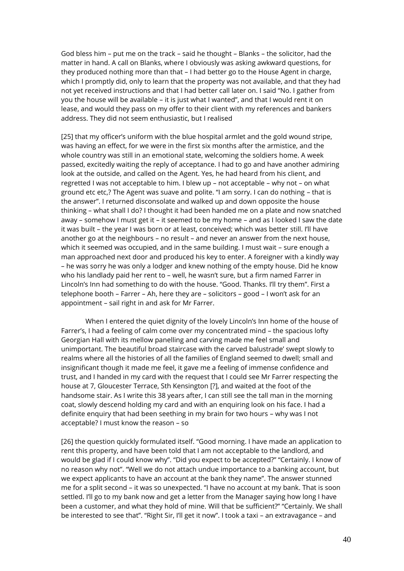God bless him – put me on the track – said he thought – Blanks – the solicitor, had the matter in hand. A call on Blanks, where I obviously was asking awkward questions, for they produced nothing more than that – I had better go to the House Agent in charge, which I promptly did, only to learn that the property was not available, and that they had not yet received instructions and that I had better call later on. I said "No. I gather from you the house will be available – it is just what I wanted", and that I would rent it on lease, and would they pass on my offer to their client with my references and bankers address. They did not seem enthusiastic, but I realised

[25] that my officer's uniform with the blue hospital armlet and the gold wound stripe, was having an effect, for we were in the first six months after the armistice, and the whole country was still in an emotional state, welcoming the soldiers home. A week passed, excitedly waiting the reply of acceptance. I had to go and have another admiring look at the outside, and called on the Agent. Yes, he had heard from his client, and regretted I was not acceptable to him. I blew up – not acceptable – why not – on what ground etc etc,? The Agent was suave and polite. "I am sorry. I can do nothing – that is the answer". I returned disconsolate and walked up and down opposite the house thinking – what shall I do? I thought it had been handed me on a plate and now snatched away – somehow I must get it – it seemed to be my home – and as I looked I saw the date it was built – the year I was born or at least, conceived; which was better still. I'll have another go at the neighbours – no result – and never an answer from the next house, which it seemed was occupied, and in the same building. I must wait – sure enough a man approached next door and produced his key to enter. A foreigner with a kindly way – he was sorry he was only a lodger and knew nothing of the empty house. Did he know who his landlady paid her rent to – well, he wasn't sure, but a firm named Farrer in Lincoln's Inn had something to do with the house. "Good. Thanks. I'll try them". First a telephone booth – Farrer – Ah, here they are – solicitors – good – I won't ask for an appointment – sail right in and ask for Mr Farrer.

When I entered the quiet dignity of the lovely Lincoln's Inn home of the house of Farrer's, I had a feeling of calm come over my concentrated mind – the spacious lofty Georgian Hall with its mellow panelling and carving made me feel small and unimportant. The beautiful broad staircase with the carved balustrade' swept slowly to realms where all the histories of all the families of England seemed to dwell; small and insignificant though it made me feel, it gave me a feeling of immense confidence and trust, and I handed in my card with the request that I could see Mr Farrer respecting the house at 7, Gloucester Terrace, Sth Kensington [?], and waited at the foot of the handsome stair. As I write this 38 years after, I can still see the tall man in the morning coat, slowly descend holding my card and with an enquiring look on his face. I had a definite enquiry that had been seething in my brain for two hours – why was I not acceptable? I must know the reason – so

[26] the question quickly formulated itself. "Good morning. I have made an application to rent this property, and have been told that I am not acceptable to the landlord, and would be glad if I could know why". "Did you expect to be accepted?" "Certainly. I know of no reason why not". "Well we do not attach undue importance to a banking account, but we expect applicants to have an account at the bank they name". The answer stunned me for a split second – it was so unexpected. "I have no account at my bank. That is soon settled. I'll go to my bank now and get a letter from the Manager saying how long I have been a customer, and what they hold of mine. Will that be sufficient?" "Certainly. We shall be interested to see that". "Right Sir, I'll get it now". I took a taxi – an extravagance – and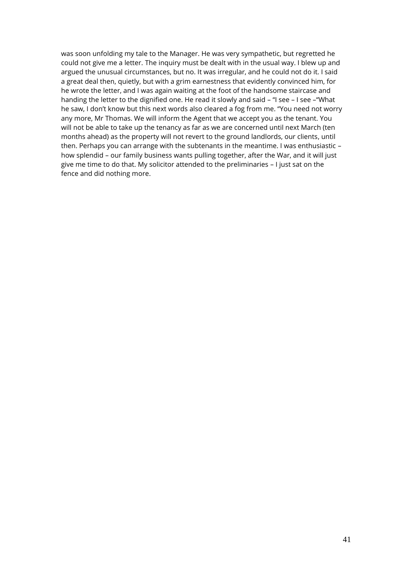was soon unfolding my tale to the Manager. He was very sympathetic, but regretted he could not give me a letter. The inquiry must be dealt with in the usual way. I blew up and argued the unusual circumstances, but no. It was irregular, and he could not do it. I said a great deal then, quietly, but with a grim earnestness that evidently convinced him, for he wrote the letter, and I was again waiting at the foot of the handsome staircase and handing the letter to the dignified one. He read it slowly and said - "I see - I see - "What he saw, I don't know but this next words also cleared a fog from me. "You need not worry any more, Mr Thomas. We will inform the Agent that we accept you as the tenant. You will not be able to take up the tenancy as far as we are concerned until next March (ten months ahead) as the property will not revert to the ground landlords, our clients, until then. Perhaps you can arrange with the subtenants in the meantime. I was enthusiastic – how splendid – our family business wants pulling together, after the War, and it will just give me time to do that. My solicitor attended to the preliminaries – I just sat on the fence and did nothing more.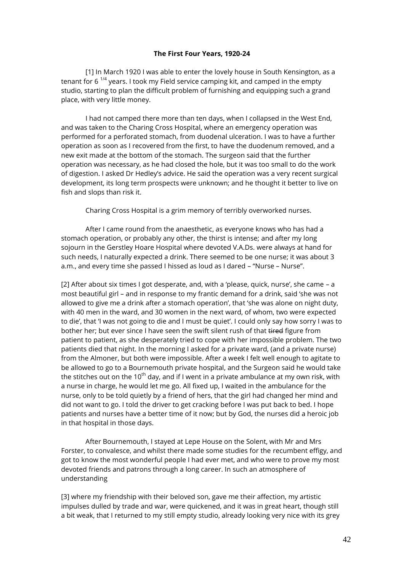## **The First Four Years, 1920-24**

[1] In March 1920 I was able to enter the lovely house in South Kensington, as a tenant for 6  $^{1/4}$  years. I took my Field service camping kit, and camped in the empty studio, starting to plan the difficult problem of furnishing and equipping such a grand place, with very little money.

I had not camped there more than ten days, when I collapsed in the West End, and was taken to the Charing Cross Hospital, where an emergency operation was performed for a perforated stomach, from duodenal ulceration. I was to have a further operation as soon as I recovered from the first, to have the duodenum removed, and a new exit made at the bottom of the stomach. The surgeon said that the further operation was necessary, as he had closed the hole, but it was too small to do the work of digestion. I asked Dr Hedley's advice. He said the operation was a very recent surgical development, its long term prospects were unknown; and he thought it better to live on fish and slops than risk it.

Charing Cross Hospital is a grim memory of terribly overworked nurses.

After I came round from the anaesthetic, as everyone knows who has had a stomach operation, or probably any other, the thirst is intense; and after my long sojourn in the Gerstley Hoare Hospital where devoted V.A.Ds. were always at hand for such needs, I naturally expected a drink. There seemed to be one nurse; it was about 3 a.m., and every time she passed I hissed as loud as I dared – "Nurse – Nurse".

[2] After about six times I got desperate, and, with a 'please, quick, nurse', she came – a most beautiful girl – and in response to my frantic demand for a drink, said 'she was not allowed to give me a drink after a stomach operation', that 'she was alone on night duty, with 40 men in the ward, and 30 women in the next ward, of whom, two were expected to die', that 'I was not going to die and I must be quiet'. I could only say how sorry I was to bother her; but ever since I have seen the swift silent rush of that tired figure from patient to patient, as she desperately tried to cope with her impossible problem. The two patients died that night. In the morning I asked for a private ward, (and a private nurse) from the Almoner, but both were impossible. After a week I felt well enough to agitate to be allowed to go to a Bournemouth private hospital, and the Surgeon said he would take the stitches out on the 10<sup>th</sup> day, and if I went in a private ambulance at my own risk, with a nurse in charge, he would let me go. All fixed up, I waited in the ambulance for the nurse, only to be told quietly by a friend of hers, that the girl had changed her mind and did not want to go. I told the driver to get cracking before I was put back to bed. I hope patients and nurses have a better time of it now; but by God, the nurses did a heroic job in that hospital in those days.

After Bournemouth, I stayed at Lepe House on the Solent, with Mr and Mrs Forster, to convalesce, and whilst there made some studies for the recumbent effigy, and got to know the most wonderful people I had ever met, and who were to prove my most devoted friends and patrons through a long career. In such an atmosphere of understanding

[3] where my friendship with their beloved son, gave me their affection, my artistic impulses dulled by trade and war, were quickened, and it was in great heart, though still a bit weak, that I returned to my still empty studio, already looking very nice with its grey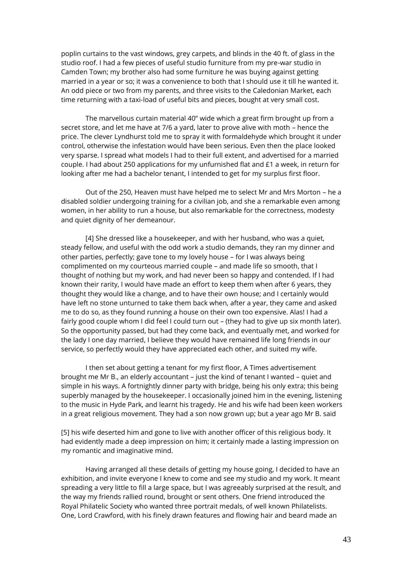poplin curtains to the vast windows, grey carpets, and blinds in the 40 ft. of glass in the studio roof. I had a few pieces of useful studio furniture from my pre-war studio in Camden Town; my brother also had some furniture he was buying against getting married in a year or so; it was a convenience to both that I should use it till he wanted it. An odd piece or two from my parents, and three visits to the Caledonian Market, each time returning with a taxi-load of useful bits and pieces, bought at very small cost.

The marvellous curtain material 40" wide which a great firm brought up from a secret store, and let me have at 7/6 a yard, later to prove alive with moth – hence the price. The clever Lyndhurst told me to spray it with formaldehyde which brought it under control, otherwise the infestation would have been serious. Even then the place looked very sparse. I spread what models I had to their full extent, and advertised for a married couple. I had about 250 applications for my unfurnished flat and £1 a week, in return for looking after me had a bachelor tenant, I intended to get for my surplus first floor.

Out of the 250, Heaven must have helped me to select Mr and Mrs Morton – he a disabled soldier undergoing training for a civilian job, and she a remarkable even among women, in her ability to run a house, but also remarkable for the correctness, modesty and quiet dignity of her demeanour.

[4] She dressed like a housekeeper, and with her husband, who was a quiet, steady fellow, and useful with the odd work a studio demands, they ran my dinner and other parties, perfectly; gave tone to my lovely house – for I was always being complimented on my courteous married couple – and made life so smooth, that I thought of nothing but my work, and had never been so happy and contended. If I had known their rarity, I would have made an effort to keep them when after 6 years, they thought they would like a change, and to have their own house; and I certainly would have left no stone unturned to take them back when, after a year, they came and asked me to do so, as they found running a house on their own too expensive. Alas! I had a fairly good couple whom I did feel I could turn out – (they had to give up six month later). So the opportunity passed, but had they come back, and eventually met, and worked for the lady I one day married, I believe they would have remained life long friends in our service, so perfectly would they have appreciated each other, and suited my wife.

I then set about getting a tenant for my first floor, A Times advertisement brought me Mr B., an elderly accountant – just the kind of tenant I wanted – quiet and simple in his ways. A fortnightly dinner party with bridge, being his only extra; this being superbly managed by the housekeeper. I occasionally joined him in the evening, listening to the music in Hyde Park, and learnt his tragedy. He and his wife had been keen workers in a great religious movement. They had a son now grown up; but a year ago Mr B. said

[5] his wife deserted him and gone to live with another officer of this religious body. It had evidently made a deep impression on him; it certainly made a lasting impression on my romantic and imaginative mind.

Having arranged all these details of getting my house going, I decided to have an exhibition, and invite everyone I knew to come and see my studio and my work. It meant spreading a very little to fill a large space, but I was agreeably surprised at the result, and the way my friends rallied round, brought or sent others. One friend introduced the Royal Philatelic Society who wanted three portrait medals, of well known Philatelists. One, Lord Crawford, with his finely drawn features and flowing hair and beard made an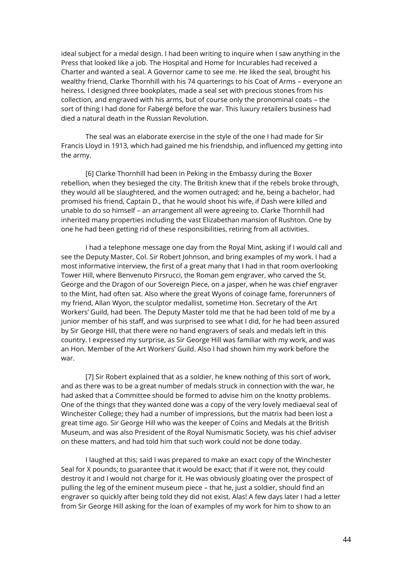ideal subject for a medal design. I had been writing to inquire when I saw anything in the Press that looked like a job. The Hospital and Home for Incurables had received a Charter and wanted a seal. A Governor came to see me. He liked the seal, brought his wealthy friend, Clarke Thornhill with his 74 quarterings to his Coat of Arms – everyone an heiress. I designed three bookplates, made a seal set with precious stones from his collection, and engraved with his arms, but of course only the pronominal coats – the sort of thing I had done for Fabergé before the war. This luxury retailers business had died a natural death in the Russian Revolution.

The seal was an elaborate exercise in the style of the one I had made for Sir Francis Lloyd in 1913, which had gained me his friendship, and influenced my getting into the army.

[6] Clarke Thornhill had been in Peking in the Embassy during the Boxer rebellion, when they besieged the city. The British knew that if the rebels broke through, they would all be slaughtered, and the women outraged; and he, being a bachelor, had promised his friend, Captain D., that he would shoot his wife, if Dash were killed and unable to do so himself – an arrangement all were agreeing to. Clarke Thornhill had inherited many properties including the vast Elizabethan mansion of Rushton. One by one he had been getting rid of these responsibilities, retiring from all activities.

I had a telephone message one day from the Royal Mint, asking if I would call and see the Deputy Master, Col. Sir Robert Johnson, and bring examples of my work. I had a most informative interview, the first of a great many that I had in that room overlooking Tower Hill, where Benvenuto Pirsrucci, the Roman gem engraver, who carved the St. George and the Dragon of our Sovereign Piece, on a jasper, when he was chief engraver to the Mint, had often sat. Also where the great Wyons of coinage fame, forerunners of my friend, Allan Wyon, the sculptor medallist, sometime Hon. Secretary of the Art Workers' Guild, had been. The Deputy Master told me that he had been told of me by a junior member of his staff, and was surprised to see what I did, for he had been assured by Sir George Hill, that there were no hand engravers of seals and medals left in this country. I expressed my surprise, as Sir George Hill was familiar with my work, and was an Hon. Member of the Art Workers' Guild. Also I had shown him my work before the war.

[7] Sir Robert explained that as a soldier, he knew nothing of this sort of work, and as there was to be a great number of medals struck in connection with the war, he had asked that a Committee should be formed to advise him on the knotty problems. One of the things that they wanted done was a copy of the very lovely mediaeval seal of Winchester College; they had a number of impressions, but the matrix had been lost a great time ago. Sir George Hill who was the keeper of Coins and Medals at the British Museum, and was also President of the Royal Numismatic Society, was his chief adviser on these matters, and had told him that such work could not be done today.

I laughed at this; said I was prepared to make an exact copy of the Winchester Seal for X pounds; to guarantee that it would be exact; that if it were not, they could destroy it and I would not charge for it. He was obviously gloating over the prospect of pulling the leg of the eminent museum piece – that he, just a soldier, should find an engraver so quickly after being told they did not exist. Alas! A few days later I had a letter from Sir George Hill asking for the loan of examples of my work for him to show to an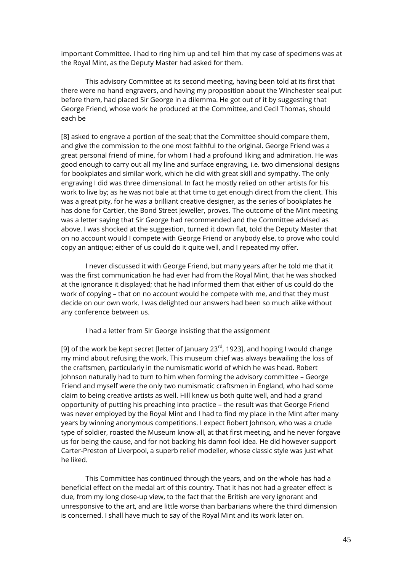important Committee. I had to ring him up and tell him that my case of specimens was at the Royal Mint, as the Deputy Master had asked for them.

This advisory Committee at its second meeting, having been told at its first that there were no hand engravers, and having my proposition about the Winchester seal put before them, had placed Sir George in a dilemma. He got out of it by suggesting that George Friend, whose work he produced at the Committee, and Cecil Thomas, should each be

[8] asked to engrave a portion of the seal; that the Committee should compare them, and give the commission to the one most faithful to the original. George Friend was a great personal friend of mine, for whom I had a profound liking and admiration. He was good enough to carry out all my line and surface engraving, i.e. two dimensional designs for bookplates and similar work, which he did with great skill and sympathy. The only engraving I did was three dimensional. In fact he mostly relied on other artists for his work to live by; as he was not bale at that time to get enough direct from the client. This was a great pity, for he was a brilliant creative designer, as the series of bookplates he has done for Cartier, the Bond Street jeweller, proves. The outcome of the Mint meeting was a letter saying that Sir George had recommended and the Committee advised as above. I was shocked at the suggestion, turned it down flat, told the Deputy Master that on no account would I compete with George Friend or anybody else, to prove who could copy an antique; either of us could do it quite well, and I repeated my offer.

I never discussed it with George Friend, but many years after he told me that it was the first communication he had ever had from the Royal Mint, that he was shocked at the ignorance it displayed; that he had informed them that either of us could do the work of copying – that on no account would he compete with me, and that they must decide on our own work. I was delighted our answers had been so much alike without any conference between us.

I had a letter from Sir George insisting that the assignment

[9] of the work be kept secret [letter of January 23 $^{rd}$ , 1923], and hoping I would change my mind about refusing the work. This museum chief was always bewailing the loss of the craftsmen, particularly in the numismatic world of which he was head. Robert Johnson naturally had to turn to him when forming the advisory committee – George Friend and myself were the only two numismatic craftsmen in England, who had some claim to being creative artists as well. Hill knew us both quite well, and had a grand opportunity of putting his preaching into practice – the result was that George Friend was never employed by the Royal Mint and I had to find my place in the Mint after many years by winning anonymous competitions. I expect Robert Johnson, who was a crude type of soldier, roasted the Museum know-all, at that first meeting, and he never forgave us for being the cause, and for not backing his damn fool idea. He did however support Carter-Preston of Liverpool, a superb relief modeller, whose classic style was just what he liked.

This Committee has continued through the years, and on the whole has had a beneficial effect on the medal art of this country. That it has not had a greater effect is due, from my long close-up view, to the fact that the British are very ignorant and unresponsive to the art, and are little worse than barbarians where the third dimension is concerned. I shall have much to say of the Royal Mint and its work later on.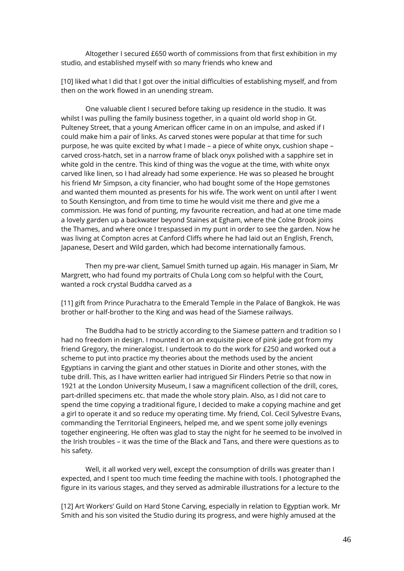Altogether I secured £650 worth of commissions from that first exhibition in my studio, and established myself with so many friends who knew and

[10] liked what I did that I got over the initial difficulties of establishing myself, and from then on the work flowed in an unending stream.

One valuable client I secured before taking up residence in the studio. It was whilst I was pulling the family business together, in a quaint old world shop in Gt. Pulteney Street, that a young American officer came in on an impulse, and asked if I could make him a pair of links. As carved stones were popular at that time for such purpose, he was quite excited by what I made – a piece of white onyx, cushion shape – carved cross-hatch, set in a narrow frame of black onyx polished with a sapphire set in white gold in the centre. This kind of thing was the vogue at the time, with white onyx carved like linen, so I had already had some experience. He was so pleased he brought his friend Mr Simpson, a city financier, who had bought some of the Hope gemstones and wanted them mounted as presents for his wife. The work went on until after I went to South Kensington, and from time to time he would visit me there and give me a commission. He was fond of punting, my favourite recreation, and had at one time made a lovely garden up a backwater beyond Staines at Egham, where the Colne Brook joins the Thames, and where once I trespassed in my punt in order to see the garden. Now he was living at Compton acres at Canford Cliffs where he had laid out an English, French, Japanese, Desert and Wild garden, which had become internationally famous.

Then my pre-war client, Samuel Smith turned up again. His manager in Siam, Mr Margrett, who had found my portraits of Chula Long com so helpful with the Court, wanted a rock crystal Buddha carved as a

[11] gift from Prince Purachatra to the Emerald Temple in the Palace of Bangkok. He was brother or half-brother to the King and was head of the Siamese railways.

The Buddha had to be strictly according to the Siamese pattern and tradition so I had no freedom in design. I mounted it on an exquisite piece of pink jade got from my friend Gregory, the mineralogist. I undertook to do the work for £250 and worked out a scheme to put into practice my theories about the methods used by the ancient Egyptians in carving the giant and other statues in Diorite and other stones, with the tube drill. This, as I have written earlier had intrigued Sir Flinders Petrie so that now in 1921 at the London University Museum, I saw a magnificent collection of the drill, cores, part-drilled specimens etc. that made the whole story plain. Also, as I did not care to spend the time copying a traditional figure, I decided to make a copying machine and get a girl to operate it and so reduce my operating time. My friend, Col. Cecil Sylvestre Evans, commanding the Territorial Engineers, helped me, and we spent some jolly evenings together engineering. He often was glad to stay the night for he seemed to be involved in the Irish troubles – it was the time of the Black and Tans, and there were questions as to his safety.

Well, it all worked very well, except the consumption of drills was greater than I expected, and I spent too much time feeding the machine with tools. I photographed the figure in its various stages, and they served as admirable illustrations for a lecture to the

[12] Art Workers' Guild on Hard Stone Carving, especially in relation to Egyptian work. Mr Smith and his son visited the Studio during its progress, and were highly amused at the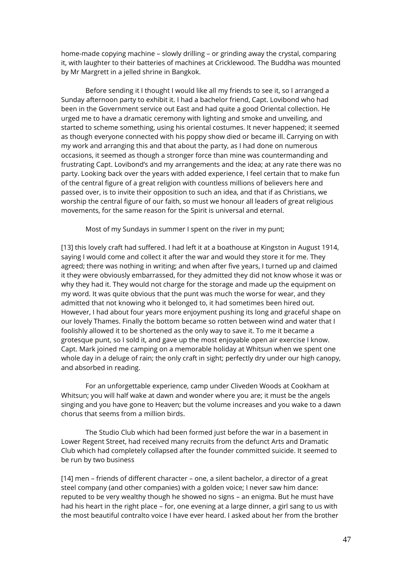home-made copying machine – slowly drilling – or grinding away the crystal, comparing it, with laughter to their batteries of machines at Cricklewood. The Buddha was mounted by Mr Margrett in a jelled shrine in Bangkok.

Before sending it I thought I would like all my friends to see it, so I arranged a Sunday afternoon party to exhibit it. I had a bachelor friend, Capt. Lovibond who had been in the Government service out East and had quite a good Oriental collection. He urged me to have a dramatic ceremony with lighting and smoke and unveiling, and started to scheme something, using his oriental costumes. It never happened; it seemed as though everyone connected with his poppy show died or became ill. Carrying on with my work and arranging this and that about the party, as I had done on numerous occasions, it seemed as though a stronger force than mine was countermanding and frustrating Capt. Lovibond's and my arrangements and the idea; at any rate there was no party. Looking back over the years with added experience, I feel certain that to make fun of the central figure of a great religion with countless millions of believers here and passed over, is to invite their opposition to such an idea, and that if as Christians, we worship the central figure of our faith, so must we honour all leaders of great religious movements, for the same reason for the Spirit is universal and eternal.

Most of my Sundays in summer I spent on the river in my punt;

[13] this lovely craft had suffered. I had left it at a boathouse at Kingston in August 1914, saying I would come and collect it after the war and would they store it for me. They agreed; there was nothing in writing; and when after five years, I turned up and claimed it they were obviously embarrassed, for they admitted they did not know whose it was or why they had it. They would not charge for the storage and made up the equipment on my word. It was quite obvious that the punt was much the worse for wear, and they admitted that not knowing who it belonged to, it had sometimes been hired out. However, I had about four years more enjoyment pushing its long and graceful shape on our lovely Thames. Finally the bottom became so rotten between wind and water that I foolishly allowed it to be shortened as the only way to save it. To me it became a grotesque punt, so I sold it, and gave up the most enjoyable open air exercise I know. Capt. Mark joined me camping on a memorable holiday at Whitsun when we spent one whole day in a deluge of rain; the only craft in sight; perfectly dry under our high canopy, and absorbed in reading.

For an unforgettable experience, camp under Cliveden Woods at Cookham at Whitsun; you will half wake at dawn and wonder where you are; it must be the angels singing and you have gone to Heaven; but the volume increases and you wake to a dawn chorus that seems from a million birds.

The Studio Club which had been formed just before the war in a basement in Lower Regent Street, had received many recruits from the defunct Arts and Dramatic Club which had completely collapsed after the founder committed suicide. It seemed to be run by two business

[14] men – friends of different character – one, a silent bachelor, a director of a great steel company (and other companies) with a golden voice; I never saw him dance: reputed to be very wealthy though he showed no signs – an enigma. But he must have had his heart in the right place – for, one evening at a large dinner, a girl sang to us with the most beautiful contralto voice I have ever heard. I asked about her from the brother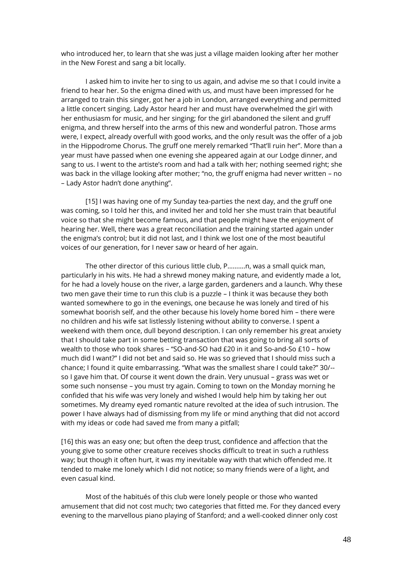who introduced her, to learn that she was just a village maiden looking after her mother in the New Forest and sang a bit locally.

I asked him to invite her to sing to us again, and advise me so that I could invite a friend to hear her. So the enigma dined with us, and must have been impressed for he arranged to train this singer, got her a job in London, arranged everything and permitted a little concert singing. Lady Astor heard her and must have overwhelmed the girl with her enthusiasm for music, and her singing; for the girl abandoned the silent and gruff enigma, and threw herself into the arms of this new and wonderful patron. Those arms were, I expect, already overfull with good works, and the only result was the offer of a job in the Hippodrome Chorus. The gruff one merely remarked "That'll ruin her". More than a year must have passed when one evening she appeared again at our Lodge dinner, and sang to us. I went to the artiste's room and had a talk with her; nothing seemed right; she was back in the village looking after mother; "no, the gruff enigma had never written – no – Lady Astor hadn't done anything".

[15] I was having one of my Sunday tea-parties the next day, and the gruff one was coming, so I told her this, and invited her and told her she must train that beautiful voice so that she might become famous, and that people might have the enjoyment of hearing her. Well, there was a great reconciliation and the training started again under the enigma's control; but it did not last, and I think we lost one of the most beautiful voices of our generation, for I never saw or heard of her again.

The other director of this curious little club, P……….n, was a small quick man, particularly in his wits. He had a shrewd money making nature, and evidently made a lot, for he had a lovely house on the river, a large garden, gardeners and a launch. Why these two men gave their time to run this club is a puzzle – I think it was because they both wanted somewhere to go in the evenings, one because he was lonely and tired of his somewhat boorish self, and the other because his lovely home bored him – there were no children and his wife sat listlessly listening without ability to converse. I spent a weekend with them once, dull beyond description. I can only remember his great anxiety that I should take part in some betting transaction that was going to bring all sorts of wealth to those who took shares – "SO-and-SO had £20 in it and So-and-So £10 – how much did I want?" I did not bet and said so. He was so grieved that I should miss such a chance; I found it quite embarrassing. "What was the smallest share I could take?" 30/- so I gave him that. Of course it went down the drain. Very unusual – grass was wet or some such nonsense – you must try again. Coming to town on the Monday morning he confided that his wife was very lonely and wished I would help him by taking her out sometimes. My dreamy eyed romantic nature revolted at the idea of such intrusion. The power I have always had of dismissing from my life or mind anything that did not accord with my ideas or code had saved me from many a pitfall;

[16] this was an easy one; but often the deep trust, confidence and affection that the young give to some other creature receives shocks difficult to treat in such a ruthless way; but though it often hurt, it was my inevitable way with that which offended me. It tended to make me lonely which I did not notice; so many friends were of a light, and even casual kind.

Most of the habitués of this club were lonely people or those who wanted amusement that did not cost much; two categories that fitted me. For they danced every evening to the marvellous piano playing of Stanford; and a well-cooked dinner only cost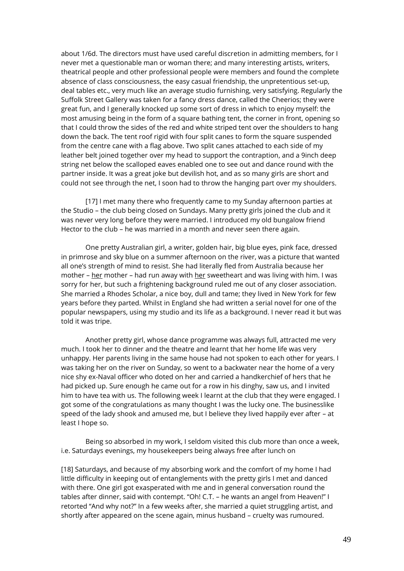about 1/6d. The directors must have used careful discretion in admitting members, for I never met a questionable man or woman there; and many interesting artists, writers, theatrical people and other professional people were members and found the complete absence of class consciousness, the easy casual friendship, the unpretentious set-up, deal tables etc., very much like an average studio furnishing, very satisfying. Regularly the Suffolk Street Gallery was taken for a fancy dress dance, called the Cheerios; they were great fun, and I generally knocked up some sort of dress in which to enjoy myself: the most amusing being in the form of a square bathing tent, the corner in front, opening so that I could throw the sides of the red and white striped tent over the shoulders to hang down the back. The tent roof rigid with four split canes to form the square suspended from the centre cane with a flag above. Two split canes attached to each side of my leather belt joined together over my head to support the contraption, and a 9inch deep string net below the scalloped eaves enabled one to see out and dance round with the partner inside. It was a great joke but devilish hot, and as so many girls are short and could not see through the net, I soon had to throw the hanging part over my shoulders.

[17] I met many there who frequently came to my Sunday afternoon parties at the Studio – the club being closed on Sundays. Many pretty girls joined the club and it was never very long before they were married. I introduced my old bungalow friend Hector to the club – he was married in a month and never seen there again.

One pretty Australian girl, a writer, golden hair, big blue eyes, pink face, dressed in primrose and sky blue on a summer afternoon on the river, was a picture that wanted all one's strength of mind to resist. She had literally fled from Australia because her mother – her mother – had run away with her sweetheart and was living with him. I was sorry for her, but such a frightening background ruled me out of any closer association. She married a Rhodes Scholar, a nice boy, dull and tame; they lived in New York for few years before they parted. Whilst in England she had written a serial novel for one of the popular newspapers, using my studio and its life as a background. I never read it but was told it was tripe.

Another pretty girl, whose dance programme was always full, attracted me very much. I took her to dinner and the theatre and learnt that her home life was very unhappy. Her parents living in the same house had not spoken to each other for years. I was taking her on the river on Sunday, so went to a backwater near the home of a very nice shy ex-Naval officer who doted on her and carried a handkerchief of hers that he had picked up. Sure enough he came out for a row in his dinghy, saw us, and I invited him to have tea with us. The following week I learnt at the club that they were engaged. I got some of the congratulations as many thought I was the lucky one. The businesslike speed of the lady shook and amused me, but I believe they lived happily ever after – at least I hope so.

Being so absorbed in my work, I seldom visited this club more than once a week, i.e. Saturdays evenings, my housekeepers being always free after lunch on

[18] Saturdays, and because of my absorbing work and the comfort of my home I had little difficulty in keeping out of entanglements with the pretty girls I met and danced with there. One girl got exasperated with me and in general conversation round the tables after dinner, said with contempt. "Oh! C.T. – he wants an angel from Heaven!" I retorted "And why not?" In a few weeks after, she married a quiet struggling artist, and shortly after appeared on the scene again, minus husband – cruelty was rumoured.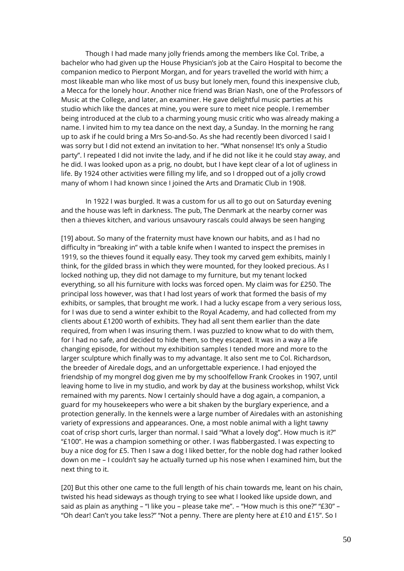Though I had made many jolly friends among the members like Col. Tribe, a bachelor who had given up the House Physician's job at the Cairo Hospital to become the companion medico to Pierpont Morgan, and for years travelled the world with him; a most likeable man who like most of us busy but lonely men, found this inexpensive club, a Mecca for the lonely hour. Another nice friend was Brian Nash, one of the Professors of Music at the College, and later, an examiner. He gave delightful music parties at his studio which like the dances at mine, you were sure to meet nice people. I remember being introduced at the club to a charming young music critic who was already making a name. I invited him to my tea dance on the next day, a Sunday. In the morning he rang up to ask if he could bring a Mrs So-and-So. As she had recently been divorced I said I was sorry but I did not extend an invitation to her. "What nonsense! It's only a Studio party". I repeated I did not invite the lady, and if he did not like it he could stay away, and he did. I was looked upon as a prig, no doubt, but I have kept clear of a lot of ugliness in life. By 1924 other activities were filling my life, and so I dropped out of a jolly crowd many of whom I had known since I joined the Arts and Dramatic Club in 1908.

In 1922 I was burgled. It was a custom for us all to go out on Saturday evening and the house was left in darkness. The pub, The Denmark at the nearby corner was then a thieves kitchen, and various unsavoury rascals could always be seen hanging

[19] about. So many of the fraternity must have known our habits, and as I had no difficulty in "breaking in" with a table knife when I wanted to inspect the premises in 1919, so the thieves found it equally easy. They took my carved gem exhibits, mainly I think, for the gilded brass in which they were mounted, for they looked precious. As I locked nothing up, they did not damage to my furniture, but my tenant locked everything, so all his furniture with locks was forced open. My claim was for £250. The principal loss however, was that I had lost years of work that formed the basis of my exhibits, or samples, that brought me work. I had a lucky escape from a very serious loss, for I was due to send a winter exhibit to the Royal Academy, and had collected from my clients about £1200 worth of exhibits. They had all sent them earlier than the date required, from when I was insuring them. I was puzzled to know what to do with them, for I had no safe, and decided to hide them, so they escaped. It was in a way a life changing episode, for without my exhibition samples I tended more and more to the larger sculpture which finally was to my advantage. It also sent me to Col. Richardson, the breeder of Airedale dogs, and an unforgettable experience. I had enjoyed the friendship of my mongrel dog given me by my schoolfellow Frank Crookes in 1907, until leaving home to live in my studio, and work by day at the business workshop, whilst Vick remained with my parents. Now I certainly should have a dog again, a companion, a guard for my housekeepers who were a bit shaken by the burglary experience, and a protection generally. In the kennels were a large number of Airedales with an astonishing variety of expressions and appearances. One, a most noble animal with a light tawny coat of crisp short curls, larger than normal. I said "What a lovely dog". How much is it?" "£100". He was a champion something or other. I was flabbergasted. I was expecting to buy a nice dog for £5. Then I saw a dog I liked better, for the noble dog had rather looked down on me – I couldn't say he actually turned up his nose when I examined him, but the next thing to it.

[20] But this other one came to the full length of his chain towards me, leant on his chain, twisted his head sideways as though trying to see what I looked like upside down, and said as plain as anything – "I like you – please take me". – "How much is this one?" "£30" – "Oh dear! Can't you take less?" "Not a penny. There are plenty here at £10 and £15". So I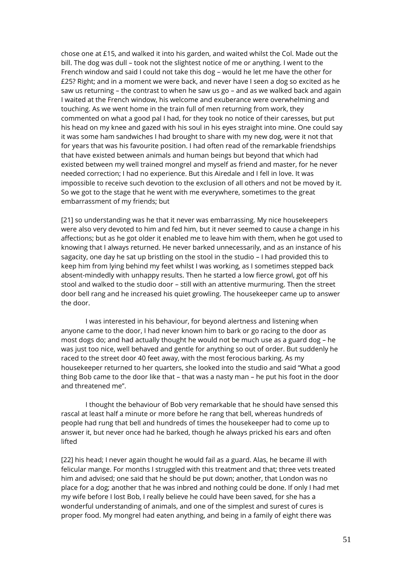chose one at £15, and walked it into his garden, and waited whilst the Col. Made out the bill. The dog was dull – took not the slightest notice of me or anything. I went to the French window and said I could not take this dog – would he let me have the other for £25? Right; and in a moment we were back, and never have I seen a dog so excited as he saw us returning – the contrast to when he saw us go – and as we walked back and again I waited at the French window, his welcome and exuberance were overwhelming and touching. As we went home in the train full of men returning from work, they commented on what a good pal I had, for they took no notice of their caresses, but put his head on my knee and gazed with his soul in his eyes straight into mine. One could say it was some ham sandwiches I had brought to share with my new dog, were it not that for years that was his favourite position. I had often read of the remarkable friendships that have existed between animals and human beings but beyond that which had existed between my well trained mongrel and myself as friend and master, for he never needed correction; I had no experience. But this Airedale and I fell in love. It was impossible to receive such devotion to the exclusion of all others and not be moved by it. So we got to the stage that he went with me everywhere, sometimes to the great embarrassment of my friends; but

[21] so understanding was he that it never was embarrassing. My nice housekeepers were also very devoted to him and fed him, but it never seemed to cause a change in his affections; but as he got older it enabled me to leave him with them, when he got used to knowing that I always returned. He never barked unnecessarily, and as an instance of his sagacity, one day he sat up bristling on the stool in the studio – I had provided this to keep him from lying behind my feet whilst I was working, as I sometimes stepped back absent-mindedly with unhappy results. Then he started a low fierce growl, got off his stool and walked to the studio door – still with an attentive murmuring. Then the street door bell rang and he increased his quiet growling. The housekeeper came up to answer the door.

I was interested in his behaviour, for beyond alertness and listening when anyone came to the door, I had never known him to bark or go racing to the door as most dogs do; and had actually thought he would not be much use as a guard dog – he was just too nice, well behaved and gentle for anything so out of order. But suddenly he raced to the street door 40 feet away, with the most ferocious barking. As my housekeeper returned to her quarters, she looked into the studio and said "What a good thing Bob came to the door like that – that was a nasty man – he put his foot in the door and threatened me".

I thought the behaviour of Bob very remarkable that he should have sensed this rascal at least half a minute or more before he rang that bell, whereas hundreds of people had rung that bell and hundreds of times the housekeeper had to come up to answer it, but never once had he barked, though he always pricked his ears and often lifted

[22] his head; I never again thought he would fail as a guard. Alas, he became ill with felicular mange. For months I struggled with this treatment and that; three vets treated him and advised; one said that he should be put down; another, that London was no place for a dog; another that he was inbred and nothing could be done. If only I had met my wife before I lost Bob, I really believe he could have been saved, for she has a wonderful understanding of animals, and one of the simplest and surest of cures is proper food. My mongrel had eaten anything, and being in a family of eight there was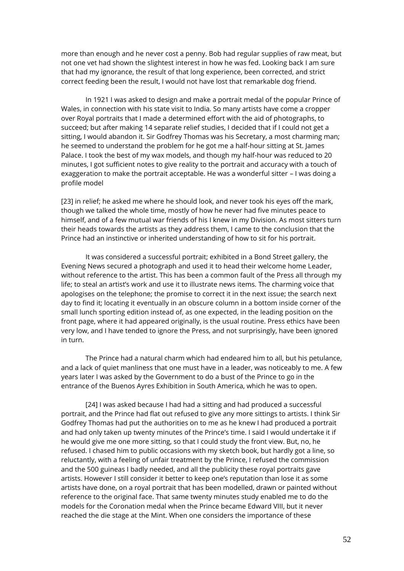more than enough and he never cost a penny. Bob had regular supplies of raw meat, but not one vet had shown the slightest interest in how he was fed. Looking back I am sure that had my ignorance, the result of that long experience, been corrected, and strict correct feeding been the result, I would not have lost that remarkable dog friend.

In 1921 I was asked to design and make a portrait medal of the popular Prince of Wales, in connection with his state visit to India. So many artists have come a cropper over Royal portraits that I made a determined effort with the aid of photographs, to succeed; but after making 14 separate relief studies, I decided that if I could not get a sitting, I would abandon it. Sir Godfrey Thomas was his Secretary, a most charming man; he seemed to understand the problem for he got me a half-hour sitting at St. James Palace. I took the best of my wax models, and though my half-hour was reduced to 20 minutes, I got sufficient notes to give reality to the portrait and accuracy with a touch of exaggeration to make the portrait acceptable. He was a wonderful sitter – I was doing a profile model

[23] in relief; he asked me where he should look, and never took his eyes off the mark, though we talked the whole time, mostly of how he never had five minutes peace to himself, and of a few mutual war friends of his I knew in my Division. As most sitters turn their heads towards the artists as they address them, I came to the conclusion that the Prince had an instinctive or inherited understanding of how to sit for his portrait.

It was considered a successful portrait; exhibited in a Bond Street gallery, the Evening News secured a photograph and used it to head their welcome home Leader, without reference to the artist. This has been a common fault of the Press all through my life; to steal an artist's work and use it to illustrate news items. The charming voice that apologises on the telephone; the promise to correct it in the next issue; the search next day to find it; locating it eventually in an obscure column in a bottom inside corner of the small lunch sporting edition instead of, as one expected, in the leading position on the front page, where it had appeared originally, is the usual routine. Press ethics have been very low, and I have tended to ignore the Press, and not surprisingly, have been ignored in turn.

The Prince had a natural charm which had endeared him to all, but his petulance, and a lack of quiet manliness that one must have in a leader, was noticeably to me. A few years later I was asked by the Government to do a bust of the Prince to go in the entrance of the Buenos Ayres Exhibition in South America, which he was to open.

[24] I was asked because I had had a sitting and had produced a successful portrait, and the Prince had flat out refused to give any more sittings to artists. I think Sir Godfrey Thomas had put the authorities on to me as he knew I had produced a portrait and had only taken up twenty minutes of the Prince's time. I said I would undertake it if he would give me one more sitting, so that I could study the front view. But, no, he refused. I chased him to public occasions with my sketch book, but hardly got a line, so reluctantly, with a feeling of unfair treatment by the Prince, I refused the commission and the 500 guineas I badly needed, and all the publicity these royal portraits gave artists. However I still consider it better to keep one's reputation than lose it as some artists have done, on a royal portrait that has been modelled, drawn or painted without reference to the original face. That same twenty minutes study enabled me to do the models for the Coronation medal when the Prince became Edward VIII, but it never reached the die stage at the Mint. When one considers the importance of these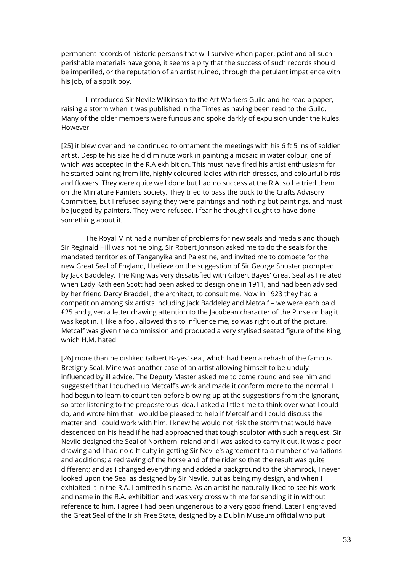permanent records of historic persons that will survive when paper, paint and all such perishable materials have gone, it seems a pity that the success of such records should be imperilled, or the reputation of an artist ruined, through the petulant impatience with his job, of a spoilt boy.

I introduced Sir Nevile Wilkinson to the Art Workers Guild and he read a paper, raising a storm when it was published in the Times as having been read to the Guild. Many of the older members were furious and spoke darkly of expulsion under the Rules. However

[25] it blew over and he continued to ornament the meetings with his 6 ft 5 ins of soldier artist. Despite his size he did minute work in painting a mosaic in water colour, one of which was accepted in the R.A exhibition. This must have fired his artist enthusiasm for he started painting from life, highly coloured ladies with rich dresses, and colourful birds and flowers. They were quite well done but had no success at the R.A. so he tried them on the Miniature Painters Society. They tried to pass the buck to the Crafts Advisory Committee, but I refused saying they were paintings and nothing but paintings, and must be judged by painters. They were refused. I fear he thought I ought to have done something about it.

The Royal Mint had a number of problems for new seals and medals and though Sir Reginald Hill was not helping, Sir Robert Johnson asked me to do the seals for the mandated territories of Tanganyika and Palestine, and invited me to compete for the new Great Seal of England, I believe on the suggestion of Sir George Shuster prompted by Jack Baddeley. The King was very dissatisfied with Gilbert Bayes' Great Seal as I related when Lady Kathleen Scott had been asked to design one in 1911, and had been advised by her friend Darcy Braddell, the architect, to consult me. Now in 1923 they had a competition among six artists including Jack Baddeley and Metcalf – we were each paid £25 and given a letter drawing attention to the Jacobean character of the Purse or bag it was kept in. I, like a fool, allowed this to influence me, so was right out of the picture. Metcalf was given the commission and produced a very stylised seated figure of the King, which H.M. hated

[26] more than he disliked Gilbert Bayes' seal, which had been a rehash of the famous Bretigny Seal. Mine was another case of an artist allowing himself to be unduly influenced by ill advice. The Deputy Master asked me to come round and see him and suggested that I touched up Metcalf's work and made it conform more to the normal. I had begun to learn to count ten before blowing up at the suggestions from the ignorant, so after listening to the preposterous idea, I asked a little time to think over what I could do, and wrote him that I would be pleased to help if Metcalf and I could discuss the matter and I could work with him. I knew he would not risk the storm that would have descended on his head if he had approached that tough sculptor with such a request. Sir Nevile designed the Seal of Northern Ireland and I was asked to carry it out. It was a poor drawing and I had no difficulty in getting Sir Nevile's agreement to a number of variations and additions; a redrawing of the horse and of the rider so that the result was quite different; and as I changed everything and added a background to the Shamrock, I never looked upon the Seal as designed by Sir Nevile, but as being my design, and when I exhibited it in the R.A. I omitted his name. As an artist he naturally liked to see his work and name in the R.A. exhibition and was very cross with me for sending it in without reference to him. I agree I had been ungenerous to a very good friend. Later I engraved the Great Seal of the Irish Free State, designed by a Dublin Museum official who put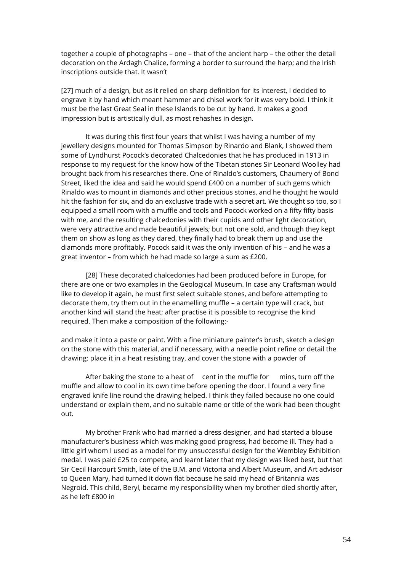together a couple of photographs – one – that of the ancient harp – the other the detail decoration on the Ardagh Chalice, forming a border to surround the harp; and the Irish inscriptions outside that. It wasn't

[27] much of a design, but as it relied on sharp definition for its interest, I decided to engrave it by hand which meant hammer and chisel work for it was very bold. I think it must be the last Great Seal in these Islands to be cut by hand. It makes a good impression but is artistically dull, as most rehashes in design.

It was during this first four years that whilst I was having a number of my jewellery designs mounted for Thomas Simpson by Rinardo and Blank, I showed them some of Lyndhurst Pocock's decorated Chalcedonies that he has produced in 1913 in response to my request for the know how of the Tibetan stones Sir Leonard Woolley had brought back from his researches there. One of Rinaldo's customers, Chaumery of Bond Street, liked the idea and said he would spend £400 on a number of such gems which Rinaldo was to mount in diamonds and other precious stones, and he thought he would hit the fashion for six, and do an exclusive trade with a secret art. We thought so too, so I equipped a small room with a muffle and tools and Pocock worked on a fifty fifty basis with me, and the resulting chalcedonies with their cupids and other light decoration, were very attractive and made beautiful jewels; but not one sold, and though they kept them on show as long as they dared, they finally had to break them up and use the diamonds more profitably. Pocock said it was the only invention of his – and he was a great inventor – from which he had made so large a sum as £200.

[28] These decorated chalcedonies had been produced before in Europe, for there are one or two examples in the Geological Museum. In case any Craftsman would like to develop it again, he must first select suitable stones, and before attempting to decorate them, try them out in the enamelling muffle – a certain type will crack, but another kind will stand the heat; after practise it is possible to recognise the kind required. Then make a composition of the following:-

and make it into a paste or paint. With a fine miniature painter's brush, sketch a design on the stone with this material, and if necessary, with a needle point refine or detail the drawing; place it in a heat resisting tray, and cover the stone with a powder of

After baking the stone to a heat of cent in the muffle for mins, turn off the muffle and allow to cool in its own time before opening the door. I found a very fine engraved knife line round the drawing helped. I think they failed because no one could understand or explain them, and no suitable name or title of the work had been thought out.

My brother Frank who had married a dress designer, and had started a blouse manufacturer's business which was making good progress, had become ill. They had a little girl whom I used as a model for my unsuccessful design for the Wembley Exhibition medal. I was paid £25 to compete, and learnt later that my design was liked best, but that Sir Cecil Harcourt Smith, late of the B.M. and Victoria and Albert Museum, and Art advisor to Queen Mary, had turned it down flat because he said my head of Britannia was Negroid. This child, Beryl, became my responsibility when my brother died shortly after, as he left £800 in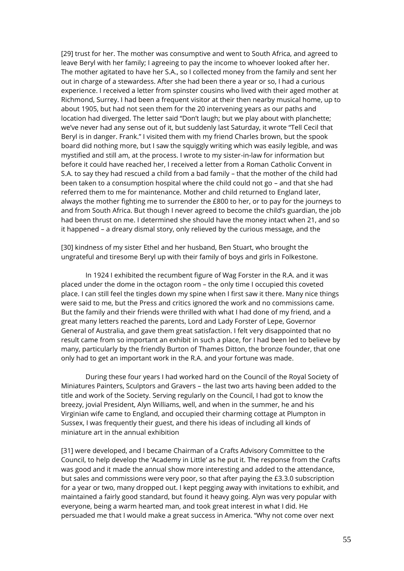[29] trust for her. The mother was consumptive and went to South Africa, and agreed to leave Beryl with her family; I agreeing to pay the income to whoever looked after her. The mother agitated to have her S.A., so I collected money from the family and sent her out in charge of a stewardess. After she had been there a year or so, I had a curious experience. I received a letter from spinster cousins who lived with their aged mother at Richmond, Surrey. I had been a frequent visitor at their then nearby musical home, up to about 1905, but had not seen them for the 20 intervening years as our paths and location had diverged. The letter said "Don't laugh; but we play about with planchette; we've never had any sense out of it, but suddenly last Saturday, it wrote "Tell Cecil that Beryl is in danger. Frank." I visited them with my friend Charles brown, but the spook board did nothing more, but I saw the squiggly writing which was easily legible, and was mystified and still am, at the process. I wrote to my sister-in-law for information but before it could have reached her, I received a letter from a Roman Catholic Convent in S.A. to say they had rescued a child from a bad family – that the mother of the child had been taken to a consumption hospital where the child could not go – and that she had referred them to me for maintenance. Mother and child returned to England later, always the mother fighting me to surrender the £800 to her, or to pay for the journeys to and from South Africa. But though I never agreed to become the child's guardian, the job had been thrust on me. I determined she should have the money intact when 21, and so it happened – a dreary dismal story, only relieved by the curious message, and the

[30] kindness of my sister Ethel and her husband, Ben Stuart, who brought the ungrateful and tiresome Beryl up with their family of boys and girls in Folkestone.

In 1924 I exhibited the recumbent figure of Wag Forster in the R.A. and it was placed under the dome in the octagon room – the only time I occupied this coveted place. I can still feel the tingles down my spine when I first saw it there. Many nice things were said to me, but the Press and critics ignored the work and no commissions came. But the family and their friends were thrilled with what I had done of my friend, and a great many letters reached the parents, Lord and Lady Forster of Lepe, Governor General of Australia, and gave them great satisfaction. I felt very disappointed that no result came from so important an exhibit in such a place, for I had been led to believe by many, particularly by the friendly Burton of Thames Ditton, the bronze founder, that one only had to get an important work in the R.A. and your fortune was made.

During these four years I had worked hard on the Council of the Royal Society of Miniatures Painters, Sculptors and Gravers – the last two arts having been added to the title and work of the Society. Serving regularly on the Council, I had got to know the breezy, jovial President, Alyn Williams, well, and when in the summer, he and his Virginian wife came to England, and occupied their charming cottage at Plumpton in Sussex, I was frequently their guest, and there his ideas of including all kinds of miniature art in the annual exhibition

[31] were developed, and I became Chairman of a Crafts Advisory Committee to the Council, to help develop the 'Academy in Little' as he put it. The response from the Crafts was good and it made the annual show more interesting and added to the attendance, but sales and commissions were very poor, so that after paying the £3.3.0 subscription for a year or two, many dropped out. I kept pegging away with invitations to exhibit, and maintained a fairly good standard, but found it heavy going. Alyn was very popular with everyone, being a warm hearted man, and took great interest in what I did. He persuaded me that I would make a great success in America. "Why not come over next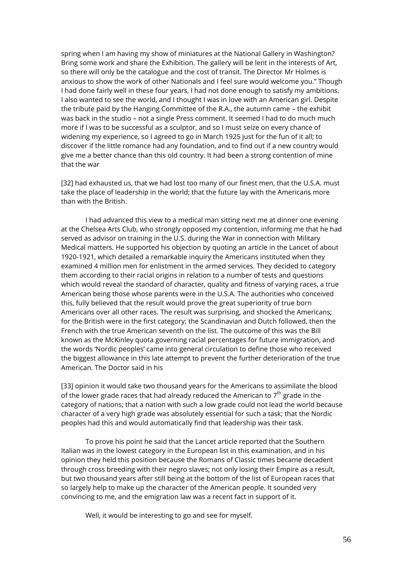spring when I am having my show of miniatures at the National Gallery in Washington? Bring some work and share the Exhibition. The gallery will be lent in the interests of Art, so there will only be the catalogue and the cost of transit. The Director Mr Holmes is anxious to show the work of other Nationals and I feel sure would welcome you." Though I had done fairly well in these four years, I had not done enough to satisfy my ambitions. I also wanted to see the world, and I thought I was in love with an American girl. Despite the tribute paid by the Hanging Committee of the R.A., the autumn came – the exhibit was back in the studio – not a single Press comment. It seemed I had to do much much more if I was to be successful as a sculptor, and so I must seize on every chance of widening my experience, so I agreed to go in March 1925 just for the fun of it all; to discover if the little romance had any foundation, and to find out if a new country would give me a better chance than this old country. It had been a strong contention of mine that the war

[32] had exhausted us, that we had lost too many of our finest men, that the U.S.A. must take the place of leadership in the world; that the future lay with the Americans more than with the British.

I had advanced this view to a medical man sitting next me at dinner one evening at the Chelsea Arts Club, who strongly opposed my contention, informing me that he had served as advisor on training in the U.S. during the War in connection with Military Medical matters. He supported his objection by quoting an article in the Lancet of about 1920-1921, which detailed a remarkable inquiry the Americans instituted when they examined 4 million men for enlistment in the armed services. They decided to category them according to their racial origins in relation to a number of tests and questions which would reveal the standard of character, quality and fitness of varying races, a true American being those whose parents were in the U.S.A. The authorities who conceived this, fully believed that the result would prove the great superiority of true born Americans over all other races. The result was surprising, and shocked the Americans; for the British were in the first category; the Scandinavian and Dutch followed, then the French with the true American seventh on the list. The outcome of this was the Bill known as the McKinley quota governing racial percentages for future immigration, and the words 'Nordic peoples' came into general circulation to define those who received the biggest allowance in this late attempt to prevent the further deterioration of the true American. The Doctor said in his

[33] opinion it would take two thousand years for the Americans to assimilate the blood of the lower grade races that had already reduced the American to  $7<sup>th</sup>$  grade in the category of nations; that a nation with such a low grade could not lead the world because character of a very high grade was absolutely essential for such a task; that the Nordic peoples had this and would automatically find that leadership was their task.

To prove his point he said that the Lancet article reported that the Southern Italian was in the lowest category in the European list in this examination, and in his opinion they held this position because the Romans of Classic times became decadent through cross breeding with their negro slaves; not only losing their Empire as a result, but two thousand years after still being at the bottom of the list of European races that so largely help to make up the character of the American people. It sounded very convincing to me, and the emigration law was a recent fact in support of it.

Well, it would be interesting to go and see for myself.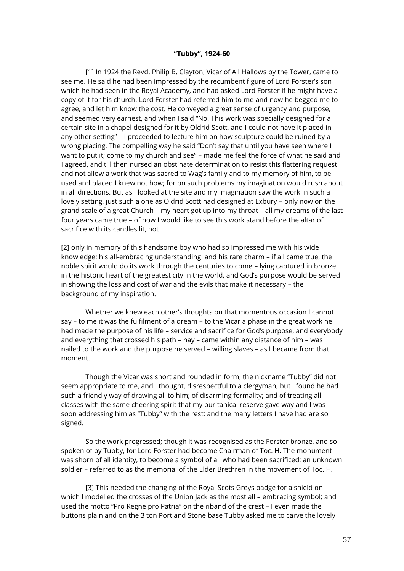#### **"Tubby", 1924-60**

[1] In 1924 the Revd. Philip B. Clayton, Vicar of All Hallows by the Tower, came to see me. He said he had been impressed by the recumbent figure of Lord Forster's son which he had seen in the Royal Academy, and had asked Lord Forster if he might have a copy of it for his church. Lord Forster had referred him to me and now he begged me to agree, and let him know the cost. He conveyed a great sense of urgency and purpose, and seemed very earnest, and when I said "No! This work was specially designed for a certain site in a chapel designed for it by Oldrid Scott, and I could not have it placed in any other setting" – I proceeded to lecture him on how sculpture could be ruined by a wrong placing. The compelling way he said "Don't say that until you have seen where I want to put it; come to my church and see" – made me feel the force of what he said and I agreed, and till then nursed an obstinate determination to resist this flattering request and not allow a work that was sacred to Wag's family and to my memory of him, to be used and placed I knew not how; for on such problems my imagination would rush about in all directions. But as I looked at the site and my imagination saw the work in such a lovely setting, just such a one as Oldrid Scott had designed at Exbury – only now on the grand scale of a great Church – my heart got up into my throat – all my dreams of the last four years came true – of how I would like to see this work stand before the altar of sacrifice with its candles lit, not

[2] only in memory of this handsome boy who had so impressed me with his wide knowledge; his all-embracing understanding and his rare charm – if all came true, the noble spirit would do its work through the centuries to come – lying captured in bronze in the historic heart of the greatest city in the world, and God's purpose would be served in showing the loss and cost of war and the evils that make it necessary – the background of my inspiration.

Whether we knew each other's thoughts on that momentous occasion I cannot say – to me it was the fulfilment of a dream – to the Vicar a phase in the great work he had made the purpose of his life – service and sacrifice for God's purpose, and everybody and everything that crossed his path – nay – came within any distance of him – was nailed to the work and the purpose he served – willing slaves – as I became from that moment.

Though the Vicar was short and rounded in form, the nickname "Tubby" did not seem appropriate to me, and I thought, disrespectful to a clergyman; but I found he had such a friendly way of drawing all to him; of disarming formality; and of treating all classes with the same cheering spirit that my puritanical reserve gave way and I was soon addressing him as "Tubby" with the rest; and the many letters I have had are so signed.

So the work progressed; though it was recognised as the Forster bronze, and so spoken of by Tubby, for Lord Forster had become Chairman of Toc. H. The monument was shorn of all identity, to become a symbol of all who had been sacrificed; an unknown soldier – referred to as the memorial of the Elder Brethren in the movement of Toc. H.

[3] This needed the changing of the Royal Scots Greys badge for a shield on which I modelled the crosses of the Union Jack as the most all – embracing symbol; and used the motto "Pro Regne pro Patria" on the riband of the crest – I even made the buttons plain and on the 3 ton Portland Stone base Tubby asked me to carve the lovely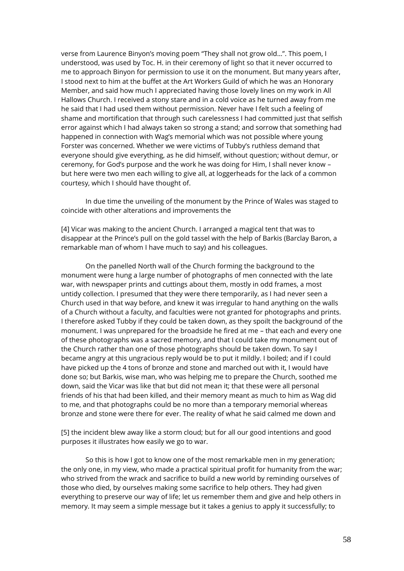verse from Laurence Binyon's moving poem "They shall not grow old…". This poem, I understood, was used by Toc. H. in their ceremony of light so that it never occurred to me to approach Binyon for permission to use it on the monument. But many years after, I stood next to him at the buffet at the Art Workers Guild of which he was an Honorary Member, and said how much I appreciated having those lovely lines on my work in All Hallows Church. I received a stony stare and in a cold voice as he turned away from me he said that I had used them without permission. Never have I felt such a feeling of shame and mortification that through such carelessness I had committed just that selfish error against which I had always taken so strong a stand; and sorrow that something had happened in connection with Wag's memorial which was not possible where young Forster was concerned. Whether we were victims of Tubby's ruthless demand that everyone should give everything, as he did himself, without question; without demur, or ceremony, for God's purpose and the work he was doing for Him, I shall never know – but here were two men each willing to give all, at loggerheads for the lack of a common courtesy, which I should have thought of.

In due time the unveiling of the monument by the Prince of Wales was staged to coincide with other alterations and improvements the

[4] Vicar was making to the ancient Church. I arranged a magical tent that was to disappear at the Prince's pull on the gold tassel with the help of Barkis (Barclay Baron, a remarkable man of whom I have much to say) and his colleagues.

On the panelled North wall of the Church forming the background to the monument were hung a large number of photographs of men connected with the late war, with newspaper prints and cuttings about them, mostly in odd frames, a most untidy collection. I presumed that they were there temporarily, as I had never seen a Church used in that way before, and knew it was irregular to hand anything on the walls of a Church without a faculty, and faculties were not granted for photographs and prints. I therefore asked Tubby if they could be taken down, as they spoilt the background of the monument. I was unprepared for the broadside he fired at me – that each and every one of these photographs was a sacred memory, and that I could take my monument out of the Church rather than one of those photographs should be taken down. To say I became angry at this ungracious reply would be to put it mildly. I boiled; and if I could have picked up the 4 tons of bronze and stone and marched out with it, I would have done so; but Barkis, wise man, who was helping me to prepare the Church, soothed me down, said the Vicar was like that but did not mean it; that these were all personal friends of his that had been killed, and their memory meant as much to him as Wag did to me, and that photographs could be no more than a temporary memorial whereas bronze and stone were there for ever. The reality of what he said calmed me down and

[5] the incident blew away like a storm cloud; but for all our good intentions and good purposes it illustrates how easily we go to war.

So this is how I got to know one of the most remarkable men in my generation; the only one, in my view, who made a practical spiritual profit for humanity from the war; who strived from the wrack and sacrifice to build a new world by reminding ourselves of those who died, by ourselves making some sacrifice to help others. They had given everything to preserve our way of life; let us remember them and give and help others in memory. It may seem a simple message but it takes a genius to apply it successfully; to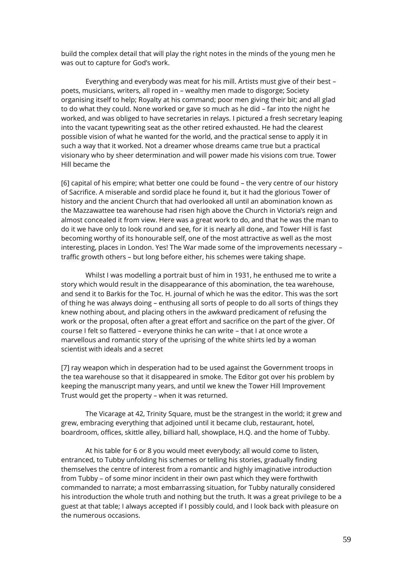build the complex detail that will play the right notes in the minds of the young men he was out to capture for God's work.

Everything and everybody was meat for his mill. Artists must give of their best – poets, musicians, writers, all roped in – wealthy men made to disgorge; Society organising itself to help; Royalty at his command; poor men giving their bit; and all glad to do what they could. None worked or gave so much as he did – far into the night he worked, and was obliged to have secretaries in relays. I pictured a fresh secretary leaping into the vacant typewriting seat as the other retired exhausted. He had the clearest possible vision of what he wanted for the world, and the practical sense to apply it in such a way that it worked. Not a dreamer whose dreams came true but a practical visionary who by sheer determination and will power made his visions com true. Tower Hill became the

[6] capital of his empire; what better one could be found – the very centre of our history of Sacrifice. A miserable and sordid place he found it, but it had the glorious Tower of history and the ancient Church that had overlooked all until an abomination known as the Mazzawattee tea warehouse had risen high above the Church in Victoria's reign and almost concealed it from view. Here was a great work to do, and that he was the man to do it we have only to look round and see, for it is nearly all done, and Tower Hill is fast becoming worthy of its honourable self, one of the most attractive as well as the most interesting, places in London. Yes! The War made some of the improvements necessary – traffic growth others – but long before either, his schemes were taking shape.

Whilst I was modelling a portrait bust of him in 1931, he enthused me to write a story which would result in the disappearance of this abomination, the tea warehouse, and send it to Barkis for the Toc. H. journal of which he was the editor. This was the sort of thing he was always doing – enthusing all sorts of people to do all sorts of things they knew nothing about, and placing others in the awkward predicament of refusing the work or the proposal, often after a great effort and sacrifice on the part of the giver. Of course I felt so flattered – everyone thinks he can write – that I at once wrote a marvellous and romantic story of the uprising of the white shirts led by a woman scientist with ideals and a secret

[7] ray weapon which in desperation had to be used against the Government troops in the tea warehouse so that it disappeared in smoke. The Editor got over his problem by keeping the manuscript many years, and until we knew the Tower Hill Improvement Trust would get the property – when it was returned.

The Vicarage at 42, Trinity Square, must be the strangest in the world; it grew and grew, embracing everything that adjoined until it became club, restaurant, hotel, boardroom, offices, skittle alley, billiard hall, showplace, H.Q. and the home of Tubby.

At his table for 6 or 8 you would meet everybody; all would come to listen, entranced, to Tubby unfolding his schemes or telling his stories, gradually finding themselves the centre of interest from a romantic and highly imaginative introduction from Tubby – of some minor incident in their own past which they were forthwith commanded to narrate; a most embarrassing situation, for Tubby naturally considered his introduction the whole truth and nothing but the truth. It was a great privilege to be a guest at that table; I always accepted if I possibly could, and I look back with pleasure on the numerous occasions.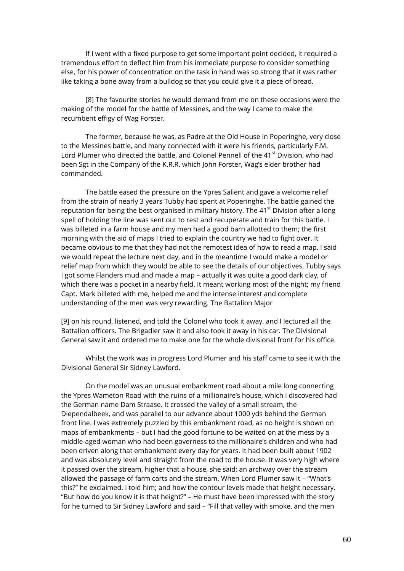If I went with a fixed purpose to get some important point decided, it required a tremendous effort to deflect him from his immediate purpose to consider something else, for his power of concentration on the task in hand was so strong that it was rather like taking a bone away from a bulldog so that you could give it a piece of bread.

[8] The favourite stories he would demand from me on these occasions were the making of the model for the battle of Messines, and the way I came to make the recumbent effigy of Wag Forster.

The former, because he was, as Padre at the Old House in Poperinghe, very close to the Messines battle, and many connected with it were his friends, particularly F.M. Lord Plumer who directed the battle, and Colonel Pennell of the 41<sup>st</sup> Division, who had been Sgt in the Company of the K.R.R. which John Forster, Wag's elder brother had commanded.

The battle eased the pressure on the Ypres Salient and gave a welcome relief from the strain of nearly 3 years Tubby had spent at Poperinghe. The battle gained the reputation for being the best organised in military history. The  $41<sup>st</sup>$  Division after a long spell of holding the line was sent out to rest and recuperate and train for this battle. I was billeted in a farm house and my men had a good barn allotted to them; the first morning with the aid of maps I tried to explain the country we had to fight over. It became obvious to me that they had not the remotest idea of how to read a map. I said we would repeat the lecture next day, and in the meantime I would make a model or relief map from which they would be able to see the details of our objectives. Tubby says I got some Flanders mud and made a map – actually it was quite a good dark clay, of which there was a pocket in a nearby field. It meant working most of the night; my friend Capt. Mark billeted with me, helped me and the intense interest and complete understanding of the men was very rewarding. The Battalion Major

[9] on his round, listened, and told the Colonel who took it away, and I lectured all the Battalion officers. The Brigadier saw it and also took it away in his car. The Divisional General saw it and ordered me to make one for the whole divisional front for his office.

Whilst the work was in progress Lord Plumer and his staff came to see it with the Divisional General Sir Sidney Lawford.

On the model was an unusual embankment road about a mile long connecting the Ypres Wameton Road with the ruins of a millionaire's house, which I discovered had the German name Dam Straase. It crossed the valley of a small stream, the Diependalbeek, and was parallel to our advance about 1000 yds behind the German front line. I was extremely puzzled by this embankment road, as no height is shown on maps of embankments – but I had the good fortune to be waited on at the mess by a middle-aged woman who had been governess to the millionaire's children and who had been driven along that embankment every day for years. It had been built about 1902 and was absolutely level and straight from the road to the house. It was very high where it passed over the stream, higher that a house, she said; an archway over the stream allowed the passage of farm carts and the stream. When Lord Plumer saw it – "What's this?" he exclaimed. I told him; and how the contour levels made that height necessary. "But how do you know it is that height?" – He must have been impressed with the story for he turned to Sir Sidney Lawford and said – "Fill that valley with smoke, and the men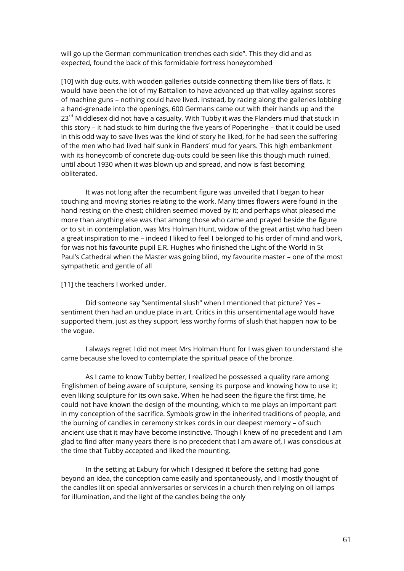will go up the German communication trenches each side". This they did and as expected, found the back of this formidable fortress honeycombed

[10] with dug-outs, with wooden galleries outside connecting them like tiers of flats. It would have been the lot of my Battalion to have advanced up that valley against scores of machine guns – nothing could have lived. Instead, by racing along the galleries lobbing a hand-grenade into the openings, 600 Germans came out with their hands up and the 23<sup>rd</sup> Middlesex did not have a casualty. With Tubby it was the Flanders mud that stuck in this story – it had stuck to him during the five years of Poperinghe – that it could be used in this odd way to save lives was the kind of story he liked, for he had seen the suffering of the men who had lived half sunk in Flanders' mud for years. This high embankment with its honeycomb of concrete dug-outs could be seen like this though much ruined, until about 1930 when it was blown up and spread, and now is fast becoming obliterated.

It was not long after the recumbent figure was unveiled that I began to hear touching and moving stories relating to the work. Many times flowers were found in the hand resting on the chest; children seemed moved by it; and perhaps what pleased me more than anything else was that among those who came and prayed beside the figure or to sit in contemplation, was Mrs Holman Hunt, widow of the great artist who had been a great inspiration to me – indeed I liked to feel I belonged to his order of mind and work, for was not his favourite pupil E.R. Hughes who finished the Light of the World in St Paul's Cathedral when the Master was going blind, my favourite master – one of the most sympathetic and gentle of all

## [11] the teachers I worked under.

Did someone say "sentimental slush" when I mentioned that picture? Yes – sentiment then had an undue place in art. Critics in this unsentimental age would have supported them, just as they support less worthy forms of slush that happen now to be the vogue.

I always regret I did not meet Mrs Holman Hunt for I was given to understand she came because she loved to contemplate the spiritual peace of the bronze.

As I came to know Tubby better, I realized he possessed a quality rare among Englishmen of being aware of sculpture, sensing its purpose and knowing how to use it; even liking sculpture for its own sake. When he had seen the figure the first time, he could not have known the design of the mounting, which to me plays an important part in my conception of the sacrifice. Symbols grow in the inherited traditions of people, and the burning of candles in ceremony strikes cords in our deepest memory – of such ancient use that it may have become instinctive. Though I knew of no precedent and I am glad to find after many years there is no precedent that I am aware of, I was conscious at the time that Tubby accepted and liked the mounting.

In the setting at Exbury for which I designed it before the setting had gone beyond an idea, the conception came easily and spontaneously, and I mostly thought of the candles lit on special anniversaries or services in a church then relying on oil lamps for illumination, and the light of the candles being the only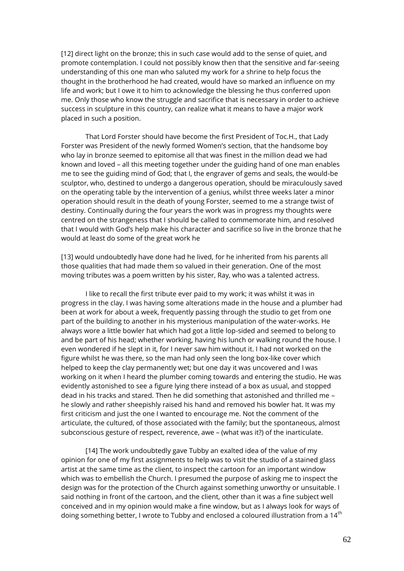[12] direct light on the bronze; this in such case would add to the sense of quiet, and promote contemplation. I could not possibly know then that the sensitive and far-seeing understanding of this one man who saluted my work for a shrine to help focus the thought in the brotherhood he had created, would have so marked an influence on my life and work; but I owe it to him to acknowledge the blessing he thus conferred upon me. Only those who know the struggle and sacrifice that is necessary in order to achieve success in sculpture in this country, can realize what it means to have a major work placed in such a position.

That Lord Forster should have become the first President of Toc.H., that Lady Forster was President of the newly formed Women's section, that the handsome boy who lay in bronze seemed to epitomise all that was finest in the million dead we had known and loved – all this meeting together under the guiding hand of one man enables me to see the guiding mind of God; that I, the engraver of gems and seals, the would-be sculptor, who, destined to undergo a dangerous operation, should be miraculously saved on the operating table by the intervention of a genius, whilst three weeks later a minor operation should result in the death of young Forster, seemed to me a strange twist of destiny. Continually during the four years the work was in progress my thoughts were centred on the strangeness that I should be called to commemorate him, and resolved that I would with God's help make his character and sacrifice so live in the bronze that he would at least do some of the great work he

[13] would undoubtedly have done had he lived, for he inherited from his parents all those qualities that had made them so valued in their generation. One of the most moving tributes was a poem written by his sister, Ray, who was a talented actress.

I like to recall the first tribute ever paid to my work; it was whilst it was in progress in the clay. I was having some alterations made in the house and a plumber had been at work for about a week, frequently passing through the studio to get from one part of the building to another in his mysterious manipulation of the water-works. He always wore a little bowler hat which had got a little lop-sided and seemed to belong to and be part of his head; whether working, having his lunch or walking round the house. I even wondered if he slept in it, for I never saw him without it. I had not worked on the figure whilst he was there, so the man had only seen the long box-like cover which helped to keep the clay permanently wet; but one day it was uncovered and I was working on it when I heard the plumber coming towards and entering the studio. He was evidently astonished to see a figure lying there instead of a box as usual, and stopped dead in his tracks and stared. Then he did something that astonished and thrilled me – he slowly and rather sheepishly raised his hand and removed his bowler hat. It was my first criticism and just the one I wanted to encourage me. Not the comment of the articulate, the cultured, of those associated with the family; but the spontaneous, almost subconscious gesture of respect, reverence, awe – (what was it?) of the inarticulate.

[14] The work undoubtedly gave Tubby an exalted idea of the value of my opinion for one of my first assignments to help was to visit the studio of a stained glass artist at the same time as the client, to inspect the cartoon for an important window which was to embellish the Church. I presumed the purpose of asking me to inspect the design was for the protection of the Church against something unworthy or unsuitable. I said nothing in front of the cartoon, and the client, other than it was a fine subject well conceived and in my opinion would make a fine window, but as I always look for ways of doing something better, I wrote to Tubby and enclosed a coloured illustration from a 14<sup>th</sup>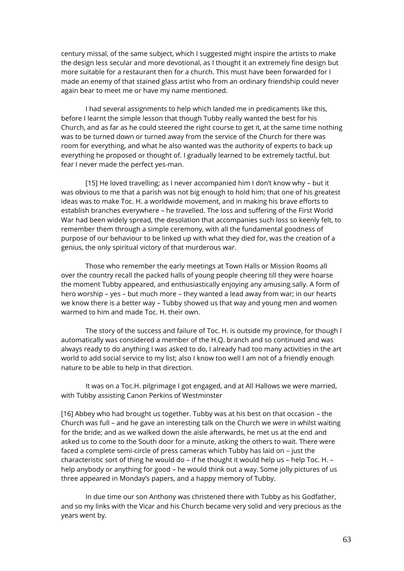century missal, of the same subject, which I suggested might inspire the artists to make the design less secular and more devotional, as I thought it an extremely fine design but more suitable for a restaurant then for a church. This must have been forwarded for I made an enemy of that stained glass artist who from an ordinary friendship could never again bear to meet me or have my name mentioned.

I had several assignments to help which landed me in predicaments like this, before I learnt the simple lesson that though Tubby really wanted the best for his Church, and as far as he could steered the right course to get it, at the same time nothing was to be turned down or turned away from the service of the Church for there was room for everything, and what he also wanted was the authority of experts to back up everything he proposed or thought of. I gradually learned to be extremely tactful, but fear I never made the perfect yes-man.

[15] He loved travelling; as I never accompanied him I don't know why – but it was obvious to me that a parish was not big enough to hold him; that one of his greatest ideas was to make Toc. H. a worldwide movement, and in making his brave efforts to establish branches everywhere – he travelled. The loss and suffering of the First World War had been widely spread, the desolation that accompanies such loss so keenly felt, to remember them through a simple ceremony, with all the fundamental goodness of purpose of our behaviour to be linked up with what they died for, was the creation of a genius, the only spiritual victory of that murderous war.

Those who remember the early meetings at Town Halls or Mission Rooms all over the country recall the packed halls of young people cheering till they were hoarse the moment Tubby appeared, and enthusiastically enjoying any amusing sally. A form of hero worship – yes – but much more – they wanted a lead away from war; in our hearts we know there is a better way – Tubby showed us that way and young men and women warmed to him and made Toc. H. their own.

The story of the success and failure of Toc. H. is outside my province, for though I automatically was considered a member of the H.Q. branch and so continued and was always ready to do anything I was asked to do, I already had too many activities in the art world to add social service to my list; also I know too well I am not of a friendly enough nature to be able to help in that direction.

It was on a Toc.H. pilgrimage I got engaged, and at All Hallows we were married, with Tubby assisting Canon Perkins of Westminster

[16] Abbey who had brought us together. Tubby was at his best on that occasion – the Church was full – and he gave an interesting talk on the Church we were in whilst waiting for the bride; and as we walked down the aisle afterwards, he met us at the end and asked us to come to the South door for a minute, asking the others to wait. There were faced a complete semi-circle of press cameras which Tubby has laid on – just the characteristic sort of thing he would do – if he thought it would help us – help Toc. H. – help anybody or anything for good – he would think out a way. Some jolly pictures of us three appeared in Monday's papers, and a happy memory of Tubby.

In due time our son Anthony was christened there with Tubby as his Godfather, and so my links with the Vicar and his Church became very solid and very precious as the years went by.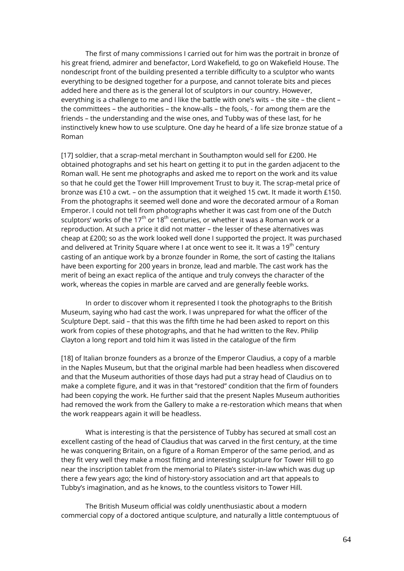The first of many commissions I carried out for him was the portrait in bronze of his great friend, admirer and benefactor, Lord Wakefield, to go on Wakefield House. The nondescript front of the building presented a terrible difficulty to a sculptor who wants everything to be designed together for a purpose, and cannot tolerate bits and pieces added here and there as is the general lot of sculptors in our country. However, everything is a challenge to me and I like the battle with one's wits – the site – the client – the committees – the authorities – the know-alls – the fools, - for among them are the friends – the understanding and the wise ones, and Tubby was of these last, for he instinctively knew how to use sculpture. One day he heard of a life size bronze statue of a Roman

[17] soldier, that a scrap-metal merchant in Southampton would sell for £200. He obtained photographs and set his heart on getting it to put in the garden adjacent to the Roman wall. He sent me photographs and asked me to report on the work and its value so that he could get the Tower Hill Improvement Trust to buy it. The scrap-metal price of bronze was £10 a cwt. – on the assumption that it weighed 15 cwt. It made it worth £150. From the photographs it seemed well done and wore the decorated armour of a Roman Emperor. I could not tell from photographs whether it was cast from one of the Dutch sculptors' works of the 17<sup>th</sup> or 18<sup>th</sup> centuries, or whether it was a Roman work or a reproduction. At such a price it did not matter – the lesser of these alternatives was cheap at £200; so as the work looked well done I supported the project. It was purchased and delivered at Trinity Square where I at once went to see it. It was a 19<sup>th</sup> century casting of an antique work by a bronze founder in Rome, the sort of casting the Italians have been exporting for 200 years in bronze, lead and marble. The cast work has the merit of being an exact replica of the antique and truly conveys the character of the work, whereas the copies in marble are carved and are generally feeble works.

In order to discover whom it represented I took the photographs to the British Museum, saying who had cast the work. I was unprepared for what the officer of the Sculpture Dept. said – that this was the fifth time he had been asked to report on this work from copies of these photographs, and that he had written to the Rev. Philip Clayton a long report and told him it was listed in the catalogue of the firm

[18] of Italian bronze founders as a bronze of the Emperor Claudius, a copy of a marble in the Naples Museum, but that the original marble had been headless when discovered and that the Museum authorities of those days had put a stray head of Claudius on to make a complete figure, and it was in that "restored" condition that the firm of founders had been copying the work. He further said that the present Naples Museum authorities had removed the work from the Gallery to make a re-restoration which means that when the work reappears again it will be headless.

What is interesting is that the persistence of Tubby has secured at small cost an excellent casting of the head of Claudius that was carved in the first century, at the time he was conquering Britain, on a figure of a Roman Emperor of the same period, and as they fit very well they make a most fitting and interesting sculpture for Tower Hill to go near the inscription tablet from the memorial to Pilate's sister-in-law which was dug up there a few years ago; the kind of history-story association and art that appeals to Tubby's imagination, and as he knows, to the countless visitors to Tower Hill.

The British Museum official was coldly unenthusiastic about a modern commercial copy of a doctored antique sculpture, and naturally a little contemptuous of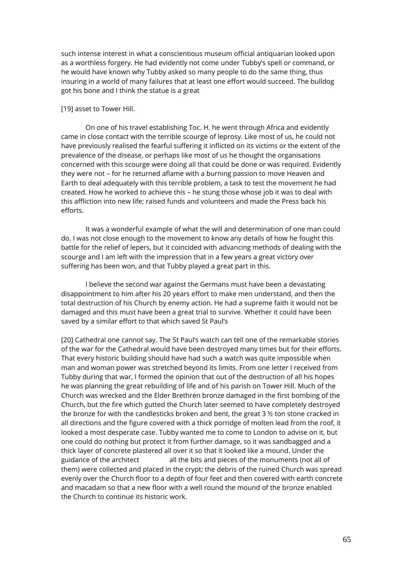such intense interest in what a conscientious museum official antiquarian looked upon as a worthless forgery. He had evidently not come under Tubby's spell or command, or he would have known why Tubby asked so many people to do the same thing, thus insuring in a world of many failures that at least one effort would succeed. The bulldog got his bone and I think the statue is a great

# [19] asset to Tower Hill.

On one of his travel establishing Toc. H. he went through Africa and evidently came in close contact with the terrible scourge of leprosy. Like most of us, he could not have previously realised the fearful suffering it inflicted on its victims or the extent of the prevalence of the disease, or perhaps like most of us he thought the organisations concerned with this scourge were doing all that could be done or was required. Evidently they were not – for he returned aflame with a burning passion to move Heaven and Earth to deal adequately with this terrible problem, a task to test the movement he had created. How he worked to achieve this – he stung those whose job it was to deal with this affliction into new life; raised funds and volunteers and made the Press back his efforts.

It was a wonderful example of what the will and determination of one man could do. I was not close enough to the movement to know any details of how he fought this battle for the relief of lepers, but it coincided with advancing methods of dealing with the scourge and I am left with the impression that in a few years a great victory over suffering has been won, and that Tubby played a great part in this.

I believe the second war against the Germans must have been a devastating disappointment to him after his 20 years effort to make men understand, and then the total destruction of his Church by enemy action. He had a supreme faith it would not be damaged and this must have been a great trial to survive. Whether it could have been saved by a similar effort to that which saved St Paul's

[20] Cathedral one cannot say. The St Paul's watch can tell one of the remarkable stories of the war for the Cathedral would have been destroyed many times but for their efforts. That every historic building should have had such a watch was quite impossible when man and woman power was stretched beyond its limits. From one letter I received from Tubby during that war, I formed the opinion that out of the destruction of all his hopes he was planning the great rebuilding of life and of his parish on Tower Hill. Much of the Church was wrecked and the Elder Brethren bronze damaged in the first bombing of the Church, but the fire which gutted the Church later seemed to have completely destroyed the bronze for with the candlesticks broken and bent, the great  $3\frac{1}{2}$  ton stone cracked in all directions and the figure covered with a thick porridge of molten lead from the roof, it looked a most desperate case. Tubby wanted me to come to London to advise on it, but one could do nothing but protect it from further damage, so it was sandbagged and a thick layer of concrete plastered all over it so that it looked like a mound. Under the guidance of the architect all the bits and pieces of the monuments (not all of them) were collected and placed in the crypt; the debris of the ruined Church was spread evenly over the Church floor to a depth of four feet and then covered with earth concrete and macadam so that a new floor with a well round the mound of the bronze enabled the Church to continue its historic work.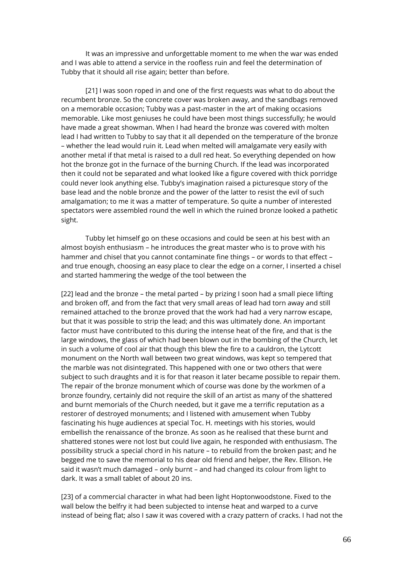It was an impressive and unforgettable moment to me when the war was ended and I was able to attend a service in the roofless ruin and feel the determination of Tubby that it should all rise again; better than before.

[21] I was soon roped in and one of the first requests was what to do about the recumbent bronze. So the concrete cover was broken away, and the sandbags removed on a memorable occasion; Tubby was a past-master in the art of making occasions memorable. Like most geniuses he could have been most things successfully; he would have made a great showman. When I had heard the bronze was covered with molten lead I had written to Tubby to say that it all depended on the temperature of the bronze – whether the lead would ruin it. Lead when melted will amalgamate very easily with another metal if that metal is raised to a dull red heat. So everything depended on how hot the bronze got in the furnace of the burning Church. If the lead was incorporated then it could not be separated and what looked like a figure covered with thick porridge could never look anything else. Tubby's imagination raised a picturesque story of the base lead and the noble bronze and the power of the latter to resist the evil of such amalgamation; to me it was a matter of temperature. So quite a number of interested spectators were assembled round the well in which the ruined bronze looked a pathetic sight.

Tubby let himself go on these occasions and could be seen at his best with an almost boyish enthusiasm – he introduces the great master who is to prove with his hammer and chisel that you cannot contaminate fine things – or words to that effect – and true enough, choosing an easy place to clear the edge on a corner, I inserted a chisel and started hammering the wedge of the tool between the

[22] lead and the bronze – the metal parted – by prizing I soon had a small piece lifting and broken off, and from the fact that very small areas of lead had torn away and still remained attached to the bronze proved that the work had had a very narrow escape, but that it was possible to strip the lead; and this was ultimately done. An important factor must have contributed to this during the intense heat of the fire, and that is the large windows, the glass of which had been blown out in the bombing of the Church, let in such a volume of cool air that though this blew the fire to a cauldron, the Lytcott monument on the North wall between two great windows, was kept so tempered that the marble was not disintegrated. This happened with one or two others that were subject to such draughts and it is for that reason it later became possible to repair them. The repair of the bronze monument which of course was done by the workmen of a bronze foundry, certainly did not require the skill of an artist as many of the shattered and burnt memorials of the Church needed, but it gave me a terrific reputation as a restorer of destroyed monuments; and I listened with amusement when Tubby fascinating his huge audiences at special Toc. H. meetings with his stories, would embellish the renaissance of the bronze. As soon as he realised that these burnt and shattered stones were not lost but could live again, he responded with enthusiasm. The possibility struck a special chord in his nature – to rebuild from the broken past; and he begged me to save the memorial to his dear old friend and helper, the Rev. Ellison. He said it wasn't much damaged – only burnt – and had changed its colour from light to dark. It was a small tablet of about 20 ins.

[23] of a commercial character in what had been light Hoptonwoodstone. Fixed to the wall below the belfry it had been subjected to intense heat and warped to a curve instead of being flat; also I saw it was covered with a crazy pattern of cracks. I had not the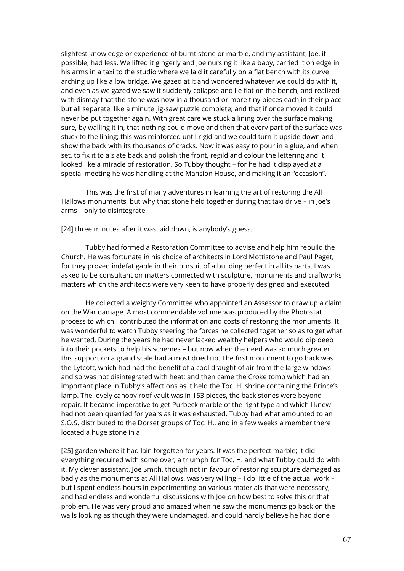slightest knowledge or experience of burnt stone or marble, and my assistant, Joe, if possible, had less. We lifted it gingerly and Joe nursing it like a baby, carried it on edge in his arms in a taxi to the studio where we laid it carefully on a flat bench with its curve arching up like a low bridge. We gazed at it and wondered whatever we could do with it, and even as we gazed we saw it suddenly collapse and lie flat on the bench, and realized with dismay that the stone was now in a thousand or more tiny pieces each in their place but all separate, like a minute jig-saw puzzle complete; and that if once moved it could never be put together again. With great care we stuck a lining over the surface making sure, by walling it in, that nothing could move and then that every part of the surface was stuck to the lining; this was reinforced until rigid and we could turn it upside down and show the back with its thousands of cracks. Now it was easy to pour in a glue, and when set, to fix it to a slate back and polish the front, regild and colour the lettering and it looked like a miracle of restoration. So Tubby thought – for he had it displayed at a special meeting he was handling at the Mansion House, and making it an "occasion".

This was the first of many adventures in learning the art of restoring the All Hallows monuments, but why that stone held together during that taxi drive – in Joe's arms – only to disintegrate

[24] three minutes after it was laid down, is anybody's guess.

Tubby had formed a Restoration Committee to advise and help him rebuild the Church. He was fortunate in his choice of architects in Lord Mottistone and Paul Paget, for they proved indefatigable in their pursuit of a building perfect in all its parts. I was asked to be consultant on matters connected with sculpture, monuments and craftworks matters which the architects were very keen to have properly designed and executed.

He collected a weighty Committee who appointed an Assessor to draw up a claim on the War damage. A most commendable volume was produced by the Photostat process to which I contributed the information and costs of restoring the monuments. It was wonderful to watch Tubby steering the forces he collected together so as to get what he wanted. During the years he had never lacked wealthy helpers who would dip deep into their pockets to help his schemes – but now when the need was so much greater this support on a grand scale had almost dried up. The first monument to go back was the Lytcott, which had had the benefit of a cool draught of air from the large windows and so was not disintegrated with heat; and then came the Croke tomb which had an important place in Tubby's affections as it held the Toc. H. shrine containing the Prince's lamp. The lovely canopy roof vault was in 153 pieces, the back stones were beyond repair. It became imperative to get Purbeck marble of the right type and which I knew had not been quarried for years as it was exhausted. Tubby had what amounted to an S.O.S. distributed to the Dorset groups of Toc. H., and in a few weeks a member there located a huge stone in a

[25] garden where it had lain forgotten for years. It was the perfect marble; it did everything required with some over; a triumph for Toc. H. and what Tubby could do with it. My clever assistant, Joe Smith, though not in favour of restoring sculpture damaged as badly as the monuments at All Hallows, was very willing – I do little of the actual work – but I spent endless hours in experimenting on various materials that were necessary, and had endless and wonderful discussions with Joe on how best to solve this or that problem. He was very proud and amazed when he saw the monuments go back on the walls looking as though they were undamaged, and could hardly believe he had done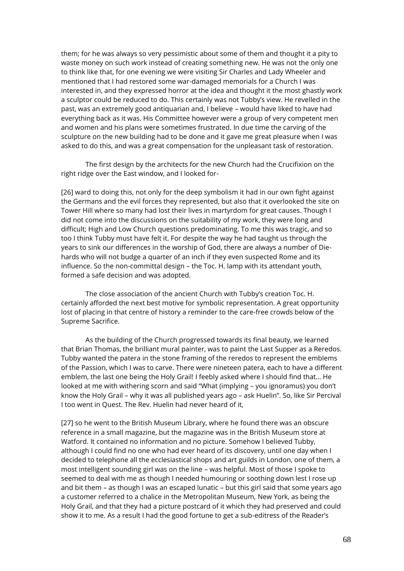them; for he was always so very pessimistic about some of them and thought it a pity to waste money on such work instead of creating something new. He was not the only one to think like that, for one evening we were visiting Sir Charles and Lady Wheeler and mentioned that I had restored some war-damaged memorials for a Church I was interested in, and they expressed horror at the idea and thought it the most ghastly work a sculptor could be reduced to do. This certainly was not Tubby's view. He revelled in the past, was an extremely good antiquarian and, I believe – would have liked to have had everything back as it was. His Committee however were a group of very competent men and women and his plans were sometimes frustrated. In due time the carving of the sculpture on the new building had to be done and it gave me great pleasure when I was asked to do this, and was a great compensation for the unpleasant task of restoration.

The first design by the architects for the new Church had the Crucifixion on the right ridge over the East window, and I looked for-

[26] ward to doing this, not only for the deep symbolism it had in our own fight against the Germans and the evil forces they represented, but also that it overlooked the site on Tower Hill where so many had lost their lives in martyrdom for great causes. Though I did not come into the discussions on the suitability of my work, they were long and difficult; High and Low Church questions predominating. To me this was tragic, and so too I think Tubby must have felt it. For despite the way he had taught us through the years to sink our differences in the worship of God, there are always a number of Diehards who will not budge a quarter of an inch if they even suspected Rome and its influence. So the non-committal design – the Toc. H. lamp with its attendant youth, formed a safe decision and was adopted.

The close association of the ancient Church with Tubby's creation Toc. H. certainly afforded the next best motive for symbolic representation. A great opportunity lost of placing in that centre of history a reminder to the care-free crowds below of the Supreme Sacrifice.

As the building of the Church progressed towards its final beauty, we learned that Brian Thomas, the brilliant mural painter, was to paint the Last Supper as a Reredos. Tubby wanted the patera in the stone framing of the reredos to represent the emblems of the Passion, which I was to carve. There were nineteen patera, each to have a different emblem, the last one being the Holy Grail! I feebly asked where I should find that… He looked at me with withering scorn and said "What (implying – you ignoramus) you don't know the Holy Grail – why it was all published years ago – ask Huelin". So, like Sir Percival I too went in Quest. The Rev. Huelin had never heard of it,

[27] so he went to the British Museum Library, where he found there was an obscure reference in a small magazine, but the magazine was in the British Museum store at Watford. It contained no information and no picture. Somehow I believed Tubby, although I could find no one who had ever heard of its discovery, until one day when I decided to telephone all the ecclesiastical shops and art guilds in London, one of them, a most intelligent sounding girl was on the line – was helpful. Most of those I spoke to seemed to deal with me as though I needed humouring or soothing down lest I rose up and bit them – as though I was an escaped lunatic – but this girl said that some years ago a customer referred to a chalice in the Metropolitan Museum, New York, as being the Holy Grail, and that they had a picture postcard of it which they had preserved and could show it to me. As a result I had the good fortune to get a sub-editress of the Reader's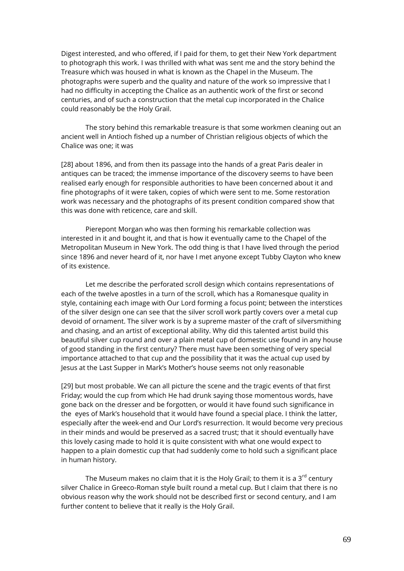Digest interested, and who offered, if I paid for them, to get their New York department to photograph this work. I was thrilled with what was sent me and the story behind the Treasure which was housed in what is known as the Chapel in the Museum. The photographs were superb and the quality and nature of the work so impressive that I had no difficulty in accepting the Chalice as an authentic work of the first or second centuries, and of such a construction that the metal cup incorporated in the Chalice could reasonably be the Holy Grail.

The story behind this remarkable treasure is that some workmen cleaning out an ancient well in Antioch fished up a number of Christian religious objects of which the Chalice was one; it was

[28] about 1896, and from then its passage into the hands of a great Paris dealer in antiques can be traced; the immense importance of the discovery seems to have been realised early enough for responsible authorities to have been concerned about it and fine photographs of it were taken, copies of which were sent to me. Some restoration work was necessary and the photographs of its present condition compared show that this was done with reticence, care and skill.

Pierepont Morgan who was then forming his remarkable collection was interested in it and bought it, and that is how it eventually came to the Chapel of the Metropolitan Museum in New York. The odd thing is that I have lived through the period since 1896 and never heard of it, nor have I met anyone except Tubby Clayton who knew of its existence.

Let me describe the perforated scroll design which contains representations of each of the twelve apostles in a turn of the scroll, which has a Romanesque quality in style, containing each image with Our Lord forming a focus point; between the interstices of the silver design one can see that the silver scroll work partly covers over a metal cup devoid of ornament. The silver work is by a supreme master of the craft of silversmithing and chasing, and an artist of exceptional ability. Why did this talented artist build this beautiful silver cup round and over a plain metal cup of domestic use found in any house of good standing in the first century? There must have been something of very special importance attached to that cup and the possibility that it was the actual cup used by Jesus at the Last Supper in Mark's Mother's house seems not only reasonable

[29] but most probable. We can all picture the scene and the tragic events of that first Friday; would the cup from which He had drunk saying those momentous words, have gone back on the dresser and be forgotten, or would it have found such significance in the eyes of Mark's household that it would have found a special place. I think the latter, especially after the week-end and Our Lord's resurrection. It would become very precious in their minds and would be preserved as a sacred trust; that it should eventually have this lovely casing made to hold it is quite consistent with what one would expect to happen to a plain domestic cup that had suddenly come to hold such a significant place in human history.

The Museum makes no claim that it is the Holy Grail; to them it is a  $3<sup>rd</sup>$  century silver Chalice in Greeco-Roman style built round a metal cup. But I claim that there is no obvious reason why the work should not be described first or second century, and I am further content to believe that it really is the Holy Grail.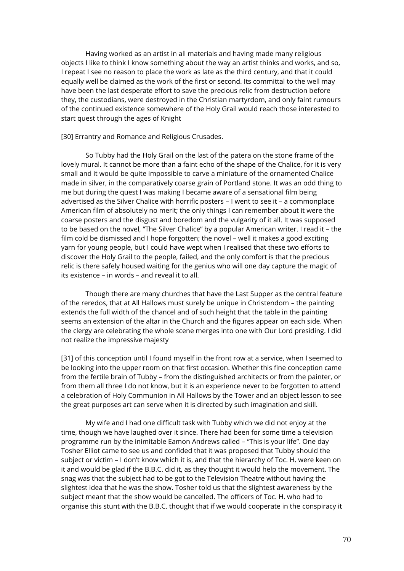Having worked as an artist in all materials and having made many religious objects I like to think I know something about the way an artist thinks and works, and so, I repeat I see no reason to place the work as late as the third century, and that it could equally well be claimed as the work of the first or second. Its committal to the well may have been the last desperate effort to save the precious relic from destruction before they, the custodians, were destroyed in the Christian martyrdom, and only faint rumours of the continued existence somewhere of the Holy Grail would reach those interested to start quest through the ages of Knight

## [30] Errantry and Romance and Religious Crusades.

So Tubby had the Holy Grail on the last of the patera on the stone frame of the lovely mural. It cannot be more than a faint echo of the shape of the Chalice, for it is very small and it would be quite impossible to carve a miniature of the ornamented Chalice made in silver, in the comparatively coarse grain of Portland stone. It was an odd thing to me but during the quest I was making I became aware of a sensational film being advertised as the Silver Chalice with horrific posters – I went to see it – a commonplace American film of absolutely no merit; the only things I can remember about it were the coarse posters and the disgust and boredom and the vulgarity of it all. It was supposed to be based on the novel, "The Silver Chalice" by a popular American writer. I read it – the film cold be dismissed and I hope forgotten; the novel – well it makes a good exciting yarn for young people, but I could have wept when I realised that these two efforts to discover the Holy Grail to the people, failed, and the only comfort is that the precious relic is there safely housed waiting for the genius who will one day capture the magic of its existence – in words – and reveal it to all.

Though there are many churches that have the Last Supper as the central feature of the reredos, that at All Hallows must surely be unique in Christendom – the painting extends the full width of the chancel and of such height that the table in the painting seems an extension of the altar in the Church and the figures appear on each side. When the clergy are celebrating the whole scene merges into one with Our Lord presiding. I did not realize the impressive majesty

[31] of this conception until I found myself in the front row at a service, when I seemed to be looking into the upper room on that first occasion. Whether this fine conception came from the fertile brain of Tubby – from the distinguished architects or from the painter, or from them all three I do not know, but it is an experience never to be forgotten to attend a celebration of Holy Communion in All Hallows by the Tower and an object lesson to see the great purposes art can serve when it is directed by such imagination and skill.

My wife and I had one difficult task with Tubby which we did not enjoy at the time, though we have laughed over it since. There had been for some time a television programme run by the inimitable Eamon Andrews called – "This is your life". One day Tosher Elliot came to see us and confided that it was proposed that Tubby should the subject or victim – I don't know which it is, and that the hierarchy of Toc. H. were keen on it and would be glad if the B.B.C. did it, as they thought it would help the movement. The snag was that the subject had to be got to the Television Theatre without having the slightest idea that he was the show. Tosher told us that the slightest awareness by the subject meant that the show would be cancelled. The officers of Toc. H. who had to organise this stunt with the B.B.C. thought that if we would cooperate in the conspiracy it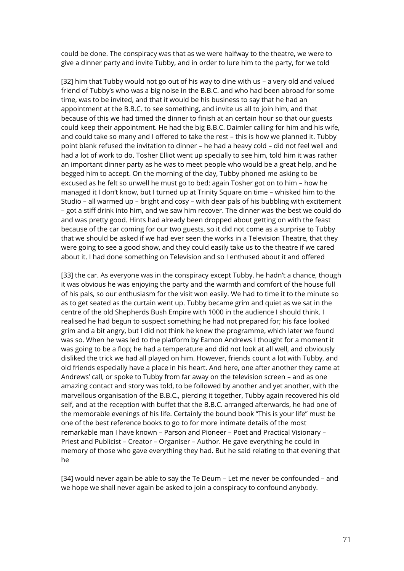could be done. The conspiracy was that as we were halfway to the theatre, we were to give a dinner party and invite Tubby, and in order to lure him to the party, for we told

[32] him that Tubby would not go out of his way to dine with us – a very old and valued friend of Tubby's who was a big noise in the B.B.C. and who had been abroad for some time, was to be invited, and that it would be his business to say that he had an appointment at the B.B.C. to see something, and invite us all to join him, and that because of this we had timed the dinner to finish at an certain hour so that our guests could keep their appointment. He had the big B.B.C. Daimler calling for him and his wife, and could take so many and I offered to take the rest – this is how we planned it. Tubby point blank refused the invitation to dinner – he had a heavy cold – did not feel well and had a lot of work to do. Tosher Elliot went up specially to see him, told him it was rather an important dinner party as he was to meet people who would be a great help, and he begged him to accept. On the morning of the day, Tubby phoned me asking to be excused as he felt so unwell he must go to bed; again Tosher got on to him – how he managed it I don't know, but I turned up at Trinity Square on time – whisked him to the Studio – all warmed up – bright and cosy – with dear pals of his bubbling with excitement – got a stiff drink into him, and we saw him recover. The dinner was the best we could do and was pretty good. Hints had already been dropped about getting on with the feast because of the car coming for our two guests, so it did not come as a surprise to Tubby that we should be asked if we had ever seen the works in a Television Theatre, that they were going to see a good show, and they could easily take us to the theatre if we cared about it. I had done something on Television and so I enthused about it and offered

[33] the car. As everyone was in the conspiracy except Tubby, he hadn't a chance, though it was obvious he was enjoying the party and the warmth and comfort of the house full of his pals, so our enthusiasm for the visit won easily. We had to time it to the minute so as to get seated as the curtain went up. Tubby became grim and quiet as we sat in the centre of the old Shepherds Bush Empire with 1000 in the audience I should think. I realised he had begun to suspect something he had not prepared for; his face looked grim and a bit angry, but I did not think he knew the programme, which later we found was so. When he was led to the platform by Eamon Andrews I thought for a moment it was going to be a flop; he had a temperature and did not look at all well, and obviously disliked the trick we had all played on him. However, friends count a lot with Tubby, and old friends especially have a place in his heart. And here, one after another they came at Andrews' call, or spoke to Tubby from far away on the television screen – and as one amazing contact and story was told, to be followed by another and yet another, with the marvellous organisation of the B.B.C., piercing it together, Tubby again recovered his old self, and at the reception with buffet that the B.B.C. arranged afterwards, he had one of the memorable evenings of his life. Certainly the bound book "This is your life" must be one of the best reference books to go to for more intimate details of the most remarkable man I have known – Parson and Pioneer – Poet and Practical Visionary – Priest and Publicist – Creator – Organiser – Author. He gave everything he could in memory of those who gave everything they had. But he said relating to that evening that he

[34] would never again be able to say the Te Deum – Let me never be confounded – and we hope we shall never again be asked to join a conspiracy to confound anybody.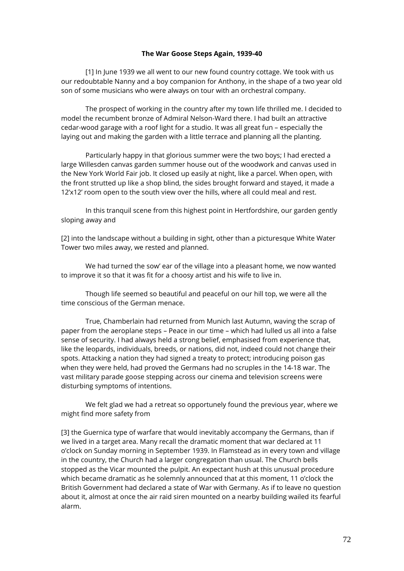## **The War Goose Steps Again, 1939-40**

[1] In June 1939 we all went to our new found country cottage. We took with us our redoubtable Nanny and a boy companion for Anthony, in the shape of a two year old son of some musicians who were always on tour with an orchestral company.

The prospect of working in the country after my town life thrilled me. I decided to model the recumbent bronze of Admiral Nelson-Ward there. I had built an attractive cedar-wood garage with a roof light for a studio. It was all great fun – especially the laying out and making the garden with a little terrace and planning all the planting.

Particularly happy in that glorious summer were the two boys; I had erected a large Willesden canvas garden summer house out of the woodwork and canvas used in the New York World Fair job. It closed up easily at night, like a parcel. When open, with the front strutted up like a shop blind, the sides brought forward and stayed, it made a 12'x12' room open to the south view over the hills, where all could meal and rest.

In this tranquil scene from this highest point in Hertfordshire, our garden gently sloping away and

[2] into the landscape without a building in sight, other than a picturesque White Water Tower two miles away, we rested and planned.

We had turned the sow' ear of the village into a pleasant home, we now wanted to improve it so that it was fit for a choosy artist and his wife to live in.

Though life seemed so beautiful and peaceful on our hill top, we were all the time conscious of the German menace.

True, Chamberlain had returned from Munich last Autumn, waving the scrap of paper from the aeroplane steps – Peace in our time – which had lulled us all into a false sense of security. I had always held a strong belief, emphasised from experience that, like the leopards, individuals, breeds, or nations, did not, indeed could not change their spots. Attacking a nation they had signed a treaty to protect; introducing poison gas when they were held, had proved the Germans had no scruples in the 14-18 war. The vast military parade goose stepping across our cinema and television screens were disturbing symptoms of intentions.

We felt glad we had a retreat so opportunely found the previous year, where we might find more safety from

[3] the Guernica type of warfare that would inevitably accompany the Germans, than if we lived in a target area. Many recall the dramatic moment that war declared at 11 o'clock on Sunday morning in September 1939. In Flamstead as in every town and village in the country, the Church had a larger congregation than usual. The Church bells stopped as the Vicar mounted the pulpit. An expectant hush at this unusual procedure which became dramatic as he solemnly announced that at this moment, 11 o'clock the British Government had declared a state of War with Germany. As if to leave no question about it, almost at once the air raid siren mounted on a nearby building wailed its fearful alarm.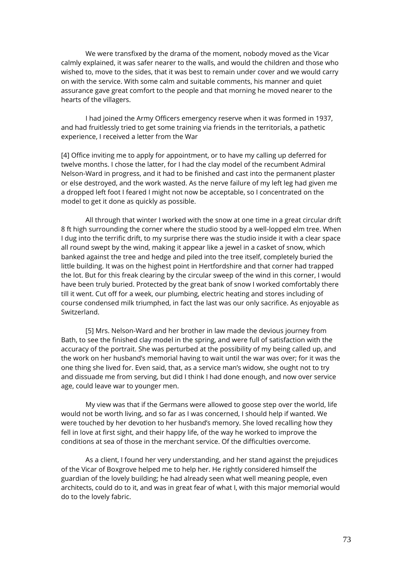We were transfixed by the drama of the moment, nobody moved as the Vicar calmly explained, it was safer nearer to the walls, and would the children and those who wished to, move to the sides, that it was best to remain under cover and we would carry on with the service. With some calm and suitable comments, his manner and quiet assurance gave great comfort to the people and that morning he moved nearer to the hearts of the villagers.

I had joined the Army Officers emergency reserve when it was formed in 1937, and had fruitlessly tried to get some training via friends in the territorials, a pathetic experience, I received a letter from the War

[4] Office inviting me to apply for appointment, or to have my calling up deferred for twelve months. I chose the latter, for I had the clay model of the recumbent Admiral Nelson-Ward in progress, and it had to be finished and cast into the permanent plaster or else destroyed, and the work wasted. As the nerve failure of my left leg had given me a dropped left foot I feared I might not now be acceptable, so I concentrated on the model to get it done as quickly as possible.

All through that winter I worked with the snow at one time in a great circular drift 8 ft high surrounding the corner where the studio stood by a well-lopped elm tree. When I dug into the terrific drift, to my surprise there was the studio inside it with a clear space all round swept by the wind, making it appear like a jewel in a casket of snow, which banked against the tree and hedge and piled into the tree itself, completely buried the little building. It was on the highest point in Hertfordshire and that corner had trapped the lot. But for this freak clearing by the circular sweep of the wind in this corner, I would have been truly buried. Protected by the great bank of snow I worked comfortably there till it went. Cut off for a week, our plumbing, electric heating and stores including of course condensed milk triumphed, in fact the last was our only sacrifice. As enjoyable as Switzerland.

[5] Mrs. Nelson-Ward and her brother in law made the devious journey from Bath, to see the finished clay model in the spring, and were full of satisfaction with the accuracy of the portrait. She was perturbed at the possibility of my being called up, and the work on her husband's memorial having to wait until the war was over; for it was the one thing she lived for. Even said, that, as a service man's widow, she ought not to try and dissuade me from serving, but did I think I had done enough, and now over service age, could leave war to younger men.

My view was that if the Germans were allowed to goose step over the world, life would not be worth living, and so far as I was concerned, I should help if wanted. We were touched by her devotion to her husband's memory. She loved recalling how they fell in love at first sight, and their happy life, of the way he worked to improve the conditions at sea of those in the merchant service. Of the difficulties overcome.

As a client, I found her very understanding, and her stand against the prejudices of the Vicar of Boxgrove helped me to help her. He rightly considered himself the guardian of the lovely building; he had already seen what well meaning people, even architects, could do to it, and was in great fear of what I, with this major memorial would do to the lovely fabric.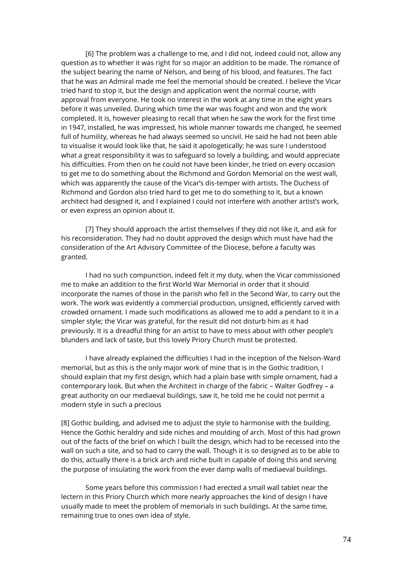[6] The problem was a challenge to me, and I did not, indeed could not, allow any question as to whether it was right for so major an addition to be made. The romance of the subject bearing the name of Nelson, and being of his blood, and features. The fact that he was an Admiral made me feel the memorial should be created. I believe the Vicar tried hard to stop it, but the design and application went the normal course, with approval from everyone. He took no interest in the work at any time in the eight years before it was unveiled. During which time the war was fought and won and the work completed. It is, however pleasing to recall that when he saw the work for the first time in 1947, installed, he was impressed, his whole manner towards me changed, he seemed full of humility, whereas he had always seemed so uncivil. He said he had not been able to visualise it would look like that, he said it apologetically; he was sure I understood what a great responsibility it was to safeguard so lovely a building, and would appreciate his difficulties. From then on he could not have been kinder, he tried on every occasion to get me to do something about the Richmond and Gordon Memorial on the west wall, which was apparently the cause of the Vicar's dis-temper with artists. The Duchess of Richmond and Gordon also tried hard to get me to do something to it, but a known architect had designed it, and I explained I could not interfere with another artist's work, or even express an opinion about it.

[7] They should approach the artist themselves if they did not like it, and ask for his reconsideration. They had no doubt approved the design which must have had the consideration of the Art Advisory Committee of the Diocese, before a faculty was granted.

I had no such compunction, indeed felt it my duty, when the Vicar commissioned me to make an addition to the first World War Memorial in order that it should incorporate the names of those in the parish who fell in the Second War, to carry out the work. The work was evidently a commercial production, unsigned, efficiently carved with crowded ornament. I made such modifications as allowed me to add a pendant to it in a simpler style; the Vicar was grateful, for the result did not disturb him as it had previously. It is a dreadful thing for an artist to have to mess about with other people's blunders and lack of taste, but this lovely Priory Church must be protected.

I have already explained the difficulties I had in the inception of the Nelson-Ward memorial, but as this is the only major work of mine that is in the Gothic tradition, I should explain that my first design, which had a plain base with simple ornament, had a contemporary look. But when the Architect in charge of the fabric – Walter Godfrey – a great authority on our mediaeval buildings, saw it, he told me he could not permit a modern style in such a precious

[8] Gothic building, and advised me to adjust the style to harmonise with the building. Hence the Gothic heraldry and side niches and moulding of arch. Most of this had grown out of the facts of the brief on which I built the design, which had to be recessed into the wall on such a site, and so had to carry the wall. Though it is so designed as to be able to do this, actually there is a brick arch and niche built in capable of doing this and serving the purpose of insulating the work from the ever damp walls of mediaeval buildings.

Some years before this commission I had erected a small wall tablet near the lectern in this Priory Church which more nearly approaches the kind of design I have usually made to meet the problem of memorials in such buildings. At the same time, remaining true to ones own idea of style.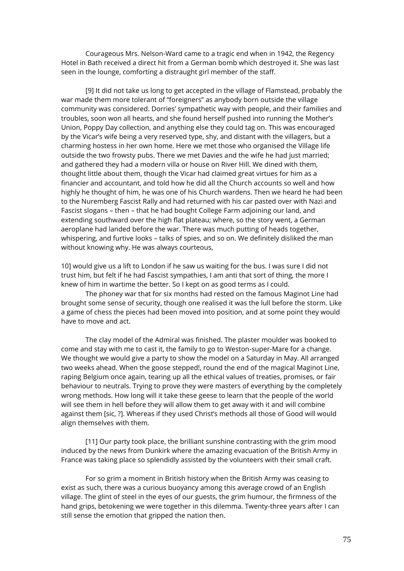Courageous Mrs. Nelson-Ward came to a tragic end when in 1942, the Regency Hotel in Bath received a direct hit from a German bomb which destroyed it. She was last seen in the lounge, comforting a distraught girl member of the staff.

[9] It did not take us long to get accepted in the village of Flamstead, probably the war made them more tolerant of "foreigners" as anybody born outside the village community was considered. Dorries' sympathetic way with people, and their families and troubles, soon won all hearts, and she found herself pushed into running the Mother's Union, Poppy Day collection, and anything else they could tag on. This was encouraged by the Vicar's wife being a very reserved type, shy, and distant with the villagers, but a charming hostess in her own home. Here we met those who organised the Village life outside the two frowsty pubs. There we met Davies and the wife he had just married; and gathered they had a modern villa or house on River Hill. We dined with them, thought little about them, though the Vicar had claimed great virtues for him as a financier and accountant, and told how he did all the Church accounts so well and how highly he thought of him, he was one of his Church wardens. Then we heard he had been to the Nuremberg Fascist Rally and had returned with his car pasted over with Nazi and Fascist slogans – then – that he had bought College Farm adjoining our land, and extending southward over the high flat plateau; where, so the story went, a German aeroplane had landed before the war. There was much putting of heads together, whispering, and furtive looks – talks of spies, and so on. We definitely disliked the man without knowing why. He was always courteous,

10] would give us a lift to London if he saw us waiting for the bus. I was sure I did not trust him, but felt if he had Fascist sympathies, I am anti that sort of thing, the more I knew of him in wartime the better. So I kept on as good terms as I could.

The phoney war that for six months had rested on the famous Maginot Line had brought some sense of security, though one realised it was the lull before the storm. Like a game of chess the pieces had been moved into position, and at some point they would have to move and act.

The clay model of the Admiral was finished. The plaster moulder was booked to come and stay with me to cast it, the family to go to Weston-super-Mare for a change. We thought we would give a party to show the model on a Saturday in May. All arranged two weeks ahead. When the goose stepped!, round the end of the magical Maginot Line, raping Belgium once again, tearing up all the ethical values of treaties, promises, or fair behaviour to neutrals. Trying to prove they were masters of everything by the completely wrong methods. How long will it take these geese to learn that the people of the world will see them in hell before they will allow them to get away with it and will combine against them [sic, ?]. Whereas if they used Christ's methods all those of Good will would align themselves with them.

[11] Our party took place, the brilliant sunshine contrasting with the grim mood induced by the news from Dunkirk where the amazing evacuation of the British Army in France was taking place so splendidly assisted by the volunteers with their small craft.

For so grim a moment in British history when the British Army was ceasing to exist as such, there was a curious buoyancy among this average crowd of an English village. The glint of steel in the eyes of our guests, the grim humour, the firmness of the hand grips, betokening we were together in this dilemma. Twenty-three years after I can still sense the emotion that gripped the nation then.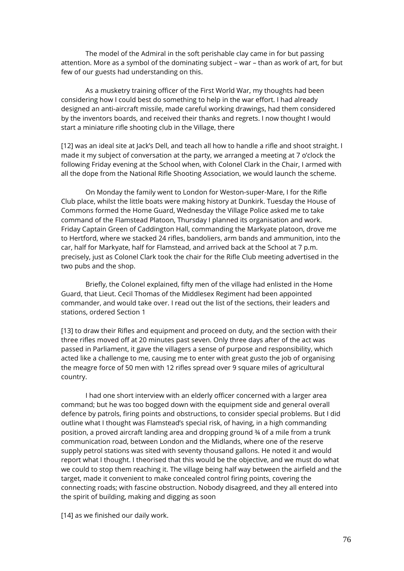The model of the Admiral in the soft perishable clay came in for but passing attention. More as a symbol of the dominating subject – war – than as work of art, for but few of our guests had understanding on this.

As a musketry training officer of the First World War, my thoughts had been considering how I could best do something to help in the war effort. I had already designed an anti-aircraft missile, made careful working drawings, had them considered by the inventors boards, and received their thanks and regrets. I now thought I would start a miniature rifle shooting club in the Village, there

[12] was an ideal site at Jack's Dell, and teach all how to handle a rifle and shoot straight. I made it my subject of conversation at the party, we arranged a meeting at 7 o'clock the following Friday evening at the School when, with Colonel Clark in the Chair, I armed with all the dope from the National Rifle Shooting Association, we would launch the scheme.

On Monday the family went to London for Weston-super-Mare, I for the Rifle Club place, whilst the little boats were making history at Dunkirk. Tuesday the House of Commons formed the Home Guard, Wednesday the Village Police asked me to take command of the Flamstead Platoon, Thursday I planned its organisation and work. Friday Captain Green of Caddington Hall, commanding the Markyate platoon, drove me to Hertford, where we stacked 24 rifles, bandoliers, arm bands and ammunition, into the car, half for Markyate, half for Flamstead, and arrived back at the School at 7 p.m. precisely, just as Colonel Clark took the chair for the Rifle Club meeting advertised in the two pubs and the shop.

Briefly, the Colonel explained, fifty men of the village had enlisted in the Home Guard, that Lieut. Cecil Thomas of the Middlesex Regiment had been appointed commander, and would take over. I read out the list of the sections, their leaders and stations, ordered Section 1

[13] to draw their Rifles and equipment and proceed on duty, and the section with their three rifles moved off at 20 minutes past seven. Only three days after of the act was passed in Parliament, it gave the villagers a sense of purpose and responsibility, which acted like a challenge to me, causing me to enter with great gusto the job of organising the meagre force of 50 men with 12 rifles spread over 9 square miles of agricultural country.

I had one short interview with an elderly officer concerned with a larger area command; but he was too bogged down with the equipment side and general overall defence by patrols, firing points and obstructions, to consider special problems. But I did outline what I thought was Flamstead's special risk, of having, in a high commanding position, a proved aircraft landing area and dropping ground ¾ of a mile from a trunk communication road, between London and the Midlands, where one of the reserve supply petrol stations was sited with seventy thousand gallons. He noted it and would report what I thought. I theorised that this would be the objective, and we must do what we could to stop them reaching it. The village being half way between the airfield and the target, made it convenient to make concealed control firing points, covering the connecting roads; with fascine obstruction. Nobody disagreed, and they all entered into the spirit of building, making and digging as soon

[14] as we finished our daily work.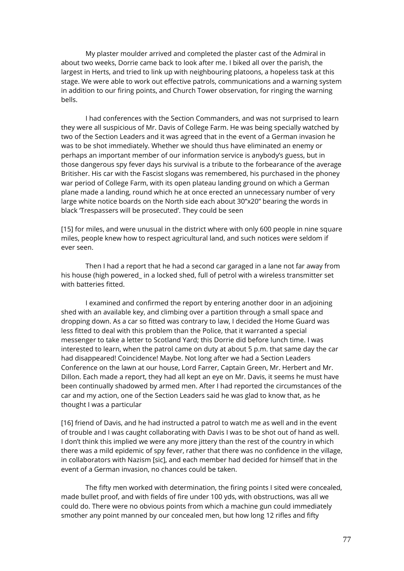My plaster moulder arrived and completed the plaster cast of the Admiral in about two weeks, Dorrie came back to look after me. I biked all over the parish, the largest in Herts, and tried to link up with neighbouring platoons, a hopeless task at this stage. We were able to work out effective patrols, communications and a warning system in addition to our firing points, and Church Tower observation, for ringing the warning bells.

I had conferences with the Section Commanders, and was not surprised to learn they were all suspicious of Mr. Davis of College Farm. He was being specially watched by two of the Section Leaders and it was agreed that in the event of a German invasion he was to be shot immediately. Whether we should thus have eliminated an enemy or perhaps an important member of our information service is anybody's guess, but in those dangerous spy fever days his survival is a tribute to the forbearance of the average Britisher. His car with the Fascist slogans was remembered, his purchased in the phoney war period of College Farm, with its open plateau landing ground on which a German plane made a landing, round which he at once erected an unnecessary number of very large white notice boards on the North side each about 30"x20" bearing the words in black 'Trespassers will be prosecuted'. They could be seen

[15] for miles, and were unusual in the district where with only 600 people in nine square miles, people knew how to respect agricultural land, and such notices were seldom if ever seen.

Then I had a report that he had a second car garaged in a lane not far away from his house (high powered\_ in a locked shed, full of petrol with a wireless transmitter set with batteries fitted.

I examined and confirmed the report by entering another door in an adjoining shed with an available key, and climbing over a partition through a small space and dropping down. As a car so fitted was contrary to law, I decided the Home Guard was less fitted to deal with this problem than the Police, that it warranted a special messenger to take a letter to Scotland Yard; this Dorrie did before lunch time. I was interested to learn, when the patrol came on duty at about 5 p.m. that same day the car had disappeared! Coincidence! Maybe. Not long after we had a Section Leaders Conference on the lawn at our house, Lord Farrer, Captain Green, Mr. Herbert and Mr. Dillon. Each made a report, they had all kept an eye on Mr. Davis, it seems he must have been continually shadowed by armed men. After I had reported the circumstances of the car and my action, one of the Section Leaders said he was glad to know that, as he thought I was a particular

[16] friend of Davis, and he had instructed a patrol to watch me as well and in the event of trouble and I was caught collaborating with Davis I was to be shot out of hand as well. I don't think this implied we were any more jittery than the rest of the country in which there was a mild epidemic of spy fever, rather that there was no confidence in the village, in collaborators with Nazism [sic], and each member had decided for himself that in the event of a German invasion, no chances could be taken.

The fifty men worked with determination, the firing points I sited were concealed, made bullet proof, and with fields of fire under 100 yds, with obstructions, was all we could do. There were no obvious points from which a machine gun could immediately smother any point manned by our concealed men, but how long 12 rifles and fifty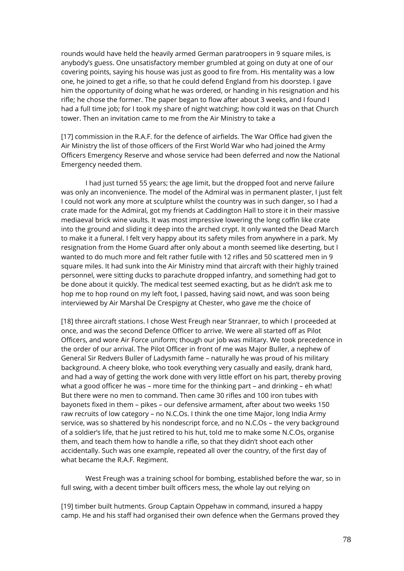rounds would have held the heavily armed German paratroopers in 9 square miles, is anybody's guess. One unsatisfactory member grumbled at going on duty at one of our covering points, saying his house was just as good to fire from. His mentality was a low one, he joined to get a rifle, so that he could defend England from his doorstep. I gave him the opportunity of doing what he was ordered, or handing in his resignation and his rifle; he chose the former. The paper began to flow after about 3 weeks, and I found I had a full time job; for I took my share of night watching; how cold it was on that Church tower. Then an invitation came to me from the Air Ministry to take a

[17] commission in the R.A.F. for the defence of airfields. The War Office had given the Air Ministry the list of those officers of the First World War who had joined the Army Officers Emergency Reserve and whose service had been deferred and now the National Emergency needed them.

I had just turned 55 years; the age limit, but the dropped foot and nerve failure was only an inconvenience. The model of the Admiral was in permanent plaster, I just felt I could not work any more at sculpture whilst the country was in such danger, so I had a crate made for the Admiral, got my friends at Caddington Hall to store it in their massive mediaeval brick wine vaults. It was most impressive lowering the long coffin like crate into the ground and sliding it deep into the arched crypt. It only wanted the Dead March to make it a funeral. I felt very happy about its safety miles from anywhere in a park. My resignation from the Home Guard after only about a month seemed like deserting, but I wanted to do much more and felt rather futile with 12 rifles and 50 scattered men in 9 square miles. It had sunk into the Air Ministry mind that aircraft with their highly trained personnel, were sitting ducks to parachute dropped infantry, and something had got to be done about it quickly. The medical test seemed exacting, but as he didn't ask me to hop me to hop round on my left foot, I passed, having said nowt, and was soon being interviewed by Air Marshal De Crespigny at Chester, who gave me the choice of

[18] three aircraft stations. I chose West Freugh near Stranraer, to which I proceeded at once, and was the second Defence Officer to arrive. We were all started off as Pilot Officers, and wore Air Force uniform; though our job was military. We took precedence in the order of our arrival. The Pilot Officer in front of me was Major Buller, a nephew of General Sir Redvers Buller of Ladysmith fame – naturally he was proud of his military background. A cheery bloke, who took everything very casually and easily, drank hard, and had a way of getting the work done with very little effort on his part, thereby proving what a good officer he was – more time for the thinking part – and drinking – eh what! But there were no men to command. Then came 30 rifles and 100 iron tubes with bayonets fixed in them – pikes – our defensive armament, after about two weeks 150 raw recruits of low category – no N.C.Os. I think the one time Major, long India Army service, was so shattered by his nondescript force, and no N.C.Os – the very background of a soldier's life, that he just retired to his hut, told me to make some N.C.Os, organise them, and teach them how to handle a rifle, so that they didn't shoot each other accidentally. Such was one example, repeated all over the country, of the first day of what became the R.A.F. Regiment.

West Freugh was a training school for bombing, established before the war, so in full swing, with a decent timber built officers mess, the whole lay out relying on

[19] timber built hutments. Group Captain Oppehaw in command, insured a happy camp. He and his staff had organised their own defence when the Germans proved they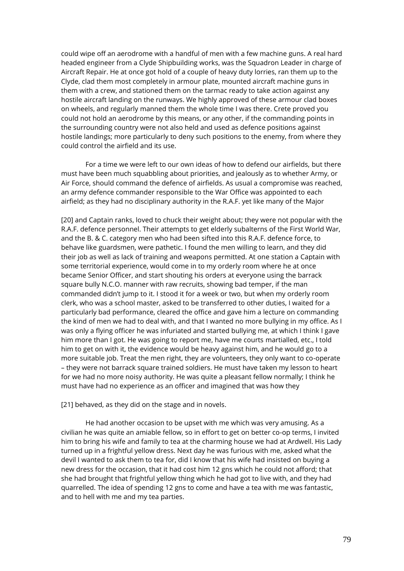could wipe off an aerodrome with a handful of men with a few machine guns. A real hard headed engineer from a Clyde Shipbuilding works, was the Squadron Leader in charge of Aircraft Repair. He at once got hold of a couple of heavy duty lorries, ran them up to the Clyde, clad them most completely in armour plate, mounted aircraft machine guns in them with a crew, and stationed them on the tarmac ready to take action against any hostile aircraft landing on the runways. We highly approved of these armour clad boxes on wheels, and regularly manned them the whole time I was there. Crete proved you could not hold an aerodrome by this means, or any other, if the commanding points in the surrounding country were not also held and used as defence positions against hostile landings; more particularly to deny such positions to the enemy, from where they could control the airfield and its use.

For a time we were left to our own ideas of how to defend our airfields, but there must have been much squabbling about priorities, and jealously as to whether Army, or Air Force, should command the defence of airfields. As usual a compromise was reached, an army defence commander responsible to the War Office was appointed to each airfield; as they had no disciplinary authority in the R.A.F. yet like many of the Major

[20] and Captain ranks, loved to chuck their weight about; they were not popular with the R.A.F. defence personnel. Their attempts to get elderly subalterns of the First World War, and the B. & C. category men who had been sifted into this R.A.F. defence force, to behave like guardsmen, were pathetic. I found the men willing to learn, and they did their job as well as lack of training and weapons permitted. At one station a Captain with some territorial experience, would come in to my orderly room where he at once became Senior Officer, and start shouting his orders at everyone using the barrack square bully N.C.O. manner with raw recruits, showing bad temper, if the man commanded didn't jump to it. I stood it for a week or two, but when my orderly room clerk, who was a school master, asked to be transferred to other duties, I waited for a particularly bad performance, cleared the office and gave him a lecture on commanding the kind of men we had to deal with, and that I wanted no more bullying in my office. As I was only a flying officer he was infuriated and started bullying me, at which I think I gave him more than I got. He was going to report me, have me courts martialled, etc., I told him to get on with it, the evidence would be heavy against him, and he would go to a more suitable job. Treat the men right, they are volunteers, they only want to co-operate – they were not barrack square trained soldiers. He must have taken my lesson to heart for we had no more noisy authority. He was quite a pleasant fellow normally; I think he must have had no experience as an officer and imagined that was how they

[21] behaved, as they did on the stage and in novels.

He had another occasion to be upset with me which was very amusing. As a civilian he was quite an amiable fellow, so in effort to get on better co-op terms, I invited him to bring his wife and family to tea at the charming house we had at Ardwell. His Lady turned up in a frightful yellow dress. Next day he was furious with me, asked what the devil I wanted to ask them to tea for, did I know that his wife had insisted on buying a new dress for the occasion, that it had cost him 12 gns which he could not afford; that she had brought that frightful yellow thing which he had got to live with, and they had quarrelled. The idea of spending 12 gns to come and have a tea with me was fantastic, and to hell with me and my tea parties.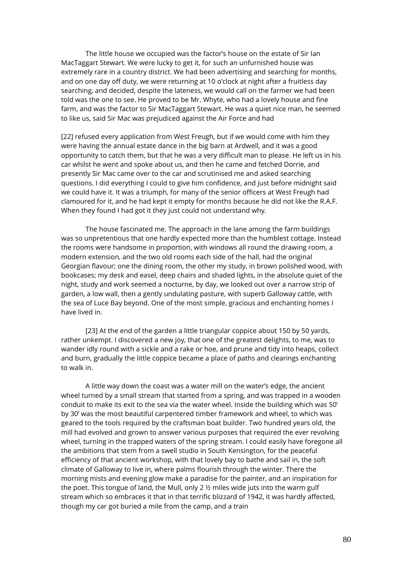The little house we occupied was the factor's house on the estate of Sir Ian MacTaggart Stewart. We were lucky to get it, for such an unfurnished house was extremely rare in a country district. We had been advertising and searching for months, and on one day off duty, we were returning at 10 o'clock at night after a fruitless day searching, and decided, despite the lateness, we would call on the farmer we had been told was the one to see. He proved to be Mr. Whyte, who had a lovely house and fine farm, and was the factor to Sir MacTaggart Stewart. He was a quiet nice man, he seemed to like us, said Sir Mac was prejudiced against the Air Force and had

[22] refused every application from West Freugh, but if we would come with him they were having the annual estate dance in the big barn at Ardwell, and it was a good opportunity to catch them, but that he was a very difficult man to please. He left us in his car whilst he went and spoke about us, and then he came and fetched Dorrie, and presently Sir Mac came over to the car and scrutinised me and asked searching questions. I did everything I could to give him confidence, and just before midnight said we could have it. It was a triumph, for many of the senior officers at West Freugh had clamoured for it, and he had kept it empty for months because he did not like the R.A.F. When they found I had got it they just could not understand why.

The house fascinated me. The approach in the lane among the farm buildings was so unpretentious that one hardly expected more than the humblest cottage. Instead the rooms were handsome in proportion, with windows all round the drawing room, a modern extension, and the two old rooms each side of the hall, had the original Georgian flavour; one the dining room, the other my study, in brown polished wood, with bookcases; my desk and easel, deep chairs and shaded lights, in the absolute quiet of the night, study and work seemed a nocturne, by day, we looked out over a narrow strip of garden, a low wall, then a gently undulating pasture, with superb Galloway cattle, with the sea of Luce Bay beyond. One of the most simple, gracious and enchanting homes I have lived in.

[23] At the end of the garden a little triangular coppice about 150 by 50 yards, rather unkempt. I discovered a new joy, that one of the greatest delights, to me, was to wander idly round with a sickle and a rake or hoe, and prune and tidy into heaps, collect and burn, gradually the little coppice became a place of paths and clearings enchanting to walk in.

A little way down the coast was a water mill on the water's edge, the ancient wheel turned by a small stream that started from a spring, and was trapped in a wooden conduit to make its exit to the sea via the water wheel. Inside the building which was 50' by 30' was the most beautiful carpentered timber framework and wheel, to which was geared to the tools required by the craftsman boat builder. Two hundred years old, the mill had evolved and grown to answer various purposes that required the ever revolving wheel, turning in the trapped waters of the spring stream. I could easily have foregone all the ambitions that stem from a swell studio in South Kensington, for the peaceful efficiency of that ancient workshop, with that lovely bay to bathe and sail in, the soft climate of Galloway to live in, where palms flourish through the winter. There the morning mists and evening glow make a paradise for the painter, and an inspiration for the poet. This tongue of land, the Mull, only 2 ½ miles wide juts into the warm gulf stream which so embraces it that in that terrific blizzard of 1942, it was hardly affected, though my car got buried a mile from the camp, and a train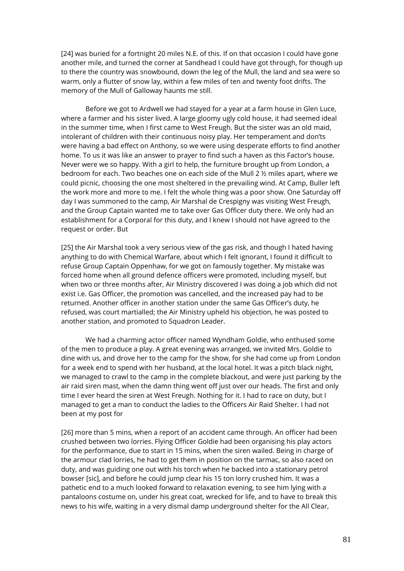[24] was buried for a fortnight 20 miles N.E. of this. If on that occasion I could have gone another mile, and turned the corner at Sandhead I could have got through, for though up to there the country was snowbound, down the leg of the Mull, the land and sea were so warm, only a flutter of snow lay, within a few miles of ten and twenty foot drifts. The memory of the Mull of Galloway haunts me still.

Before we got to Ardwell we had stayed for a year at a farm house in Glen Luce, where a farmer and his sister lived. A large gloomy ugly cold house, it had seemed ideal in the summer time, when I first came to West Freugh. But the sister was an old maid, intolerant of children with their continuous noisy play. Her temperament and don'ts were having a bad effect on Anthony, so we were using desperate efforts to find another home. To us it was like an answer to prayer to find such a haven as this Factor's house. Never were we so happy. With a girl to help, the furniture brought up from London, a bedroom for each. Two beaches one on each side of the Mull 2 ½ miles apart, where we could picnic, choosing the one most sheltered in the prevailing wind. At Camp, Buller left the work more and more to me. I felt the whole thing was a poor show. One Saturday off day I was summoned to the camp, Air Marshal de Crespigny was visiting West Freugh, and the Group Captain wanted me to take over Gas Officer duty there. We only had an establishment for a Corporal for this duty, and I knew I should not have agreed to the request or order. But

[25] the Air Marshal took a very serious view of the gas risk, and though I hated having anything to do with Chemical Warfare, about which I felt ignorant, I found it difficult to refuse Group Captain Oppenhaw, for we got on famously together. My mistake was forced home when all ground defence officers were promoted, including myself, but when two or three months after, Air Ministry discovered I was doing a job which did not exist i.e. Gas Officer, the promotion was cancelled, and the increased pay had to be returned. Another officer in another station under the same Gas Officer's duty, he refused, was court martialled; the Air Ministry upheld his objection, he was posted to another station, and promoted to Squadron Leader.

We had a charming actor officer named Wyndham Goldie, who enthused some of the men to produce a play. A great evening was arranged, we invited Mrs. Goldie to dine with us, and drove her to the camp for the show, for she had come up from London for a week end to spend with her husband, at the local hotel. It was a pitch black night, we managed to crawl to the camp in the complete blackout, and were just parking by the air raid siren mast, when the damn thing went off just over our heads. The first and only time I ever heard the siren at West Freugh. Nothing for it. I had to race on duty, but I managed to get a man to conduct the ladies to the Officers Air Raid Shelter. I had not been at my post for

[26] more than 5 mins, when a report of an accident came through. An officer had been crushed between two lorries. Flying Officer Goldie had been organising his play actors for the performance, due to start in 15 mins, when the siren wailed. Being in charge of the armour clad lorries, he had to get them in position on the tarmac, so also raced on duty, and was guiding one out with his torch when he backed into a stationary petrol bowser [sic], and before he could jump clear his 15 ton lorry crushed him. It was a pathetic end to a much looked forward to relaxation evening, to see him lying with a pantaloons costume on, under his great coat, wrecked for life, and to have to break this news to his wife, waiting in a very dismal damp underground shelter for the All Clear,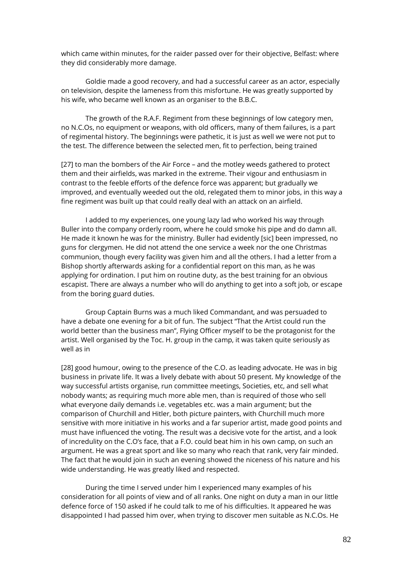which came within minutes, for the raider passed over for their objective, Belfast: where they did considerably more damage.

Goldie made a good recovery, and had a successful career as an actor, especially on television, despite the lameness from this misfortune. He was greatly supported by his wife, who became well known as an organiser to the B.B.C.

The growth of the R.A.F. Regiment from these beginnings of low category men, no N.C.Os, no equipment or weapons, with old officers, many of them failures, is a part of regimental history. The beginnings were pathetic, it is just as well we were not put to the test. The difference between the selected men, fit to perfection, being trained

[27] to man the bombers of the Air Force – and the motley weeds gathered to protect them and their airfields, was marked in the extreme. Their vigour and enthusiasm in contrast to the feeble efforts of the defence force was apparent; but gradually we improved, and eventually weeded out the old, relegated them to minor jobs, in this way a fine regiment was built up that could really deal with an attack on an airfield.

I added to my experiences, one young lazy lad who worked his way through Buller into the company orderly room, where he could smoke his pipe and do damn all. He made it known he was for the ministry. Buller had evidently [sic] been impressed, no guns for clergymen. He did not attend the one service a week nor the one Christmas communion, though every facility was given him and all the others. I had a letter from a Bishop shortly afterwards asking for a confidential report on this man, as he was applying for ordination. I put him on routine duty, as the best training for an obvious escapist. There are always a number who will do anything to get into a soft job, or escape from the boring guard duties.

Group Captain Burns was a much liked Commandant, and was persuaded to have a debate one evening for a bit of fun. The subject "That the Artist could run the world better than the business man", Flying Officer myself to be the protagonist for the artist. Well organised by the Toc. H. group in the camp, it was taken quite seriously as well as in

[28] good humour, owing to the presence of the C.O. as leading advocate. He was in big business in private life. It was a lively debate with about 50 present. My knowledge of the way successful artists organise, run committee meetings, Societies, etc, and sell what nobody wants; as requiring much more able men, than is required of those who sell what everyone daily demands i.e. vegetables etc. was a main argument; but the comparison of Churchill and Hitler, both picture painters, with Churchill much more sensitive with more initiative in his works and a far superior artist, made good points and must have influenced the voting. The result was a decisive vote for the artist, and a look of incredulity on the C.O's face, that a F.O. could beat him in his own camp, on such an argument. He was a great sport and like so many who reach that rank, very fair minded. The fact that he would join in such an evening showed the niceness of his nature and his wide understanding. He was greatly liked and respected.

During the time I served under him I experienced many examples of his consideration for all points of view and of all ranks. One night on duty a man in our little defence force of 150 asked if he could talk to me of his difficulties. It appeared he was disappointed I had passed him over, when trying to discover men suitable as N.C.Os. He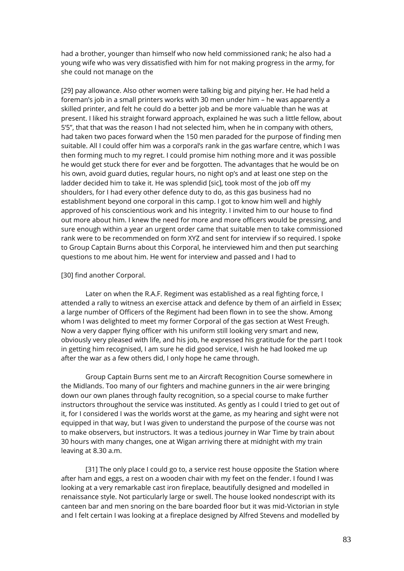had a brother, younger than himself who now held commissioned rank; he also had a young wife who was very dissatisfied with him for not making progress in the army, for she could not manage on the

[29] pay allowance. Also other women were talking big and pitying her. He had held a foreman's job in a small printers works with 30 men under him – he was apparently a skilled printer, and felt he could do a better job and be more valuable than he was at present. I liked his straight forward approach, explained he was such a little fellow, about 5'5", that that was the reason I had not selected him, when he in company with others, had taken two paces forward when the 150 men paraded for the purpose of finding men suitable. All I could offer him was a corporal's rank in the gas warfare centre, which I was then forming much to my regret. I could promise him nothing more and it was possible he would get stuck there for ever and be forgotten. The advantages that he would be on his own, avoid guard duties, regular hours, no night op's and at least one step on the ladder decided him to take it. He was splendid [sic], took most of the job off my shoulders, for I had every other defence duty to do, as this gas business had no establishment beyond one corporal in this camp. I got to know him well and highly approved of his conscientious work and his integrity. I invited him to our house to find out more about him. I knew the need for more and more officers would be pressing, and sure enough within a year an urgent order came that suitable men to take commissioned rank were to be recommended on form XYZ and sent for interview if so required. I spoke to Group Captain Burns about this Corporal, he interviewed him and then put searching questions to me about him. He went for interview and passed and I had to

### [30] find another Corporal.

Later on when the R.A.F. Regiment was established as a real fighting force, I attended a rally to witness an exercise attack and defence by them of an airfield in Essex; a large number of Officers of the Regiment had been flown in to see the show. Among whom I was delighted to meet my former Corporal of the gas section at West Freugh. Now a very dapper flying officer with his uniform still looking very smart and new, obviously very pleased with life, and his job, he expressed his gratitude for the part I took in getting him recognised, I am sure he did good service, I wish he had looked me up after the war as a few others did, I only hope he came through.

Group Captain Burns sent me to an Aircraft Recognition Course somewhere in the Midlands. Too many of our fighters and machine gunners in the air were bringing down our own planes through faulty recognition, so a special course to make further instructors throughout the service was instituted. As gently as I could I tried to get out of it, for I considered I was the worlds worst at the game, as my hearing and sight were not equipped in that way, but I was given to understand the purpose of the course was not to make observers, but instructors. It was a tedious journey in War Time by train about 30 hours with many changes, one at Wigan arriving there at midnight with my train leaving at 8.30 a.m.

[31] The only place I could go to, a service rest house opposite the Station where after ham and eggs, a rest on a wooden chair with my feet on the fender. I found I was looking at a very remarkable cast iron fireplace, beautifully designed and modelled in renaissance style. Not particularly large or swell. The house looked nondescript with its canteen bar and men snoring on the bare boarded floor but it was mid-Victorian in style and I felt certain I was looking at a fireplace designed by Alfred Stevens and modelled by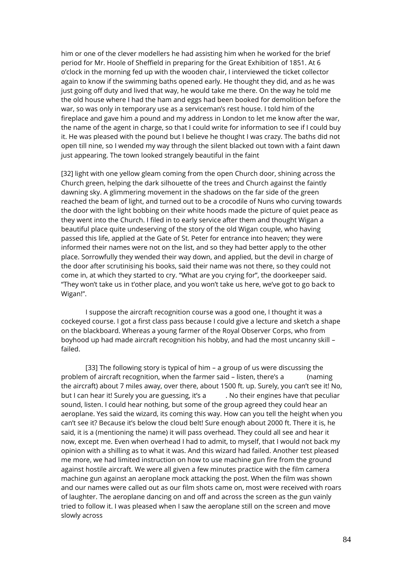him or one of the clever modellers he had assisting him when he worked for the brief period for Mr. Hoole of Sheffield in preparing for the Great Exhibition of 1851. At 6 o'clock in the morning fed up with the wooden chair, I interviewed the ticket collector again to know if the swimming baths opened early. He thought they did, and as he was just going off duty and lived that way, he would take me there. On the way he told me the old house where I had the ham and eggs had been booked for demolition before the war, so was only in temporary use as a serviceman's rest house. I told him of the fireplace and gave him a pound and my address in London to let me know after the war, the name of the agent in charge, so that I could write for information to see if I could buy it. He was pleased with the pound but I believe he thought I was crazy. The baths did not open till nine, so I wended my way through the silent blacked out town with a faint dawn just appearing. The town looked strangely beautiful in the faint

[32] light with one yellow gleam coming from the open Church door, shining across the Church green, helping the dark silhouette of the trees and Church against the faintly dawning sky. A glimmering movement in the shadows on the far side of the green reached the beam of light, and turned out to be a crocodile of Nuns who curving towards the door with the light bobbing on their white hoods made the picture of quiet peace as they went into the Church. I filed in to early service after them and thought Wigan a beautiful place quite undeserving of the story of the old Wigan couple, who having passed this life, applied at the Gate of St. Peter for entrance into heaven; they were informed their names were not on the list, and so they had better apply to the other place. Sorrowfully they wended their way down, and applied, but the devil in charge of the door after scrutinising his books, said their name was not there, so they could not come in, at which they started to cry. "What are you crying for", the doorkeeper said. "They won't take us in t'other place, and you won't take us here, we've got to go back to Wigan!".

I suppose the aircraft recognition course was a good one, I thought it was a cockeyed course. I got a first class pass because I could give a lecture and sketch a shape on the blackboard. Whereas a young farmer of the Royal Observer Corps, who from boyhood up had made aircraft recognition his hobby, and had the most uncanny skill – failed.

[33] The following story is typical of him – a group of us were discussing the problem of aircraft recognition, when the farmer said – listen, there's a (naming the aircraft) about 7 miles away, over there, about 1500 ft. up. Surely, you can't see it! No, but I can hear it! Surely you are guessing, it's a ... No their engines have that peculiar sound, listen. I could hear nothing, but some of the group agreed they could hear an aeroplane. Yes said the wizard, its coming this way. How can you tell the height when you can't see it? Because it's below the cloud belt! Sure enough about 2000 ft. There it is, he said, it is a (mentioning the name) it will pass overhead. They could all see and hear it now, except me. Even when overhead I had to admit, to myself, that I would not back my opinion with a shilling as to what it was. And this wizard had failed. Another test pleased me more, we had limited instruction on how to use machine gun fire from the ground against hostile aircraft. We were all given a few minutes practice with the film camera machine gun against an aeroplane mock attacking the post. When the film was shown and our names were called out as our film shots came on, most were received with roars of laughter. The aeroplane dancing on and off and across the screen as the gun vainly tried to follow it. I was pleased when I saw the aeroplane still on the screen and move slowly across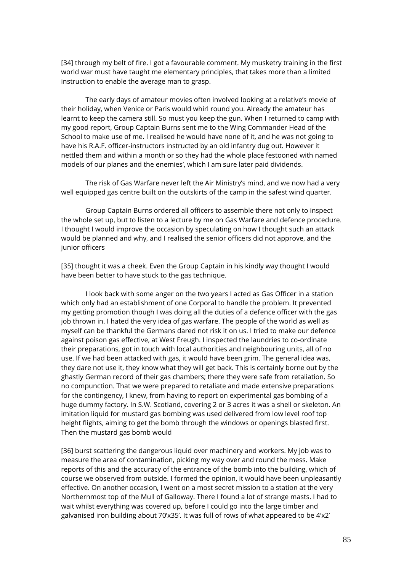[34] through my belt of fire. I got a favourable comment. My musketry training in the first world war must have taught me elementary principles, that takes more than a limited instruction to enable the average man to grasp.

The early days of amateur movies often involved looking at a relative's movie of their holiday, when Venice or Paris would whirl round you. Already the amateur has learnt to keep the camera still. So must you keep the gun. When I returned to camp with my good report, Group Captain Burns sent me to the Wing Commander Head of the School to make use of me. I realised he would have none of it, and he was not going to have his R.A.F. officer-instructors instructed by an old infantry dug out. However it nettled them and within a month or so they had the whole place festooned with named models of our planes and the enemies', which I am sure later paid dividends.

The risk of Gas Warfare never left the Air Ministry's mind, and we now had a very well equipped gas centre built on the outskirts of the camp in the safest wind quarter.

Group Captain Burns ordered all officers to assemble there not only to inspect the whole set up, but to listen to a lecture by me on Gas Warfare and defence procedure. I thought I would improve the occasion by speculating on how I thought such an attack would be planned and why, and I realised the senior officers did not approve, and the junior officers

[35] thought it was a cheek. Even the Group Captain in his kindly way thought I would have been better to have stuck to the gas technique.

I look back with some anger on the two years I acted as Gas Officer in a station which only had an establishment of one Corporal to handle the problem. It prevented my getting promotion though I was doing all the duties of a defence officer with the gas job thrown in. I hated the very idea of gas warfare. The people of the world as well as myself can be thankful the Germans dared not risk it on us. I tried to make our defence against poison gas effective, at West Freugh. I inspected the laundries to co-ordinate their preparations, got in touch with local authorities and neighbouring units, all of no use. If we had been attacked with gas, it would have been grim. The general idea was, they dare not use it, they know what they will get back. This is certainly borne out by the ghastly German record of their gas chambers; there they were safe from retaliation. So no compunction. That we were prepared to retaliate and made extensive preparations for the contingency, I knew, from having to report on experimental gas bombing of a huge dummy factory. In S.W. Scotland, covering 2 or 3 acres it was a shell or skeleton. An imitation liquid for mustard gas bombing was used delivered from low level roof top height flights, aiming to get the bomb through the windows or openings blasted first. Then the mustard gas bomb would

[36] burst scattering the dangerous liquid over machinery and workers. My job was to measure the area of contamination, picking my way over and round the mess. Make reports of this and the accuracy of the entrance of the bomb into the building, which of course we observed from outside. I formed the opinion, it would have been unpleasantly effective. On another occasion, I went on a most secret mission to a station at the very Northernmost top of the Mull of Galloway. There I found a lot of strange masts. I had to wait whilst everything was covered up, before I could go into the large timber and galvanised iron building about 70'x35'. It was full of rows of what appeared to be 4'x2'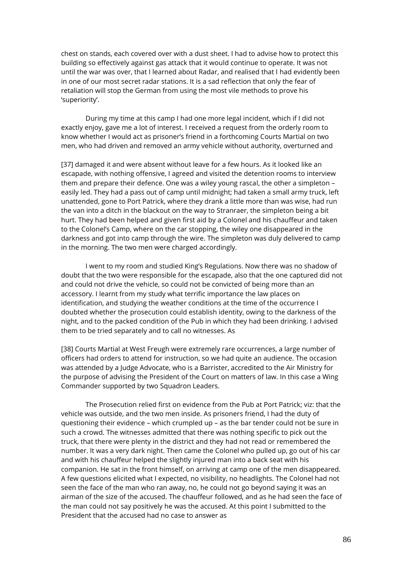chest on stands, each covered over with a dust sheet. I had to advise how to protect this building so effectively against gas attack that it would continue to operate. It was not until the war was over, that I learned about Radar, and realised that I had evidently been in one of our most secret radar stations. It is a sad reflection that only the fear of retaliation will stop the German from using the most vile methods to prove his 'superiority'.

During my time at this camp I had one more legal incident, which if I did not exactly enjoy, gave me a lot of interest. I received a request from the orderly room to know whether I would act as prisoner's friend in a forthcoming Courts Martial on two men, who had driven and removed an army vehicle without authority, overturned and

[37] damaged it and were absent without leave for a few hours. As it looked like an escapade, with nothing offensive, I agreed and visited the detention rooms to interview them and prepare their defence. One was a wiley young rascal, the other a simpleton – easily led. They had a pass out of camp until midnight; had taken a small army truck, left unattended, gone to Port Patrick, where they drank a little more than was wise, had run the van into a ditch in the blackout on the way to Stranraer, the simpleton being a bit hurt. They had been helped and given first aid by a Colonel and his chauffeur and taken to the Colonel's Camp, where on the car stopping, the wiley one disappeared in the darkness and got into camp through the wire. The simpleton was duly delivered to camp in the morning. The two men were charged accordingly.

I went to my room and studied King's Regulations. Now there was no shadow of doubt that the two were responsible for the escapade, also that the one captured did not and could not drive the vehicle, so could not be convicted of being more than an accessory. I learnt from my study what terrific importance the law places on identification, and studying the weather conditions at the time of the occurrence I doubted whether the prosecution could establish identity, owing to the darkness of the night, and to the packed condition of the Pub in which they had been drinking. I advised them to be tried separately and to call no witnesses. As

[38] Courts Martial at West Freugh were extremely rare occurrences, a large number of officers had orders to attend for instruction, so we had quite an audience. The occasion was attended by a Judge Advocate, who is a Barrister, accredited to the Air Ministry for the purpose of advising the President of the Court on matters of law. In this case a Wing Commander supported by two Squadron Leaders.

The Prosecution relied first on evidence from the Pub at Port Patrick; viz: that the vehicle was outside, and the two men inside. As prisoners friend, I had the duty of questioning their evidence – which crumpled up – as the bar tender could not be sure in such a crowd. The witnesses admitted that there was nothing specific to pick out the truck, that there were plenty in the district and they had not read or remembered the number. It was a very dark night. Then came the Colonel who pulled up, go out of his car and with his chauffeur helped the slightly injured man into a back seat with his companion. He sat in the front himself, on arriving at camp one of the men disappeared. A few questions elicited what I expected, no visibility, no headlights. The Colonel had not seen the face of the man who ran away, no, he could not go beyond saying it was an airman of the size of the accused. The chauffeur followed, and as he had seen the face of the man could not say positively he was the accused. At this point I submitted to the President that the accused had no case to answer as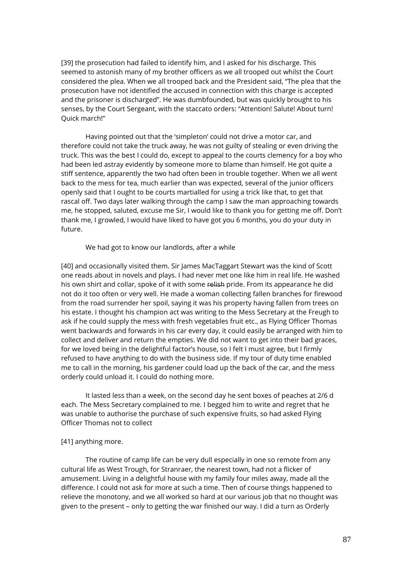[39] the prosecution had failed to identify him, and I asked for his discharge. This seemed to astonish many of my brother officers as we all trooped out whilst the Court considered the plea. When we all trooped back and the President said, "The plea that the prosecution have not identified the accused in connection with this charge is accepted and the prisoner is discharged". He was dumbfounded, but was quickly brought to his senses, by the Court Sergeant, with the staccato orders: "Attention! Salute! About turn! Quick march!"

Having pointed out that the 'simpleton' could not drive a motor car, and therefore could not take the truck away, he was not guilty of stealing or even driving the truck. This was the best I could do, except to appeal to the courts clemency for a boy who had been led astray evidently by someone more to blame than himself. He got quite a stiff sentence, apparently the two had often been in trouble together. When we all went back to the mess for tea, much earlier than was expected, several of the junior officers openly said that I ought to be courts martialled for using a trick like that, to get that rascal off. Two days later walking through the camp I saw the man approaching towards me, he stopped, saluted, excuse me Sir, I would like to thank you for getting me off. Don't thank me, I growled, I would have liked to have got you 6 months, you do your duty in future.

We had got to know our landlords, after a while

[40] and occasionally visited them. Sir James MacTaggart Stewart was the kind of Scott one reads about in novels and plays. I had never met one like him in real life. He washed his own shirt and collar, spoke of it with some relish pride. From its appearance he did not do it too often or very well. He made a woman collecting fallen branches for firewood from the road surrender her spoil, saying it was his property having fallen from trees on his estate. I thought his champion act was writing to the Mess Secretary at the Freugh to ask if he could supply the mess with fresh vegetables fruit etc., as Flying Officer Thomas went backwards and forwards in his car every day, it could easily be arranged with him to collect and deliver and return the empties. We did not want to get into their bad graces, for we loved being in the delightful factor's house, so I felt I must agree, but I firmly refused to have anything to do with the business side. If my tour of duty time enabled me to call in the morning, his gardener could load up the back of the car, and the mess orderly could unload it. I could do nothing more.

It lasted less than a week, on the second day he sent boxes of peaches at 2/6 d each. The Mess Secretary complained to me. I begged him to write and regret that he was unable to authorise the purchase of such expensive fruits, so had asked Flying Officer Thomas not to collect

# [41] anything more.

The routine of camp life can be very dull especially in one so remote from any cultural life as West Trough, for Stranraer, the nearest town, had not a flicker of amusement. Living in a delightful house with my family four miles away, made all the difference. I could not ask for more at such a time. Then of course things happened to relieve the monotony, and we all worked so hard at our various job that no thought was given to the present – only to getting the war finished our way. I did a turn as Orderly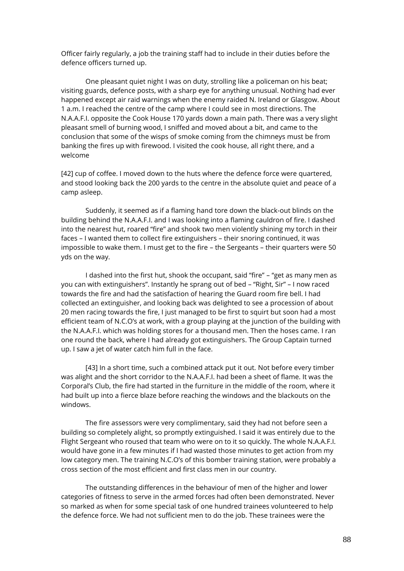Officer fairly regularly, a job the training staff had to include in their duties before the defence officers turned up.

One pleasant quiet night I was on duty, strolling like a policeman on his beat; visiting guards, defence posts, with a sharp eye for anything unusual. Nothing had ever happened except air raid warnings when the enemy raided N. Ireland or Glasgow. About 1 a.m. I reached the centre of the camp where I could see in most directions. The N.A.A.F.I. opposite the Cook House 170 yards down a main path. There was a very slight pleasant smell of burning wood, I sniffed and moved about a bit, and came to the conclusion that some of the wisps of smoke coming from the chimneys must be from banking the fires up with firewood. I visited the cook house, all right there, and a welcome

[42] cup of coffee. I moved down to the huts where the defence force were quartered, and stood looking back the 200 yards to the centre in the absolute quiet and peace of a camp asleep.

Suddenly, it seemed as if a flaming hand tore down the black-out blinds on the building behind the N.A.A.F.I. and I was looking into a flaming cauldron of fire. I dashed into the nearest hut, roared "fire" and shook two men violently shining my torch in their faces – I wanted them to collect fire extinguishers – their snoring continued, it was impossible to wake them. I must get to the fire – the Sergeants – their quarters were 50 yds on the way.

I dashed into the first hut, shook the occupant, said "fire" – "get as many men as you can with extinguishers". Instantly he sprang out of bed – "Right, Sir" – I now raced towards the fire and had the satisfaction of hearing the Guard room fire bell. I had collected an extinguisher, and looking back was delighted to see a procession of about 20 men racing towards the fire, I just managed to be first to squirt but soon had a most efficient team of N.C.O's at work, with a group playing at the junction of the building with the N.A.A.F.I. which was holding stores for a thousand men. Then the hoses came. I ran one round the back, where I had already got extinguishers. The Group Captain turned up. I saw a jet of water catch him full in the face.

[43] In a short time, such a combined attack put it out. Not before every timber was alight and the short corridor to the N.A.A.F.I. had been a sheet of flame. It was the Corporal's Club, the fire had started in the furniture in the middle of the room, where it had built up into a fierce blaze before reaching the windows and the blackouts on the windows.

The fire assessors were very complimentary, said they had not before seen a building so completely alight, so promptly extinguished. I said it was entirely due to the Flight Sergeant who roused that team who were on to it so quickly. The whole N.A.A.F.I. would have gone in a few minutes if I had wasted those minutes to get action from my low category men. The training N.C.O's of this bomber training station, were probably a cross section of the most efficient and first class men in our country.

The outstanding differences in the behaviour of men of the higher and lower categories of fitness to serve in the armed forces had often been demonstrated. Never so marked as when for some special task of one hundred trainees volunteered to help the defence force. We had not sufficient men to do the job. These trainees were the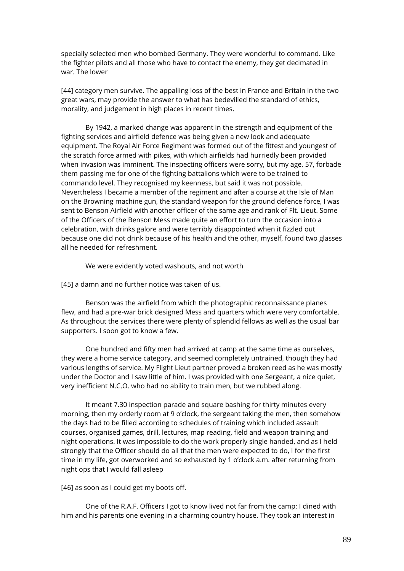specially selected men who bombed Germany. They were wonderful to command. Like the fighter pilots and all those who have to contact the enemy, they get decimated in war. The lower

[44] category men survive. The appalling loss of the best in France and Britain in the two great wars, may provide the answer to what has bedevilled the standard of ethics, morality, and judgement in high places in recent times.

By 1942, a marked change was apparent in the strength and equipment of the fighting services and airfield defence was being given a new look and adequate equipment. The Royal Air Force Regiment was formed out of the fittest and youngest of the scratch force armed with pikes, with which airfields had hurriedly been provided when invasion was imminent. The inspecting officers were sorry, but my age, 57, forbade them passing me for one of the fighting battalions which were to be trained to commando level. They recognised my keenness, but said it was not possible. Nevertheless I became a member of the regiment and after a course at the Isle of Man on the Browning machine gun, the standard weapon for the ground defence force, I was sent to Benson Airfield with another officer of the same age and rank of Flt. Lieut. Some of the Officers of the Benson Mess made quite an effort to turn the occasion into a celebration, with drinks galore and were terribly disappointed when it fizzled out because one did not drink because of his health and the other, myself, found two glasses all he needed for refreshment.

We were evidently voted washouts, and not worth

[45] a damn and no further notice was taken of us.

Benson was the airfield from which the photographic reconnaissance planes flew, and had a pre-war brick designed Mess and quarters which were very comfortable. As throughout the services there were plenty of splendid fellows as well as the usual bar supporters. I soon got to know a few.

One hundred and fifty men had arrived at camp at the same time as ourselves, they were a home service category, and seemed completely untrained, though they had various lengths of service. My Flight Lieut partner proved a broken reed as he was mostly under the Doctor and I saw little of him. I was provided with one Sergeant, a nice quiet, very inefficient N.C.O. who had no ability to train men, but we rubbed along.

It meant 7.30 inspection parade and square bashing for thirty minutes every morning, then my orderly room at 9 o'clock, the sergeant taking the men, then somehow the days had to be filled according to schedules of training which included assault courses, organised games, drill, lectures, map reading, field and weapon training and night operations. It was impossible to do the work properly single handed, and as I held strongly that the Officer should do all that the men were expected to do, I for the first time in my life, got overworked and so exhausted by 1 o'clock a.m. after returning from night ops that I would fall asleep

[46] as soon as I could get my boots off.

One of the R.A.F. Officers I got to know lived not far from the camp; I dined with him and his parents one evening in a charming country house. They took an interest in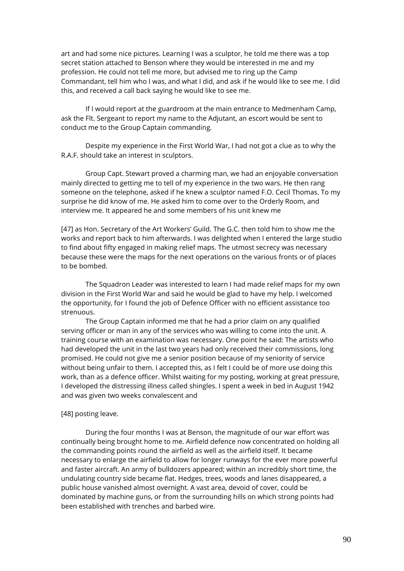art and had some nice pictures. Learning I was a sculptor, he told me there was a top secret station attached to Benson where they would be interested in me and my profession. He could not tell me more, but advised me to ring up the Camp Commandant, tell him who I was, and what I did, and ask if he would like to see me. I did this, and received a call back saying he would like to see me.

If I would report at the guardroom at the main entrance to Medmenham Camp, ask the Flt. Sergeant to report my name to the Adjutant, an escort would be sent to conduct me to the Group Captain commanding.

Despite my experience in the First World War, I had not got a clue as to why the R.A.F. should take an interest in sculptors.

Group Capt. Stewart proved a charming man, we had an enjoyable conversation mainly directed to getting me to tell of my experience in the two wars. He then rang someone on the telephone, asked if he knew a sculptor named F.O. Cecil Thomas. To my surprise he did know of me. He asked him to come over to the Orderly Room, and interview me. It appeared he and some members of his unit knew me

[47] as Hon. Secretary of the Art Workers' Guild. The G.C. then told him to show me the works and report back to him afterwards. I was delighted when I entered the large studio to find about fifty engaged in making relief maps. The utmost secrecy was necessary because these were the maps for the next operations on the various fronts or of places to be bombed.

The Squadron Leader was interested to learn I had made relief maps for my own division in the First World War and said he would be glad to have my help. I welcomed the opportunity, for I found the job of Defence Officer with no efficient assistance too strenuous.

The Group Captain informed me that he had a prior claim on any qualified serving officer or man in any of the services who was willing to come into the unit. A training course with an examination was necessary. One point he said: The artists who had developed the unit in the last two years had only received their commissions, long promised. He could not give me a senior position because of my seniority of service without being unfair to them. I accepted this, as I felt I could be of more use doing this work, than as a defence officer. Whilst waiting for my posting, working at great pressure, I developed the distressing illness called shingles. I spent a week in bed in August 1942 and was given two weeks convalescent and

# [48] posting leave.

During the four months I was at Benson, the magnitude of our war effort was continually being brought home to me. Airfield defence now concentrated on holding all the commanding points round the airfield as well as the airfield itself. It became necessary to enlarge the airfield to allow for longer runways for the ever more powerful and faster aircraft. An army of bulldozers appeared; within an incredibly short time, the undulating country side became flat. Hedges, trees, woods and lanes disappeared, a public house vanished almost overnight. A vast area, devoid of cover, could be dominated by machine guns, or from the surrounding hills on which strong points had been established with trenches and barbed wire.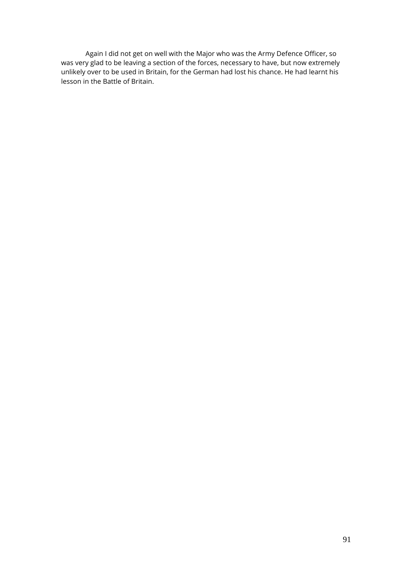Again I did not get on well with the Major who was the Army Defence Officer, so was very glad to be leaving a section of the forces, necessary to have, but now extremely unlikely over to be used in Britain, for the German had lost his chance. He had learnt his lesson in the Battle of Britain.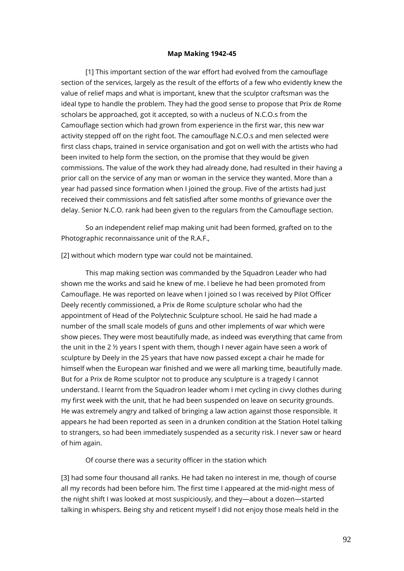#### **Map Making 1942-45**

[1] This important section of the war effort had evolved from the camouflage section of the services, largely as the result of the efforts of a few who evidently knew the value of relief maps and what is important, knew that the sculptor craftsman was the ideal type to handle the problem. They had the good sense to propose that Prix de Rome scholars be approached, got it accepted, so with a nucleus of N.C.O.s from the Camouflage section which had grown from experience in the first war, this new war activity stepped off on the right foot. The camouflage N.C.O.s and men selected were first class chaps, trained in service organisation and got on well with the artists who had been invited to help form the section, on the promise that they would be given commissions. The value of the work they had already done, had resulted in their having a prior call on the service of any man or woman in the service they wanted. More than a year had passed since formation when I joined the group. Five of the artists had just received their commissions and felt satisfied after some months of grievance over the delay. Senior N.C.O. rank had been given to the regulars from the Camouflage section.

So an independent relief map making unit had been formed, grafted on to the Photographic reconnaissance unit of the R.A.F.,

[2] without which modern type war could not be maintained.

This map making section was commanded by the Squadron Leader who had shown me the works and said he knew of me. I believe he had been promoted from Camouflage. He was reported on leave when I joined so I was received by Pilot Officer Deely recently commissioned, a Prix de Rome sculpture scholar who had the appointment of Head of the Polytechnic Sculpture school. He said he had made a number of the small scale models of guns and other implements of war which were show pieces. They were most beautifully made, as indeed was everything that came from the unit in the 2  $\frac{1}{2}$  years I spent with them, though I never again have seen a work of sculpture by Deely in the 25 years that have now passed except a chair he made for himself when the European war finished and we were all marking time, beautifully made. But for a Prix de Rome sculptor not to produce any sculpture is a tragedy I cannot understand. I learnt from the Squadron leader whom I met cycling in civvy clothes during my first week with the unit, that he had been suspended on leave on security grounds. He was extremely angry and talked of bringing a law action against those responsible. It appears he had been reported as seen in a drunken condition at the Station Hotel talking to strangers, so had been immediately suspended as a security risk. I never saw or heard of him again.

Of course there was a security officer in the station which

[3] had some four thousand all ranks. He had taken no interest in me, though of course all my records had been before him. The first time I appeared at the mid-night mess of the night shift I was looked at most suspiciously, and they—about a dozen—started talking in whispers. Being shy and reticent myself I did not enjoy those meals held in the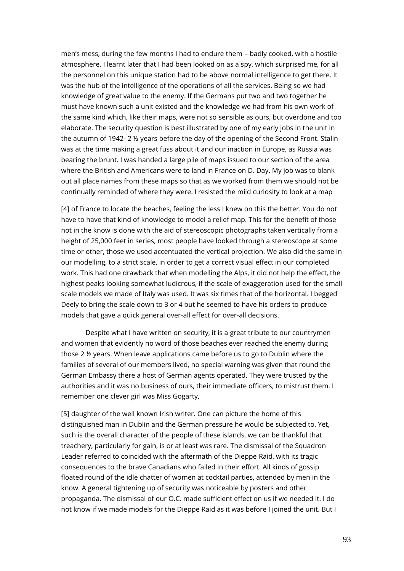men's mess, during the few months I had to endure them – badly cooked, with a hostile atmosphere. I learnt later that I had been looked on as a spy, which surprised me, for all the personnel on this unique station had to be above normal intelligence to get there. It was the hub of the intelligence of the operations of all the services. Being so we had knowledge of great value to the enemy. If the Germans put two and two together he must have known such a unit existed and the knowledge we had from his own work of the same kind which, like their maps, were not so sensible as ours, but overdone and too elaborate. The security question is best illustrated by one of my early jobs in the unit in the autumn of 1942- 2 ½ years before the day of the opening of the Second Front. Stalin was at the time making a great fuss about it and our inaction in Europe, as Russia was bearing the brunt. I was handed a large pile of maps issued to our section of the area where the British and Americans were to land in France on D. Day. My job was to blank out all place names from these maps so that as we worked from them we should not be continually reminded of where they were. I resisted the mild curiosity to look at a map

[4] of France to locate the beaches, feeling the less I knew on this the better. You do not have to have that kind of knowledge to model a relief map. This for the benefit of those not in the know is done with the aid of stereoscopic photographs taken vertically from a height of 25,000 feet in series, most people have looked through a stereoscope at some time or other, those we used accentuated the vertical projection. We also did the same in our modelling, to a strict scale, in order to get a correct visual effect in our completed work. This had one drawback that when modelling the Alps, it did not help the effect, the highest peaks looking somewhat ludicrous, if the scale of exaggeration used for the small scale models we made of Italy was used. It was six times that of the horizontal. I begged Deely to bring the scale down to 3 or 4 but he seemed to have his orders to produce models that gave a quick general over-all effect for over-all decisions.

Despite what I have written on security, it is a great tribute to our countrymen and women that evidently no word of those beaches ever reached the enemy during those 2 ½ years. When leave applications came before us to go to Dublin where the families of several of our members lived, no special warning was given that round the German Embassy there a host of German agents operated. They were trusted by the authorities and it was no business of ours, their immediate officers, to mistrust them. I remember one clever girl was Miss Gogarty,

[5] daughter of the well known Irish writer. One can picture the home of this distinguished man in Dublin and the German pressure he would be subjected to. Yet, such is the overall character of the people of these islands, we can be thankful that treachery, particularly for gain, is or at least was rare. The dismissal of the Squadron Leader referred to coincided with the aftermath of the Dieppe Raid, with its tragic consequences to the brave Canadians who failed in their effort. All kinds of gossip floated round of the idle chatter of women at cocktail parties, attended by men in the know. A general tightening up of security was noticeable by posters and other propaganda. The dismissal of our O.C. made sufficient effect on us if we needed it. I do not know if we made models for the Dieppe Raid as it was before I joined the unit. But I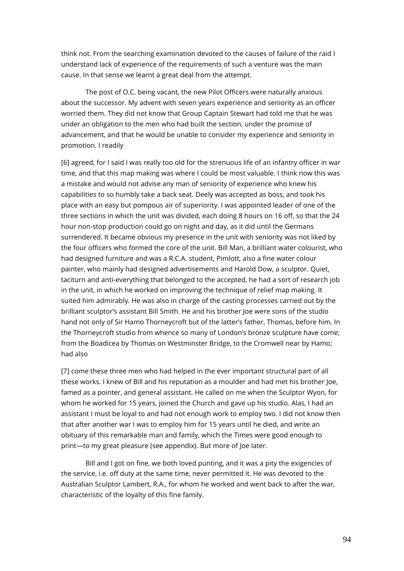think not. From the searching examination devoted to the causes of failure of the raid I understand lack of experience of the requirements of such a venture was the main cause. In that sense we learnt a great deal from the attempt.

The post of O.C. being vacant, the new Pilot Officers were naturally anxious about the successor. My advent with seven years experience and seniority as an officer worried them. They did not know that Group Captain Stewart had told me that he was under an obligation to the men who had built the section, under the promise of advancement, and that he would be unable to consider my experience and seniority in promotion. I readily

[6] agreed, for I said I was really too old for the strenuous life of an infantry officer in war time, and that this map making was where I could be most valuable. I think now this was a mistake and would not advise any man of seniority of experience who knew his capabilities to so humbly take a back seat. Deely was accepted as boss, and took his place with an easy but pompous air of superiority. I was appointed leader of one of the three sections in which the unit was divided, each doing 8 hours on 16 off, so that the 24 hour non-stop production could go on night and day, as it did until the Germans surrendered. It became obvious my presence in the unit with seniority was not liked by the four officers who formed the core of the unit. Bill Man, a brilliant water colourist, who had designed furniture and was a R.C.A. student, Pimlott, also a fine water colour painter, who mainly had designed advertisements and Harold Dow, a sculptor. Quiet, taciturn and anti-everything that belonged to the accepted, he had a sort of research job in the unit, in which he worked on improving the technique of relief map making. It suited him admirably. He was also in charge of the casting processes carried out by the brilliant sculptor's assistant Bill Smith. He and his brother Joe were sons of the studio hand not only of Sir Hamo Thorneycroft but of the latter's father, Thomas, before him. In the Thorneycroft studio from whence so many of London's bronze sculpture have come; from the Boadicea by Thomas on Westminster Bridge, to the Cromwell near by Hamo; had also

[7] come these three men who had helped in the ever important structural part of all these works. I knew of Bill and his reputation as a moulder and had met his brother Joe, famed as a pointer, and general assistant. He called on me when the Sculptor Wyon, for whom he worked for 15 years, joined the Church and gave up his studio. Alas, I had an assistant I must be loyal to and had not enough work to employ two. I did not know then that after another war I was to employ him for 15 years until he died, and write an obituary of this remarkable man and family, which the Times were good enough to print—to my great pleasure (see appendix). But more of Joe later.

Bill and I got on fine, we both loved punting, and it was a pity the exigencies of the service, i.e. off duty at the same time, never permitted it. He was devoted to the Australian Sculptor Lambert, R.A., for whom he worked and went back to after the war, characteristic of the loyalty of this fine family.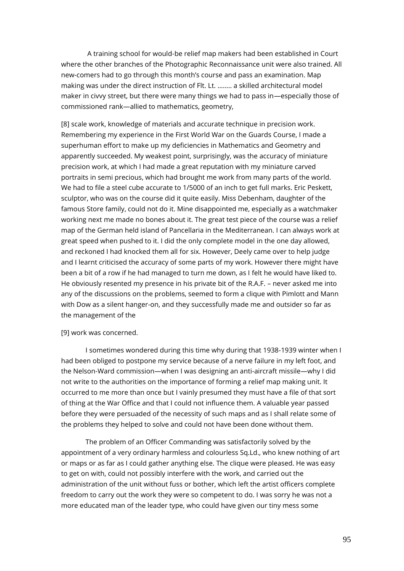A training school for would-be relief map makers had been established in Court where the other branches of the Photographic Reconnaissance unit were also trained. All new-comers had to go through this month's course and pass an examination. Map making was under the direct instruction of Flt. Lt. …….. a skilled architectural model maker in civvy street, but there were many things we had to pass in—especially those of commissioned rank—allied to mathematics, geometry,

[8] scale work, knowledge of materials and accurate technique in precision work. Remembering my experience in the First World War on the Guards Course, I made a superhuman effort to make up my deficiencies in Mathematics and Geometry and apparently succeeded. My weakest point, surprisingly, was the accuracy of miniature precision work, at which I had made a great reputation with my miniature carved portraits in semi precious, which had brought me work from many parts of the world. We had to file a steel cube accurate to 1/5000 of an inch to get full marks. Eric Peskett, sculptor, who was on the course did it quite easily. Miss Debenham, daughter of the famous Store family, could not do it. Mine disappointed me, especially as a watchmaker working next me made no bones about it. The great test piece of the course was a relief map of the German held island of Pancellaria in the Mediterranean. I can always work at great speed when pushed to it. I did the only complete model in the one day allowed, and reckoned I had knocked them all for six. However, Deely came over to help judge and I learnt criticised the accuracy of some parts of my work. However there might have been a bit of a row if he had managed to turn me down, as I felt he would have liked to. He obviously resented my presence in his private bit of the R.A.F. – never asked me into any of the discussions on the problems, seemed to form a clique with Pimlott and Mann with Dow as a silent hanger-on, and they successfully made me and outsider so far as the management of the

### [9] work was concerned.

I sometimes wondered during this time why during that 1938-1939 winter when I had been obliged to postpone my service because of a nerve failure in my left foot, and the Nelson-Ward commission—when I was designing an anti-aircraft missile—why I did not write to the authorities on the importance of forming a relief map making unit. It occurred to me more than once but I vainly presumed they must have a file of that sort of thing at the War Office and that I could not influence them. A valuable year passed before they were persuaded of the necessity of such maps and as I shall relate some of the problems they helped to solve and could not have been done without them.

The problem of an Officer Commanding was satisfactorily solved by the appointment of a very ordinary harmless and colourless Sq.Ld., who knew nothing of art or maps or as far as I could gather anything else. The clique were pleased. He was easy to get on with, could not possibly interfere with the work, and carried out the administration of the unit without fuss or bother, which left the artist officers complete freedom to carry out the work they were so competent to do. I was sorry he was not a more educated man of the leader type, who could have given our tiny mess some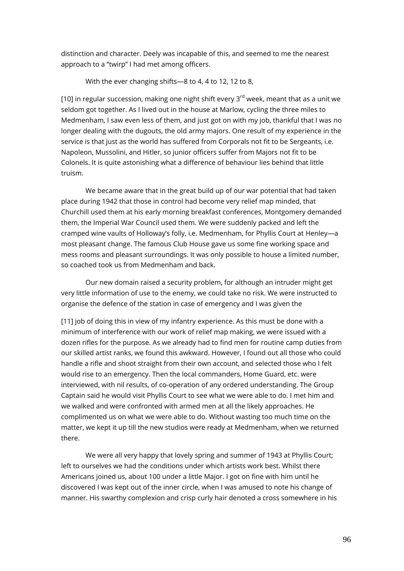distinction and character. Deely was incapable of this, and seemed to me the nearest approach to a "twirp" I had met among officers.

With the ever changing shifts—8 to 4, 4 to 12, 12 to 8,

[10] in regular succession, making one night shift every  $3<sup>rd</sup>$  week, meant that as a unit we seldom got together. As I lived out in the house at Marlow, cycling the three miles to Medmenham, I saw even less of them, and just got on with my job, thankful that I was no longer dealing with the dugouts, the old army majors. One result of my experience in the service is that just as the world has suffered from Corporals not fit to be Sergeants, i.e. Napoleon, Mussolini, and Hitler, so junior officers suffer from Majors not fit to be Colonels. It is quite astonishing what a difference of behaviour lies behind that little truism.

We became aware that in the great build up of our war potential that had taken place during 1942 that those in control had become very relief map minded, that Churchill used them at his early morning breakfast conferences, Montgomery demanded them, the Imperial War Council used them. We were suddenly packed and left the cramped wine vaults of Holloway's folly, i.e. Medmenham, for Phyllis Court at Henley—a most pleasant change. The famous Club House gave us some fine working space and mess rooms and pleasant surroundings. It was only possible to house a limited number, so coached took us from Medmenham and back.

Our new domain raised a security problem, for although an intruder might get very little information of use to the enemy, we could take no risk. We were instructed to organise the defence of the station in case of emergency and I was given the

[11] job of doing this in view of my infantry experience. As this must be done with a minimum of interference with our work of relief map making, we were issued with a dozen rifles for the purpose. As we already had to find men for routine camp duties from our skilled artist ranks, we found this awkward. However, I found out all those who could handle a rifle and shoot straight from their own account, and selected those who I felt would rise to an emergency. Then the local commanders, Home Guard, etc. were interviewed, with nil results, of co-operation of any ordered understanding. The Group Captain said he would visit Phyllis Court to see what we were able to do. I met him and we walked and were confronted with armed men at all the likely approaches. He complimented us on what we were able to do. Without wasting too much time on the matter, we kept it up till the new studios were ready at Medmenham, when we returned there.

We were all very happy that lovely spring and summer of 1943 at Phyllis Court; left to ourselves we had the conditions under which artists work best. Whilst there Americans joined us, about 100 under a little Major. I got on fine with him until he discovered I was kept out of the inner circle, when I was amused to note his change of manner. His swarthy complexion and crisp curly hair denoted a cross somewhere in his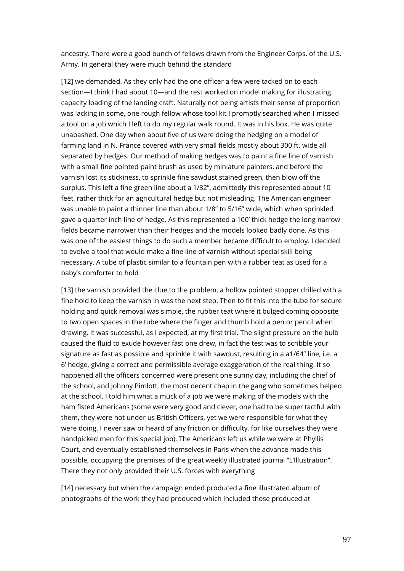ancestry. There were a good bunch of fellows drawn from the Engineer Corps. of the U.S. Army. In general they were much behind the standard

[12] we demanded. As they only had the one officer a few were tacked on to each section—I think I had about 10—and the rest worked on model making for illustrating capacity loading of the landing craft. Naturally not being artists their sense of proportion was lacking in some, one rough fellow whose tool kit I promptly searched when I missed a tool on a job which I left to do my regular walk round. It was in his box. He was quite unabashed. One day when about five of us were doing the hedging on a model of farming land in N. France covered with very small fields mostly about 300 ft. wide all separated by hedges. Our method of making hedges was to paint a fine line of varnish with a small fine pointed paint brush as used by miniature painters, and before the varnish lost its stickiness, to sprinkle fine sawdust stained green, then blow off the surplus. This left a fine green line about a 1/32", admittedly this represented about 10 feet, rather thick for an agricultural hedge but not misleading. The American engineer was unable to paint a thinner line than about 1/8" to 5/16" wide, which when sprinkled gave a quarter inch line of hedge. As this represented a 100' thick hedge the long narrow fields became narrower than their hedges and the models looked badly done. As this was one of the easiest things to do such a member became difficult to employ. I decided to evolve a tool that would make a fine line of varnish without special skill being necessary. A tube of plastic similar to a fountain pen with a rubber teat as used for a baby's comforter to hold

[13] the varnish provided the clue to the problem, a hollow pointed stopper drilled with a fine hold to keep the varnish in was the next step. Then to fit this into the tube for secure holding and quick removal was simple, the rubber teat where it bulged coming opposite to two open spaces in the tube where the finger and thumb hold a pen or pencil when drawing. It was successful, as I expected, at my first trial. The slight pressure on the bulb caused the fluid to exude however fast one drew, in fact the test was to scribble your signature as fast as possible and sprinkle it with sawdust, resulting in a a1/64" line, i.e. a 6' hedge, giving a correct and permissible average exaggeration of the real thing. It so happened all the officers concerned were present one sunny day, including the chief of the school, and Johnny Pimlott, the most decent chap in the gang who sometimes helped at the school. I told him what a muck of a job we were making of the models with the ham fisted Americans (some were very good and clever, one had to be super tactful with them, they were not under us British Officers, yet we were responsible for what they were doing. I never saw or heard of any friction or difficulty, for like ourselves they were handpicked men for this special job). The Americans left us while we were at Phyllis Court, and eventually established themselves in Paris when the advance made this possible, occupying the premises of the great weekly illustrated journal "L'Illustration". There they not only provided their U.S. forces with everything

[14] necessary but when the campaign ended produced a fine illustrated album of photographs of the work they had produced which included those produced at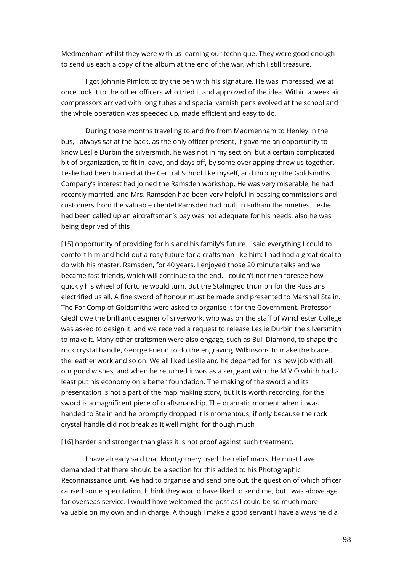Medmenham whilst they were with us learning our technique. They were good enough to send us each a copy of the album at the end of the war, which I still treasure.

I got Johnnie Pimlott to try the pen with his signature. He was impressed, we at once took it to the other officers who tried it and approved of the idea. Within a week air compressors arrived with long tubes and special varnish pens evolved at the school and the whole operation was speeded up, made efficient and easy to do.

During those months traveling to and fro from Madmenham to Henley in the bus, I always sat at the back, as the only officer present, it gave me an opportunity to know Leslie Durbin the silversmith, he was not in my section, but a certain complicated bit of organization, to fit in leave, and days off, by some overlapping threw us together. Leslie had been trained at the Central School like myself, and through the Goldsmiths Company's interest had joined the Ramsden workshop. He was very miserable, he had recently married, and Mrs. Ramsden had been very helpful in passing commissions and customers from the valuable clientel Ramsden had built in Fulham the nineties. Leslie had been called up an aircraftsman's pay was not adequate for his needs, also he was being deprived of this

[15] opportunity of providing for his and his family's future. I said everything I could to comfort him and held out a rosy future for a craftsman like him: I had had a great deal to do with his master, Ramsden, for 40 years. I enjoyed those 20 minute talks and we became fast friends, which will continue to the end. I couldn't not then foresee how quickly his wheel of fortune would turn. But the Stalingred triumph for the Russians electrified us all. A fine sword of honour must be made and presented to Marshall Stalin. The For Comp of Goldsmiths were asked to organise it for the Government. Professor Gledhowe the brilliant designer of silverwork, who was on the staff of Winchester College was asked to design it, and we received a request to release Leslie Durbin the silversmith to make it. Many other craftsmen were also engage, such as Bull Diamond, to shape the rock crystal handle, George Friend to do the engraving, Wilkinsons to make the blade… the leather work and so on. We all liked Leslie and he departed for his new job with all our good wishes, and when he returned it was as a sergeant with the M.V.O which had at least put his economy on a better foundation. The making of the sword and its presentation is not a part of the map making story, but it is worth recording, for the sword is a magnificent piece of craftsmanship. The dramatic moment when it was handed to Stalin and he promptly dropped it is momentous, if only because the rock crystal handle did not break as it well might, for though much

[16] harder and stronger than glass it is not proof against such treatment.

I have already said that Montgomery used the relief maps. He must have demanded that there should be a section for this added to his Photographic Reconnaissance unit. We had to organise and send one out, the question of which officer caused some speculation. I think they would have liked to send me, but I was above age for overseas service. I would have welcomed the post as I could be so much more valuable on my own and in charge. Although I make a good servant I have always held a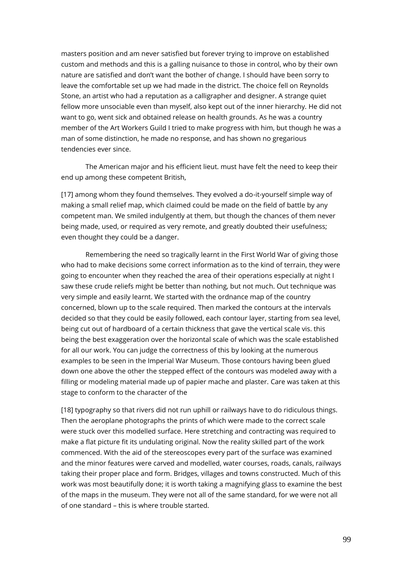masters position and am never satisfied but forever trying to improve on established custom and methods and this is a galling nuisance to those in control, who by their own nature are satisfied and don't want the bother of change. I should have been sorry to leave the comfortable set up we had made in the district. The choice fell on Reynolds Stone, an artist who had a reputation as a calligrapher and designer. A strange quiet fellow more unsociable even than myself, also kept out of the inner hierarchy. He did not want to go, went sick and obtained release on health grounds. As he was a country member of the Art Workers Guild I tried to make progress with him, but though he was a man of some distinction, he made no response, and has shown no gregarious tendencies ever since.

The American major and his efficient lieut. must have felt the need to keep their end up among these competent British,

[17] among whom they found themselves. They evolved a do-it-yourself simple way of making a small relief map, which claimed could be made on the field of battle by any competent man. We smiled indulgently at them, but though the chances of them never being made, used, or required as very remote, and greatly doubted their usefulness; even thought they could be a danger.

Remembering the need so tragically learnt in the First World War of giving those who had to make decisions some correct information as to the kind of terrain, they were going to encounter when they reached the area of their operations especially at night I saw these crude reliefs might be better than nothing, but not much. Out technique was very simple and easily learnt. We started with the ordnance map of the country concerned, blown up to the scale required. Then marked the contours at the intervals decided so that they could be easily followed, each contour layer, starting from sea level, being cut out of hardboard of a certain thickness that gave the vertical scale vis. this being the best exaggeration over the horizontal scale of which was the scale established for all our work. You can judge the correctness of this by looking at the numerous examples to be seen in the Imperial War Museum. Those contours having been glued down one above the other the stepped effect of the contours was modeled away with a filling or modeling material made up of papier mache and plaster. Care was taken at this stage to conform to the character of the

[18] typography so that rivers did not run uphill or railways have to do ridiculous things. Then the aeroplane photographs the prints of which were made to the correct scale were stuck over this modelled surface. Here stretching and contracting was required to make a flat picture fit its undulating original. Now the reality skilled part of the work commenced. With the aid of the stereoscopes every part of the surface was examined and the minor features were carved and modelled, water courses, roads, canals, railways taking their proper place and form. Bridges, villages and towns constructed. Much of this work was most beautifully done; it is worth taking a magnifying glass to examine the best of the maps in the museum. They were not all of the same standard, for we were not all of one standard – this is where trouble started.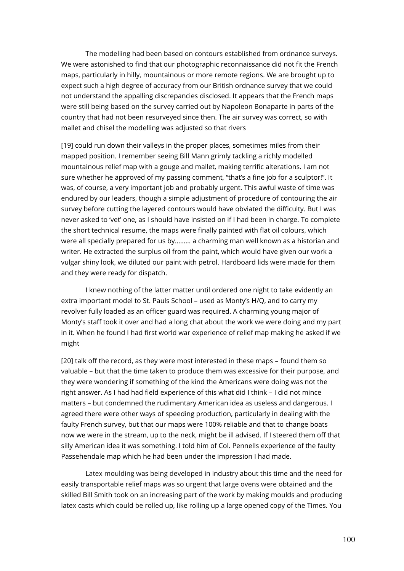The modelling had been based on contours established from ordnance surveys. We were astonished to find that our photographic reconnaissance did not fit the French maps, particularly in hilly, mountainous or more remote regions. We are brought up to expect such a high degree of accuracy from our British ordnance survey that we could not understand the appalling discrepancies disclosed. It appears that the French maps were still being based on the survey carried out by Napoleon Bonaparte in parts of the country that had not been resurveyed since then. The air survey was correct, so with mallet and chisel the modelling was adjusted so that rivers

[19] could run down their valleys in the proper places, sometimes miles from their mapped position. I remember seeing Bill Mann grimly tackling a richly modelled mountainous relief map with a gouge and mallet, making terrific alterations. I am not sure whether he approved of my passing comment, "that's a fine job for a sculptor!". It was, of course, a very important job and probably urgent. This awful waste of time was endured by our leaders, though a simple adjustment of procedure of contouring the air survey before cutting the layered contours would have obviated the difficulty. But I was never asked to 'vet' one, as I should have insisted on if I had been in charge. To complete the short technical resume, the maps were finally painted with flat oil colours, which were all specially prepared for us by……… a charming man well known as a historian and writer. He extracted the surplus oil from the paint, which would have given our work a vulgar shiny look, we diluted our paint with petrol. Hardboard lids were made for them and they were ready for dispatch.

I knew nothing of the latter matter until ordered one night to take evidently an extra important model to St. Pauls School – used as Monty's H/Q, and to carry my revolver fully loaded as an officer guard was required. A charming young major of Monty's staff took it over and had a long chat about the work we were doing and my part in it. When he found I had first world war experience of relief map making he asked if we might

[20] talk off the record, as they were most interested in these maps – found them so valuable – but that the time taken to produce them was excessive for their purpose, and they were wondering if something of the kind the Americans were doing was not the right answer. As I had had field experience of this what did I think – I did not mince matters – but condemned the rudimentary American idea as useless and dangerous. I agreed there were other ways of speeding production, particularly in dealing with the faulty French survey, but that our maps were 100% reliable and that to change boats now we were in the stream, up to the neck, might be ill advised. If I steered them off that silly American idea it was something. I told him of Col. Pennells experience of the faulty Passehendale map which he had been under the impression I had made.

Latex moulding was being developed in industry about this time and the need for easily transportable relief maps was so urgent that large ovens were obtained and the skilled Bill Smith took on an increasing part of the work by making moulds and producing latex casts which could be rolled up, like rolling up a large opened copy of the Times. You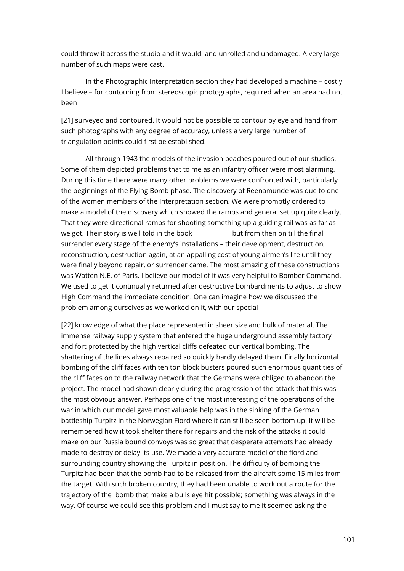could throw it across the studio and it would land unrolled and undamaged. A very large number of such maps were cast.

In the Photographic Interpretation section they had developed a machine – costly I believe – for contouring from stereoscopic photographs, required when an area had not been

[21] surveyed and contoured. It would not be possible to contour by eye and hand from such photographs with any degree of accuracy, unless a very large number of triangulation points could first be established.

All through 1943 the models of the invasion beaches poured out of our studios. Some of them depicted problems that to me as an infantry officer were most alarming. During this time there were many other problems we were confronted with, particularly the beginnings of the Flying Bomb phase. The discovery of Reenamunde was due to one of the women members of the Interpretation section. We were promptly ordered to make a model of the discovery which showed the ramps and general set up quite clearly. That they were directional ramps for shooting something up a guiding rail was as far as we got. Their story is well told in the book but from then on till the final surrender every stage of the enemy's installations – their development, destruction, reconstruction, destruction again, at an appalling cost of young airmen's life until they were finally beyond repair, or surrender came. The most amazing of these constructions was Watten N.E. of Paris. I believe our model of it was very helpful to Bomber Command. We used to get it continually returned after destructive bombardments to adjust to show High Command the immediate condition. One can imagine how we discussed the problem among ourselves as we worked on it, with our special

[22] knowledge of what the place represented in sheer size and bulk of material. The immense railway supply system that entered the huge underground assembly factory and fort protected by the high vertical cliffs defeated our vertical bombing. The shattering of the lines always repaired so quickly hardly delayed them. Finally horizontal bombing of the cliff faces with ten ton block busters poured such enormous quantities of the cliff faces on to the railway network that the Germans were obliged to abandon the project. The model had shown clearly during the progression of the attack that this was the most obvious answer. Perhaps one of the most interesting of the operations of the war in which our model gave most valuable help was in the sinking of the German battleship Turpitz in the Norwegian Fiord where it can still be seen bottom up. It will be remembered how it took shelter there for repairs and the risk of the attacks it could make on our Russia bound convoys was so great that desperate attempts had already made to destroy or delay its use. We made a very accurate model of the fiord and surrounding country showing the Turpitz in position. The difficulty of bombing the Turpitz had been that the bomb had to be released from the aircraft some 15 miles from the target. With such broken country, they had been unable to work out a route for the trajectory of the bomb that make a bulls eye hit possible; something was always in the way. Of course we could see this problem and I must say to me it seemed asking the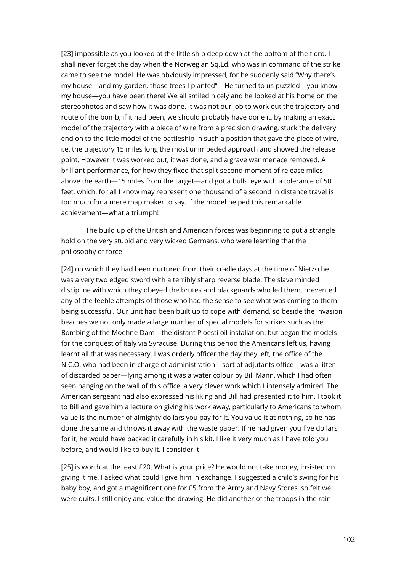[23] impossible as you looked at the little ship deep down at the bottom of the fiord. I shall never forget the day when the Norwegian Sq.Ld. who was in command of the strike came to see the model. He was obviously impressed, for he suddenly said "Why there's my house—and my garden, those trees I planted"—He turned to us puzzled—you know my house—you have been there! We all smiled nicely and he looked at his home on the stereophotos and saw how it was done. It was not our job to work out the trajectory and route of the bomb, if it had been, we should probably have done it, by making an exact model of the trajectory with a piece of wire from a precision drawing, stuck the delivery end on to the little model of the battleship in such a position that gave the piece of wire, i.e. the trajectory 15 miles long the most unimpeded approach and showed the release point. However it was worked out, it was done, and a grave war menace removed. A brilliant performance, for how they fixed that split second moment of release miles above the earth—15 miles from the target—and got a bulls' eye with a tolerance of 50 feet, which, for all I know may represent one thousand of a second in distance travel is too much for a mere map maker to say. If the model helped this remarkable achievement—what a triumph!

The build up of the British and American forces was beginning to put a strangle hold on the very stupid and very wicked Germans, who were learning that the philosophy of force

[24] on which they had been nurtured from their cradle days at the time of Nietzsche was a very two edged sword with a terribly sharp reverse blade. The slave minded discipline with which they obeyed the brutes and blackguards who led them, prevented any of the feeble attempts of those who had the sense to see what was coming to them being successful. Our unit had been built up to cope with demand, so beside the invasion beaches we not only made a large number of special models for strikes such as the Bombing of the Moehne Dam—the distant Ploesti oil installation, but began the models for the conquest of Italy via Syracuse. During this period the Americans left us, having learnt all that was necessary. I was orderly officer the day they left, the office of the N.C.O. who had been in charge of administration—sort of adjutants office—was a litter of discarded paper—lying among it was a water colour by Bill Mann, which I had often seen hanging on the wall of this office, a very clever work which I intensely admired. The American sergeant had also expressed his liking and Bill had presented it to him. I took it to Bill and gave him a lecture on giving his work away, particularly to Americans to whom value is the number of almighty dollars you pay for it. You value it at nothing, so he has done the same and throws it away with the waste paper. If he had given you five dollars for it, he would have packed it carefully in his kit. I like it very much as I have told you before, and would like to buy it. I consider it

[25] is worth at the least £20. What is your price? He would not take money, insisted on giving it me. I asked what could I give him in exchange. I suggested a child's swing for his baby boy, and got a magnificent one for £5 from the Army and Navy Stores, so felt we were quits. I still enjoy and value the drawing. He did another of the troops in the rain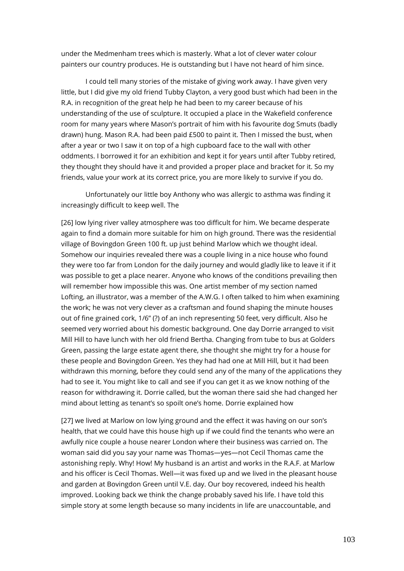under the Medmenham trees which is masterly. What a lot of clever water colour painters our country produces. He is outstanding but I have not heard of him since.

I could tell many stories of the mistake of giving work away. I have given very little, but I did give my old friend Tubby Clayton, a very good bust which had been in the R.A. in recognition of the great help he had been to my career because of his understanding of the use of sculpture. It occupied a place in the Wakefield conference room for many years where Mason's portrait of him with his favourite dog Smuts (badly drawn) hung. Mason R.A. had been paid £500 to paint it. Then I missed the bust, when after a year or two I saw it on top of a high cupboard face to the wall with other oddments. I borrowed it for an exhibition and kept it for years until after Tubby retired, they thought they should have it and provided a proper place and bracket for it. So my friends, value your work at its correct price, you are more likely to survive if you do.

Unfortunately our little boy Anthony who was allergic to asthma was finding it increasingly difficult to keep well. The

[26] low lying river valley atmosphere was too difficult for him. We became desperate again to find a domain more suitable for him on high ground. There was the residential village of Bovingdon Green 100 ft. up just behind Marlow which we thought ideal. Somehow our inquiries revealed there was a couple living in a nice house who found they were too far from London for the daily journey and would gladly like to leave it if it was possible to get a place nearer. Anyone who knows of the conditions prevailing then will remember how impossible this was. One artist member of my section named Lofting, an illustrator, was a member of the A.W.G. I often talked to him when examining the work; he was not very clever as a craftsman and found shaping the minute houses out of fine grained cork, 1/6" (?) of an inch representing 50 feet, very difficult. Also he seemed very worried about his domestic background. One day Dorrie arranged to visit Mill Hill to have lunch with her old friend Bertha. Changing from tube to bus at Golders Green, passing the large estate agent there, she thought she might try for a house for these people and Bovingdon Green. Yes they had had one at Mill Hill, but it had been withdrawn this morning, before they could send any of the many of the applications they had to see it. You might like to call and see if you can get it as we know nothing of the reason for withdrawing it. Dorrie called, but the woman there said she had changed her mind about letting as tenant's so spoilt one's home. Dorrie explained how

[27] we lived at Marlow on low lying ground and the effect it was having on our son's health, that we could have this house high up if we could find the tenants who were an awfully nice couple a house nearer London where their business was carried on. The woman said did you say your name was Thomas—yes—not Cecil Thomas came the astonishing reply. Why! How! My husband is an artist and works in the R.A.F. at Marlow and his officer is Cecil Thomas. Well—it was fixed up and we lived in the pleasant house and garden at Bovingdon Green until V.E. day. Our boy recovered, indeed his health improved. Looking back we think the change probably saved his life. I have told this simple story at some length because so many incidents in life are unaccountable, and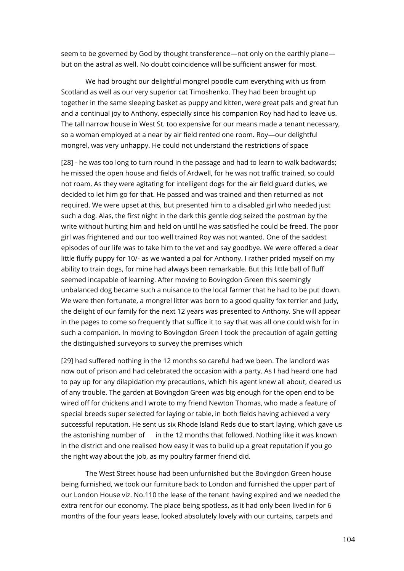seem to be governed by God by thought transference—not only on the earthly plane but on the astral as well. No doubt coincidence will be sufficient answer for most.

We had brought our delightful mongrel poodle cum everything with us from Scotland as well as our very superior cat Timoshenko. They had been brought up together in the same sleeping basket as puppy and kitten, were great pals and great fun and a continual joy to Anthony, especially since his companion Roy had had to leave us. The tall narrow house in West St. too expensive for our means made a tenant necessary, so a woman employed at a near by air field rented one room. Roy—our delightful mongrel, was very unhappy. He could not understand the restrictions of space

[28] - he was too long to turn round in the passage and had to learn to walk backwards; he missed the open house and fields of Ardwell, for he was not traffic trained, so could not roam. As they were agitating for intelligent dogs for the air field guard duties, we decided to let him go for that. He passed and was trained and then returned as not required. We were upset at this, but presented him to a disabled girl who needed just such a dog. Alas, the first night in the dark this gentle dog seized the postman by the write without hurting him and held on until he was satisfied he could be freed. The poor girl was frightened and our too well trained Roy was not wanted. One of the saddest episodes of our life was to take him to the vet and say goodbye. We were offered a dear little fluffy puppy for 10/- as we wanted a pal for Anthony. I rather prided myself on my ability to train dogs, for mine had always been remarkable. But this little ball of fluff seemed incapable of learning. After moving to Bovingdon Green this seemingly unbalanced dog became such a nuisance to the local farmer that he had to be put down. We were then fortunate, a mongrel litter was born to a good quality fox terrier and Judy, the delight of our family for the next 12 years was presented to Anthony. She will appear in the pages to come so frequently that suffice it to say that was all one could wish for in such a companion. In moving to Bovingdon Green I took the precaution of again getting the distinguished surveyors to survey the premises which

[29] had suffered nothing in the 12 months so careful had we been. The landlord was now out of prison and had celebrated the occasion with a party. As I had heard one had to pay up for any dilapidation my precautions, which his agent knew all about, cleared us of any trouble. The garden at Bovingdon Green was big enough for the open end to be wired off for chickens and I wrote to my friend Newton Thomas, who made a feature of special breeds super selected for laying or table, in both fields having achieved a very successful reputation. He sent us six Rhode Island Reds due to start laying, which gave us the astonishing number of in the 12 months that followed. Nothing like it was known in the district and one realised how easy it was to build up a great reputation if you go the right way about the job, as my poultry farmer friend did.

The West Street house had been unfurnished but the Bovingdon Green house being furnished, we took our furniture back to London and furnished the upper part of our London House viz. No.110 the lease of the tenant having expired and we needed the extra rent for our economy. The place being spotless, as it had only been lived in for 6 months of the four years lease, looked absolutely lovely with our curtains, carpets and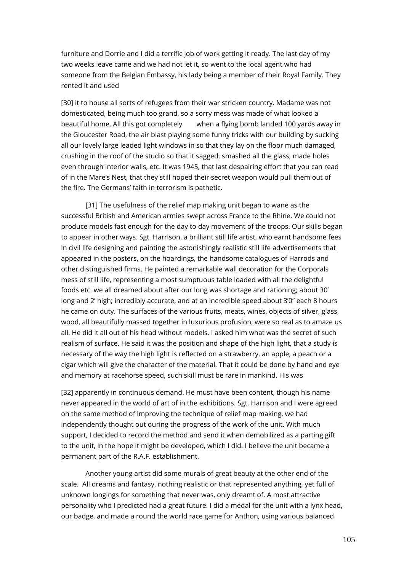furniture and Dorrie and I did a terrific job of work getting it ready. The last day of my two weeks leave came and we had not let it, so went to the local agent who had someone from the Belgian Embassy, his lady being a member of their Royal Family. They rented it and used

[30] it to house all sorts of refugees from their war stricken country. Madame was not domesticated, being much too grand, so a sorry mess was made of what looked a beautiful home. All this got completely when a flying bomb landed 100 yards away in the Gloucester Road, the air blast playing some funny tricks with our building by sucking all our lovely large leaded light windows in so that they lay on the floor much damaged, crushing in the roof of the studio so that it sagged, smashed all the glass, made holes even through interior walls, etc. It was 1945, that last despairing effort that you can read of in the Mare's Nest, that they still hoped their secret weapon would pull them out of the fire. The Germans' faith in terrorism is pathetic.

[31] The usefulness of the relief map making unit began to wane as the successful British and American armies swept across France to the Rhine. We could not produce models fast enough for the day to day movement of the troops. Our skills began to appear in other ways. Sgt. Harrison, a brilliant still life artist, who earnt handsome fees in civil life designing and painting the astonishingly realistic still life advertisements that appeared in the posters, on the hoardings, the handsome catalogues of Harrods and other distinguished firms. He painted a remarkable wall decoration for the Corporals mess of still life, representing a most sumptuous table loaded with all the delightful foods etc. we all dreamed about after our long was shortage and rationing; about 30' long and 2' high; incredibly accurate, and at an incredible speed about 3'0" each 8 hours he came on duty. The surfaces of the various fruits, meats, wines, objects of silver, glass, wood, all beautifully massed together in luxurious profusion, were so real as to amaze us all. He did it all out of his head without models. I asked him what was the secret of such realism of surface. He said it was the position and shape of the high light, that a study is necessary of the way the high light is reflected on a strawberry, an apple, a peach or a cigar which will give the character of the material. That it could be done by hand and eye and memory at racehorse speed, such skill must be rare in mankind. His was

[32] apparently in continuous demand. He must have been content, though his name never appeared in the world of art of in the exhibitions. Sgt. Harrison and I were agreed on the same method of improving the technique of relief map making, we had independently thought out during the progress of the work of the unit. With much support, I decided to record the method and send it when demobilized as a parting gift to the unit, in the hope it might be developed, which I did. I believe the unit became a permanent part of the R.A.F. establishment.

Another young artist did some murals of great beauty at the other end of the scale. All dreams and fantasy, nothing realistic or that represented anything, yet full of unknown longings for something that never was, only dreamt of. A most attractive personality who I predicted had a great future. I did a medal for the unit with a lynx head, our badge, and made a round the world race game for Anthon, using various balanced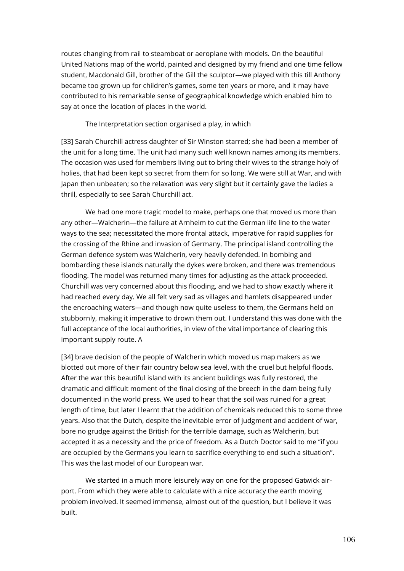routes changing from rail to steamboat or aeroplane with models. On the beautiful United Nations map of the world, painted and designed by my friend and one time fellow student, Macdonald Gill, brother of the Gill the sculptor—we played with this till Anthony became too grown up for children's games, some ten years or more, and it may have contributed to his remarkable sense of geographical knowledge which enabled him to say at once the location of places in the world.

The Interpretation section organised a play, in which

[33] Sarah Churchill actress daughter of Sir Winston starred; she had been a member of the unit for a long time. The unit had many such well known names among its members. The occasion was used for members living out to bring their wives to the strange holy of holies, that had been kept so secret from them for so long. We were still at War, and with Japan then unbeaten; so the relaxation was very slight but it certainly gave the ladies a thrill, especially to see Sarah Churchill act.

We had one more tragic model to make, perhaps one that moved us more than any other—Walcherin—the failure at Arnheim to cut the German life line to the water ways to the sea; necessitated the more frontal attack, imperative for rapid supplies for the crossing of the Rhine and invasion of Germany. The principal island controlling the German defence system was Walcherin, very heavily defended. In bombing and bombarding these islands naturally the dykes were broken, and there was tremendous flooding. The model was returned many times for adjusting as the attack proceeded. Churchill was very concerned about this flooding, and we had to show exactly where it had reached every day. We all felt very sad as villages and hamlets disappeared under the encroaching waters—and though now quite useless to them, the Germans held on stubbornly, making it imperative to drown them out. I understand this was done with the full acceptance of the local authorities, in view of the vital importance of clearing this important supply route. A

[34] brave decision of the people of Walcherin which moved us map makers as we blotted out more of their fair country below sea level, with the cruel but helpful floods. After the war this beautiful island with its ancient buildings was fully restored, the dramatic and difficult moment of the final closing of the breech in the dam being fully documented in the world press. We used to hear that the soil was ruined for a great length of time, but later I learnt that the addition of chemicals reduced this to some three years. Also that the Dutch, despite the inevitable error of judgment and accident of war, bore no grudge against the British for the terrible damage, such as Walcherin, but accepted it as a necessity and the price of freedom. As a Dutch Doctor said to me "if you are occupied by the Germans you learn to sacrifice everything to end such a situation". This was the last model of our European war.

We started in a much more leisurely way on one for the proposed Gatwick airport. From which they were able to calculate with a nice accuracy the earth moving problem involved. It seemed immense, almost out of the question, but I believe it was built.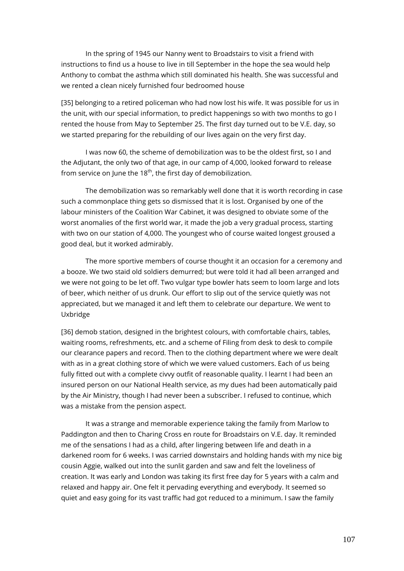In the spring of 1945 our Nanny went to Broadstairs to visit a friend with instructions to find us a house to live in till September in the hope the sea would help Anthony to combat the asthma which still dominated his health. She was successful and we rented a clean nicely furnished four bedroomed house

[35] belonging to a retired policeman who had now lost his wife. It was possible for us in the unit, with our special information, to predict happenings so with two months to go I rented the house from May to September 25. The first day turned out to be V.E. day, so we started preparing for the rebuilding of our lives again on the very first day.

I was now 60, the scheme of demobilization was to be the oldest first, so I and the Adjutant, the only two of that age, in our camp of 4,000, looked forward to release from service on June the  $18<sup>th</sup>$ , the first day of demobilization.

The demobilization was so remarkably well done that it is worth recording in case such a commonplace thing gets so dismissed that it is lost. Organised by one of the labour ministers of the Coalition War Cabinet, it was designed to obviate some of the worst anomalies of the first world war, it made the job a very gradual process, starting with two on our station of 4,000. The youngest who of course waited longest groused a good deal, but it worked admirably.

The more sportive members of course thought it an occasion for a ceremony and a booze. We two staid old soldiers demurred; but were told it had all been arranged and we were not going to be let off. Two vulgar type bowler hats seem to loom large and lots of beer, which neither of us drunk. Our effort to slip out of the service quietly was not appreciated, but we managed it and left them to celebrate our departure. We went to Uxbridge

[36] demob station, designed in the brightest colours, with comfortable chairs, tables, waiting rooms, refreshments, etc. and a scheme of Filing from desk to desk to compile our clearance papers and record. Then to the clothing department where we were dealt with as in a great clothing store of which we were valued customers. Each of us being fully fitted out with a complete civvy outfit of reasonable quality. I learnt I had been an insured person on our National Health service, as my dues had been automatically paid by the Air Ministry, though I had never been a subscriber. I refused to continue, which was a mistake from the pension aspect.

It was a strange and memorable experience taking the family from Marlow to Paddington and then to Charing Cross en route for Broadstairs on V.E. day. It reminded me of the sensations I had as a child, after lingering between life and death in a darkened room for 6 weeks. I was carried downstairs and holding hands with my nice big cousin Aggie, walked out into the sunlit garden and saw and felt the loveliness of creation. It was early and London was taking its first free day for 5 years with a calm and relaxed and happy air. One felt it pervading everything and everybody. It seemed so quiet and easy going for its vast traffic had got reduced to a minimum. I saw the family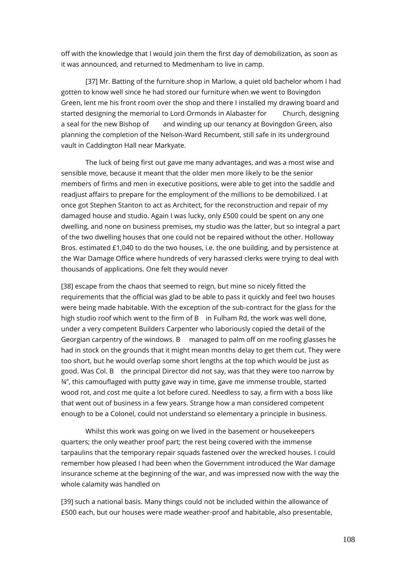off with the knowledge that I would join them the first day of demobilization, as soon as it was announced, and returned to Medmenham to live in camp.

[37] Mr. Batting of the furniture shop in Marlow, a quiet old bachelor whom I had gotten to know well since he had stored our furniture when we went to Bovingdon Green, lent me his front room over the shop and there I installed my drawing board and started designing the memorial to Lord Ormonds in Alabaster for Church, designing a seal for the new Bishop of and winding up our tenancy at Bovingdon Green, also planning the completion of the Nelson-Ward Recumbent, still safe in its underground vault in Caddington Hall near Markyate.

The luck of being first out gave me many advantages, and was a most wise and sensible move, because it meant that the older men more likely to be the senior members of firms and men in executive positions, were able to get into the saddle and readjust affairs to prepare for the employment of the millions to be demobilized. I at once got Stephen Stanton to act as Architect, for the reconstruction and repair of my damaged house and studio. Again I was lucky, only £500 could be spent on any one dwelling, and none on business premises, my studio was the latter, but so integral a part of the two dwelling houses that one could not be repaired without the other. Holloway Bros. estimated £1,040 to do the two houses, i.e. the one building, and by persistence at the War Damage Office where hundreds of very harassed clerks were trying to deal with thousands of applications. One felt they would never

[38] escape from the chaos that seemed to reign, but mine so nicely fitted the requirements that the official was glad to be able to pass it quickly and feel two houses were being made habitable. With the exception of the sub-contract for the glass for the high studio roof which went to the firm of B in Fulham Rd, the work was well done, under a very competent Builders Carpenter who laboriously copied the detail of the Georgian carpentry of the windows. B managed to palm off on me roofing glasses he had in stock on the grounds that it might mean months delay to get them cut. They were too short, but he would overlap some short lengths at the top which would be just as good. Was Col. B the principal Director did not say, was that they were too narrow by ¾", this camouflaged with putty gave way in time, gave me immense trouble, started wood rot, and cost me quite a lot before cured. Needless to say, a firm with a boss like that went out of business in a few years. Strange how a man considered competent enough to be a Colonel, could not understand so elementary a principle in business.

Whilst this work was going on we lived in the basement or housekeepers quarters; the only weather proof part; the rest being covered with the immense tarpaulins that the temporary repair squads fastened over the wrecked houses. I could remember how pleased I had been when the Government introduced the War damage insurance scheme at the beginning of the war, and was impressed now with the way the whole calamity was handled on

[39] such a national basis. Many things could not be included within the allowance of £500 each, but our houses were made weather-proof and habitable, also presentable,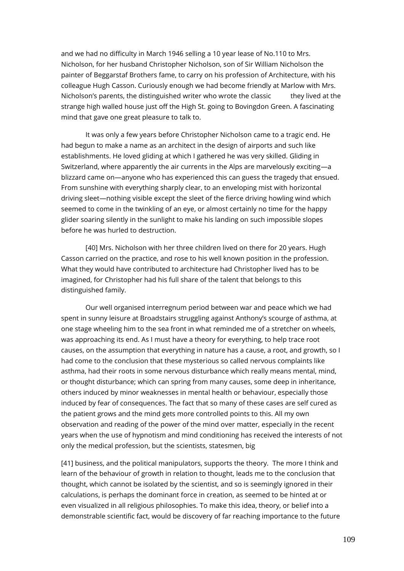and we had no difficulty in March 1946 selling a 10 year lease of No.110 to Mrs. Nicholson, for her husband Christopher Nicholson, son of Sir William Nicholson the painter of Beggarstaf Brothers fame, to carry on his profession of Architecture, with his colleague Hugh Casson. Curiously enough we had become friendly at Marlow with Mrs. Nicholson's parents, the distinguished writer who wrote the classic they lived at the strange high walled house just off the High St. going to Bovingdon Green. A fascinating mind that gave one great pleasure to talk to.

It was only a few years before Christopher Nicholson came to a tragic end. He had begun to make a name as an architect in the design of airports and such like establishments. He loved gliding at which I gathered he was very skilled. Gliding in Switzerland, where apparently the air currents in the Alps are marvelously exciting—a blizzard came on—anyone who has experienced this can guess the tragedy that ensued. From sunshine with everything sharply clear, to an enveloping mist with horizontal driving sleet—nothing visible except the sleet of the fierce driving howling wind which seemed to come in the twinkling of an eye, or almost certainly no time for the happy glider soaring silently in the sunlight to make his landing on such impossible slopes before he was hurled to destruction.

[40] Mrs. Nicholson with her three children lived on there for 20 years. Hugh Casson carried on the practice, and rose to his well known position in the profession. What they would have contributed to architecture had Christopher lived has to be imagined, for Christopher had his full share of the talent that belongs to this distinguished family.

Our well organised interregnum period between war and peace which we had spent in sunny leisure at Broadstairs struggling against Anthony's scourge of asthma, at one stage wheeling him to the sea front in what reminded me of a stretcher on wheels, was approaching its end. As I must have a theory for everything, to help trace root causes, on the assumption that everything in nature has a cause, a root, and growth, so I had come to the conclusion that these mysterious so called nervous complaints like asthma, had their roots in some nervous disturbance which really means mental, mind, or thought disturbance; which can spring from many causes, some deep in inheritance, others induced by minor weaknesses in mental health or behaviour, especially those induced by fear of consequences. The fact that so many of these cases are self cured as the patient grows and the mind gets more controlled points to this. All my own observation and reading of the power of the mind over matter, especially in the recent years when the use of hypnotism and mind conditioning has received the interests of not only the medical profession, but the scientists, statesmen, big

[41] business, and the political manipulators, supports the theory. The more I think and learn of the behaviour of growth in relation to thought, leads me to the conclusion that thought, which cannot be isolated by the scientist, and so is seemingly ignored in their calculations, is perhaps the dominant force in creation, as seemed to be hinted at or even visualized in all religious philosophies. To make this idea, theory, or belief into a demonstrable scientific fact, would be discovery of far reaching importance to the future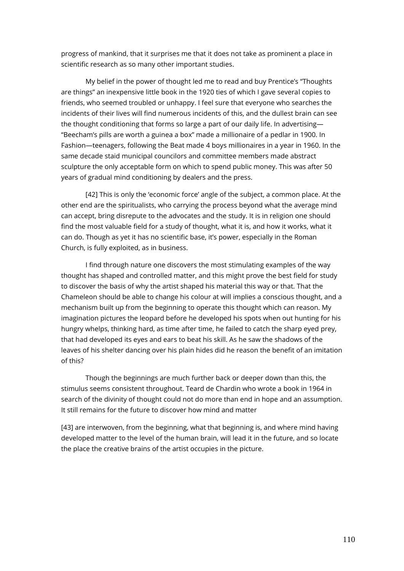progress of mankind, that it surprises me that it does not take as prominent a place in scientific research as so many other important studies.

My belief in the power of thought led me to read and buy Prentice's "Thoughts are things" an inexpensive little book in the 1920 ties of which I gave several copies to friends, who seemed troubled or unhappy. I feel sure that everyone who searches the incidents of their lives will find numerous incidents of this, and the dullest brain can see the thought conditioning that forms so large a part of our daily life. In advertising— "Beecham's pills are worth a guinea a box" made a millionaire of a pedlar in 1900. In Fashion—teenagers, following the Beat made 4 boys millionaires in a year in 1960. In the same decade staid municipal councilors and committee members made abstract sculpture the only acceptable form on which to spend public money. This was after 50 years of gradual mind conditioning by dealers and the press.

[42] This is only the 'economic force' angle of the subject, a common place. At the other end are the spiritualists, who carrying the process beyond what the average mind can accept, bring disrepute to the advocates and the study. It is in religion one should find the most valuable field for a study of thought, what it is, and how it works, what it can do. Though as yet it has no scientific base, it's power, especially in the Roman Church, is fully exploited, as in business.

I find through nature one discovers the most stimulating examples of the way thought has shaped and controlled matter, and this might prove the best field for study to discover the basis of why the artist shaped his material this way or that. That the Chameleon should be able to change his colour at will implies a conscious thought, and a mechanism built up from the beginning to operate this thought which can reason. My imagination pictures the leopard before he developed his spots when out hunting for his hungry whelps, thinking hard, as time after time, he failed to catch the sharp eyed prey, that had developed its eyes and ears to beat his skill. As he saw the shadows of the leaves of his shelter dancing over his plain hides did he reason the benefit of an imitation of this?

Though the beginnings are much further back or deeper down than this, the stimulus seems consistent throughout. Teard de Chardin who wrote a book in 1964 in search of the divinity of thought could not do more than end in hope and an assumption. It still remains for the future to discover how mind and matter

[43] are interwoven, from the beginning, what that beginning is, and where mind having developed matter to the level of the human brain, will lead it in the future, and so locate the place the creative brains of the artist occupies in the picture.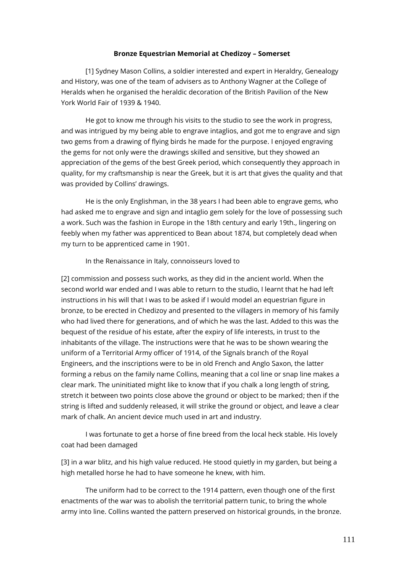## **Bronze Equestrian Memorial at Chedizoy – Somerset**

[1] Sydney Mason Collins, a soldier interested and expert in Heraldry, Genealogy and History, was one of the team of advisers as to Anthony Wagner at the College of Heralds when he organised the heraldic decoration of the British Pavilion of the New York World Fair of 1939 & 1940.

He got to know me through his visits to the studio to see the work in progress, and was intrigued by my being able to engrave intaglios, and got me to engrave and sign two gems from a drawing of flying birds he made for the purpose. I enjoyed engraving the gems for not only were the drawings skilled and sensitive, but they showed an appreciation of the gems of the best Greek period, which consequently they approach in quality, for my craftsmanship is near the Greek, but it is art that gives the quality and that was provided by Collins' drawings.

He is the only Englishman, in the 38 years I had been able to engrave gems, who had asked me to engrave and sign and intaglio gem solely for the love of possessing such a work. Such was the fashion in Europe in the 18th century and early 19th., lingering on feebly when my father was apprenticed to Bean about 1874, but completely dead when my turn to be apprenticed came in 1901.

## In the Renaissance in Italy, connoisseurs loved to

[2] commission and possess such works, as they did in the ancient world. When the second world war ended and I was able to return to the studio, I learnt that he had left instructions in his will that I was to be asked if I would model an equestrian figure in bronze, to be erected in Chedizoy and presented to the villagers in memory of his family who had lived there for generations, and of which he was the last. Added to this was the bequest of the residue of his estate, after the expiry of life interests, in trust to the inhabitants of the village. The instructions were that he was to be shown wearing the uniform of a Territorial Army officer of 1914, of the Signals branch of the Royal Engineers, and the inscriptions were to be in old French and Anglo Saxon, the latter forming a rebus on the family name Collins, meaning that a col line or snap line makes a clear mark. The uninitiated might like to know that if you chalk a long length of string, stretch it between two points close above the ground or object to be marked; then if the string is lifted and suddenly released, it will strike the ground or object, and leave a clear mark of chalk. An ancient device much used in art and industry.

I was fortunate to get a horse of fine breed from the local heck stable. His lovely coat had been damaged

[3] in a war blitz, and his high value reduced. He stood quietly in my garden, but being a high metalled horse he had to have someone he knew, with him.

The uniform had to be correct to the 1914 pattern, even though one of the first enactments of the war was to abolish the territorial pattern tunic, to bring the whole army into line. Collins wanted the pattern preserved on historical grounds, in the bronze.